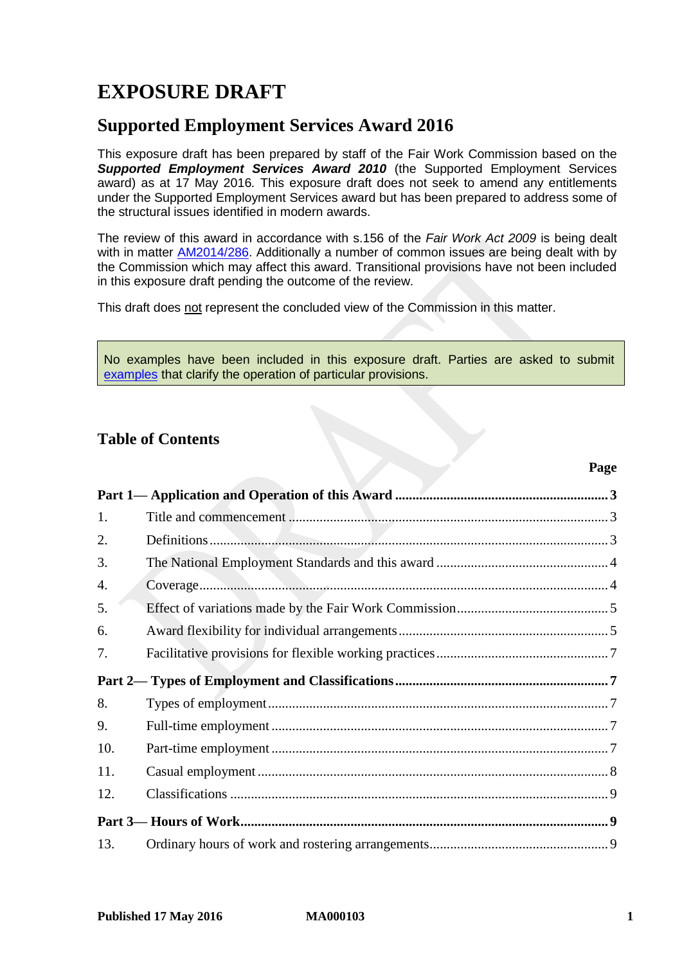# **EXPOSURE DRAFT**

# **Supported Employment Services Award 2016**

This exposure draft has been prepared by staff of the Fair Work Commission based on the *Supported Employment Services Award 2010* (the Supported Employment Services award) as at 17 May 2016*.* This exposure draft does not seek to amend any entitlements under the Supported Employment Services award but has been prepared to address some of the structural issues identified in modern awards.

The review of this award in accordance with s.156 of the *Fair Work Act 2009* is being dealt with in matter [AM2014/286.](http://www.fwc.gov.au/awards-and-agreements/modern-award-reviews/4-yearly-review/award-stage/award-review-documents/MA000103?m=AM2014/286) Additionally a number of common issues are being dealt with by the Commission which may affect this award. Transitional provisions have not been included in this exposure draft pending the outcome of the review.

This draft does not represent the concluded view of the Commission in this matter.

No examples have been included in this exposure draft. Parties are asked to submit [examples](https://www.fwc.gov.au/sites/awardsmodernfouryr/Example-samples-2014.pdf) that clarify the operation of particular provisions.

# **Table of Contents**

| 1.  |  |
|-----|--|
| 2.  |  |
| 3.  |  |
| 4.  |  |
| 5.  |  |
| 6.  |  |
| 7.  |  |
|     |  |
| 8.  |  |
| 9.  |  |
| 10. |  |
| 11. |  |
| 12. |  |
|     |  |
| 13. |  |
|     |  |

**Page**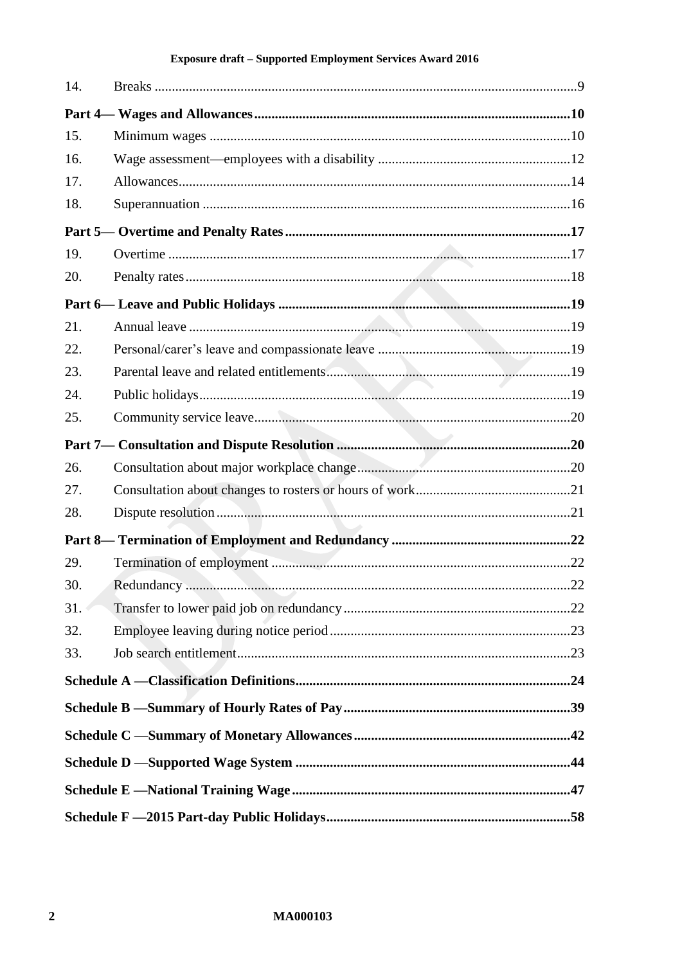| 14. |  |
|-----|--|
|     |  |
| 15. |  |
| 16. |  |
| 17. |  |
| 18. |  |
|     |  |
| 19. |  |
| 20. |  |
|     |  |
| 21. |  |
| 22. |  |
| 23. |  |
| 24. |  |
| 25. |  |
|     |  |
| 26. |  |
| 27. |  |
| 28. |  |
|     |  |
| 29. |  |
| 30. |  |
| 31. |  |
| 32. |  |
| 33. |  |
|     |  |
|     |  |
|     |  |
|     |  |
|     |  |
|     |  |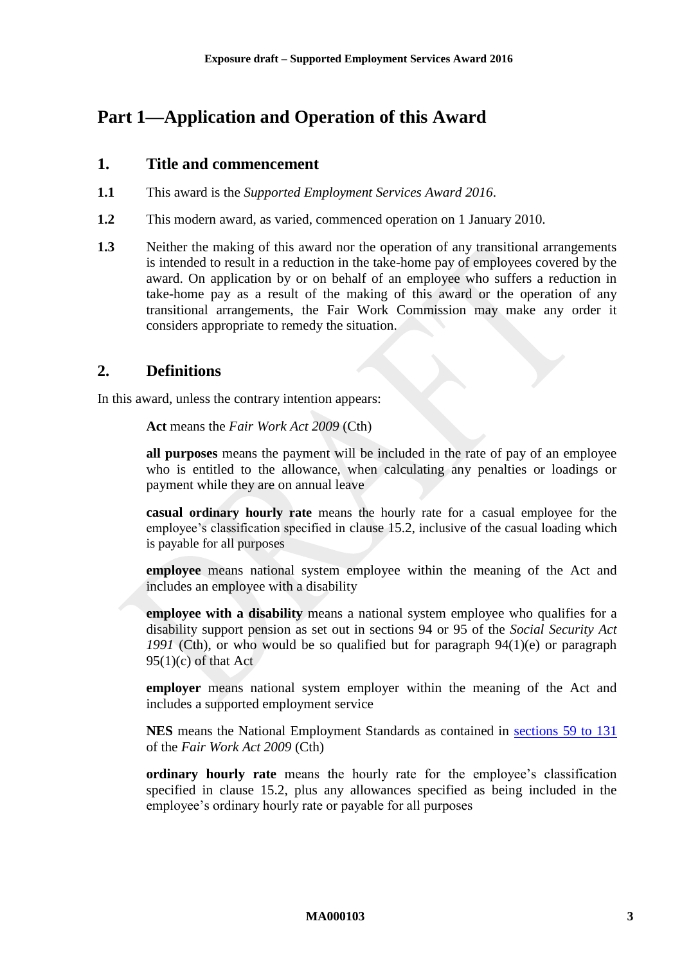# <span id="page-2-1"></span><span id="page-2-0"></span>**Part 1—Application and Operation of this Award**

## **1. Title and commencement**

- **1.1** This award is the *Supported Employment Services Award 2016*.
- **1.2** This modern award, as varied, commenced operation on 1 January 2010.
- **1.3** Neither the making of this award nor the operation of any transitional arrangements is intended to result in a reduction in the take-home pay of employees covered by the award. On application by or on behalf of an employee who suffers a reduction in take-home pay as a result of the making of this award or the operation of any transitional arrangements, the Fair Work Commission may make any order it considers appropriate to remedy the situation.

# <span id="page-2-2"></span>**2. Definitions**

In this award, unless the contrary intention appears:

**Act** means the *Fair Work Act 2009* (Cth)

**all purposes** means the payment will be included in the rate of pay of an employee who is entitled to the allowance, when calculating any penalties or loadings or payment while they are on annual leave

**casual ordinary hourly rate** means the hourly rate for a casual employee for the employee's classification specified in clause [15.2](#page-9-2), inclusive of the casual loading which is payable for all purposes

**employee** means national system employee within the meaning of the Act and includes an employee with a disability

**employee with a disability** means a national system employee who qualifies for a disability support pension as set out in sections 94 or 95 of the *Social Security Act 1991* (Cth), or who would be so qualified but for paragraph 94(1)(e) or paragraph  $95(1)(c)$  of that Act

**employer** means national system employer within the meaning of the Act and includes a supported employment service

**NES** means the National Employment Standards as contained in [sections 59 to 131](http://www.fwc.gov.au/awardmod/download/nes.pdf) of the *Fair Work Act 2009* (Cth)

**ordinary hourly rate** means the hourly rate for the employee's classification specified in clause [15.2,](#page-9-2) plus any allowances specified as being included in the employee's ordinary hourly rate or payable for all purposes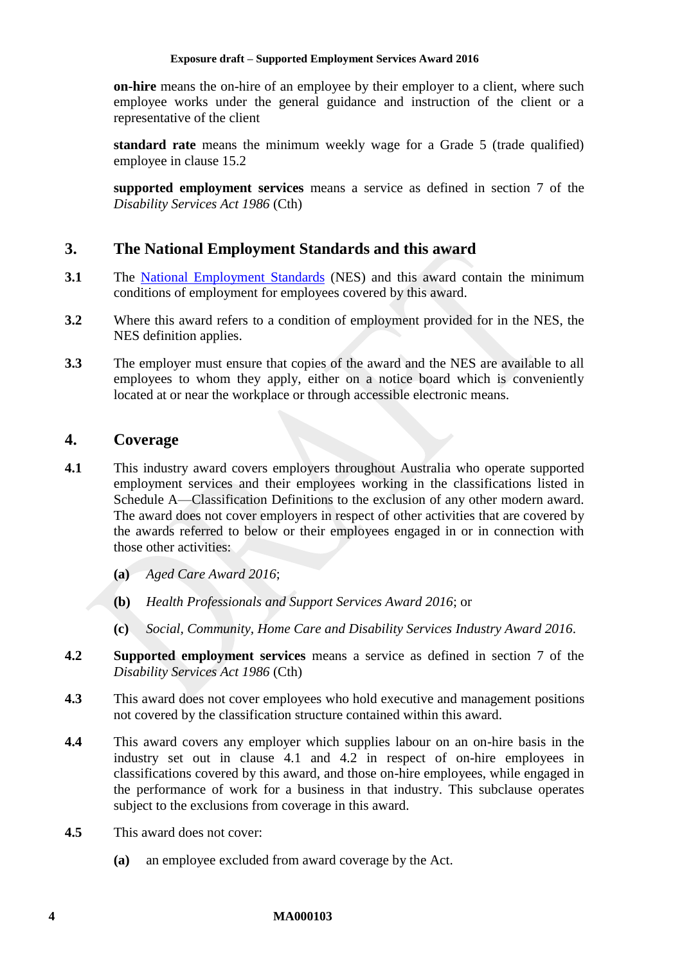**on-hire** means the on-hire of an employee by their employer to a client, where such employee works under the general guidance and instruction of the client or a representative of the client

<span id="page-3-4"></span>**standard rate** means the minimum weekly wage for a Grade 5 (trade qualified) employee in clause [15.2](#page-9-2)

**supported employment services** means a service as defined in section 7 of the *Disability Services Act 1986* (Cth)

# <span id="page-3-0"></span>**3. The National Employment Standards and this award**

- **3.1** The [National Employment Standards](http://www.fwc.gov.au/documents/sites/awardsmodernfouryr/NES-with-bookmarks.pdf) (NES) and this award contain the minimum conditions of employment for employees covered by this award.
- **3.2** Where this award refers to a condition of employment provided for in the NES, the NES definition applies.
- **3.3** The employer must ensure that copies of the award and the NES are available to all employees to whom they apply, either on a notice board which is conveniently located at or near the workplace or through accessible electronic means.

## <span id="page-3-1"></span>**4. Coverage**

- <span id="page-3-2"></span>**4.1** This industry award covers employers throughout Australia who operate supported employment services and their employees working in the classifications listed in [Schedule A—Classification Definitions](#page-23-1) to the exclusion of any other modern award. The award does not cover employers in respect of other activities that are covered by the awards referred to below or their employees engaged in or in connection with those other activities:
	- **(a)** *Aged Care Award 2016*;
	- **(b)** *Health Professionals and Support Services Award 2016*; or
	- **(c)** *Social, Community, Home Care and Disability Services Industry Award 2016*.
- <span id="page-3-3"></span>**4.2 Supported employment services** means a service as defined in section 7 of the *Disability Services Act 1986* (Cth)
- **4.3** This award does not cover employees who hold executive and management positions not covered by the classification structure contained within this award.
- **4.4** This award covers any employer which supplies labour on an on-hire basis in the industry set out in clause [4.1](#page-3-2) and [4.2](#page-3-3) in respect of on-hire employees in classifications covered by this award, and those on-hire employees, while engaged in the performance of work for a business in that industry. This subclause operates subject to the exclusions from coverage in this award.
- **4.5** This award does not cover:
	- **(a)** an employee excluded from award coverage by the Act.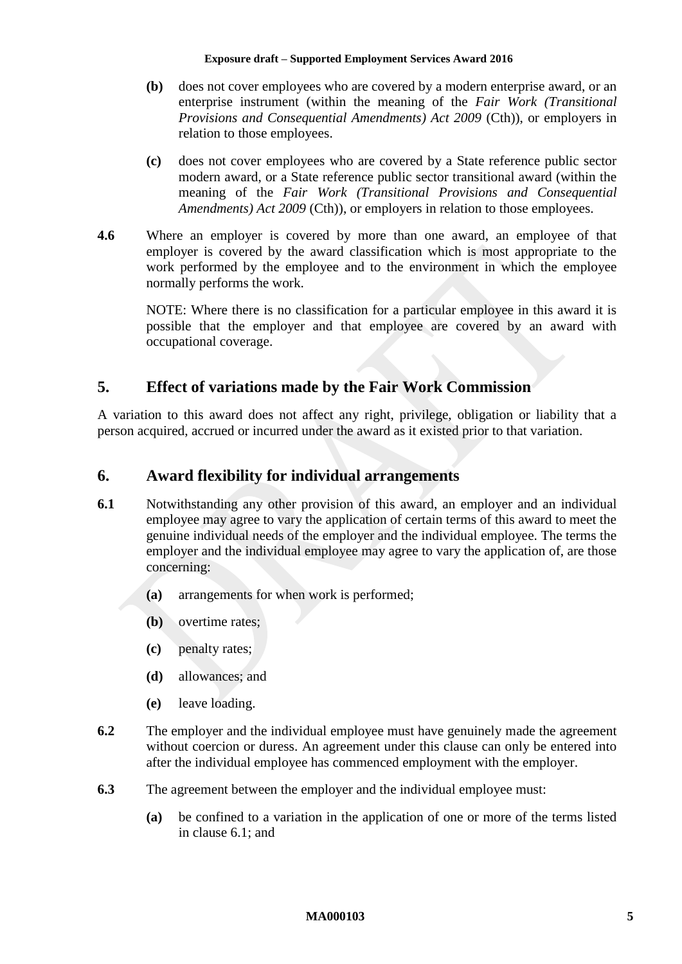- **(b)** does not cover employees who are covered by a modern enterprise award, or an enterprise instrument (within the meaning of the *Fair Work (Transitional Provisions and Consequential Amendments) Act 2009 (Cth)), or employers in* relation to those employees.
- **(c)** does not cover employees who are covered by a State reference public sector modern award, or a State reference public sector transitional award (within the meaning of the *Fair Work (Transitional Provisions and Consequential Amendments) Act 2009* (Cth)), or employers in relation to those employees.
- **4.6** Where an employer is covered by more than one award, an employee of that employer is covered by the award classification which is most appropriate to the work performed by the employee and to the environment in which the employee normally performs the work.

NOTE: Where there is no classification for a particular employee in this award it is possible that the employer and that employee are covered by an award with occupational coverage.

# <span id="page-4-0"></span>**5. Effect of variations made by the Fair Work Commission**

A variation to this award does not affect any right, privilege, obligation or liability that a person acquired, accrued or incurred under the award as it existed prior to that variation.

# <span id="page-4-1"></span>**6. Award flexibility for individual arrangements**

- <span id="page-4-2"></span>**6.1** Notwithstanding any other provision of this award, an employer and an individual employee may agree to vary the application of certain terms of this award to meet the genuine individual needs of the employer and the individual employee. The terms the employer and the individual employee may agree to vary the application of, are those concerning:
	- **(a)** arrangements for when work is performed;
	- **(b)** overtime rates;
	- **(c)** penalty rates;
	- **(d)** allowances; and
	- **(e)** leave loading.
- **6.2** The employer and the individual employee must have genuinely made the agreement without coercion or duress. An agreement under this clause can only be entered into after the individual employee has commenced employment with the employer.
- **6.3** The agreement between the employer and the individual employee must:
	- **(a)** be confined to a variation in the application of one or more of the terms listed in clause [6.1;](#page-4-2) and

#### **MA000103 5**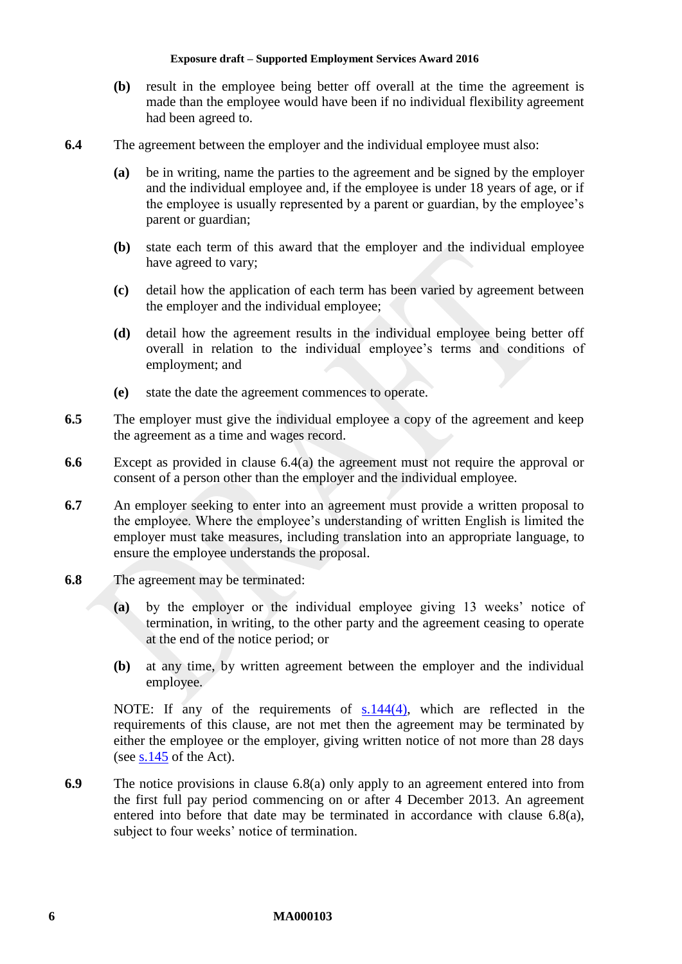- **(b)** result in the employee being better off overall at the time the agreement is made than the employee would have been if no individual flexibility agreement had been agreed to.
- <span id="page-5-0"></span>**6.4** The agreement between the employer and the individual employee must also:
	- **(a)** be in writing, name the parties to the agreement and be signed by the employer and the individual employee and, if the employee is under 18 years of age, or if the employee is usually represented by a parent or guardian, by the employee's parent or guardian;
	- **(b)** state each term of this award that the employer and the individual employee have agreed to vary;
	- **(c)** detail how the application of each term has been varied by agreement between the employer and the individual employee;
	- **(d)** detail how the agreement results in the individual employee being better off overall in relation to the individual employee's terms and conditions of employment; and
	- **(e)** state the date the agreement commences to operate.
- **6.5** The employer must give the individual employee a copy of the agreement and keep the agreement as a time and wages record.
- **6.6** Except as provided in clause [6.4\(a\)](#page-5-0) the agreement must not require the approval or consent of a person other than the employer and the individual employee.
- **6.7** An employer seeking to enter into an agreement must provide a written proposal to the employee. Where the employee's understanding of written English is limited the employer must take measures, including translation into an appropriate language, to ensure the employee understands the proposal.
- <span id="page-5-1"></span>**6.8** The agreement may be terminated:
	- **(a)** by the employer or the individual employee giving 13 weeks' notice of termination, in writing, to the other party and the agreement ceasing to operate at the end of the notice period; or
	- **(b)** at any time, by written agreement between the employer and the individual employee.

NOTE: If any of the requirements of [s.144\(4\),](http://www.fwc.gov.au/documents/sites/awardsmodernfouryr/s144.pdf) which are reflected in the requirements of this clause, are not met then the agreement may be terminated by either the employee or the employer, giving written notice of not more than 28 days (see [s.145](http://www.fwc.gov.au/documents/sites/awardsmodernfouryr/s145.pdf) of the Act).

**6.9** The notice provisions in clause [6.8\(a\)](#page-5-1) only apply to an agreement entered into from the first full pay period commencing on or after 4 December 2013. An agreement entered into before that date may be terminated in accordance with clause [6.8\(a\),](#page-5-1) subject to four weeks' notice of termination.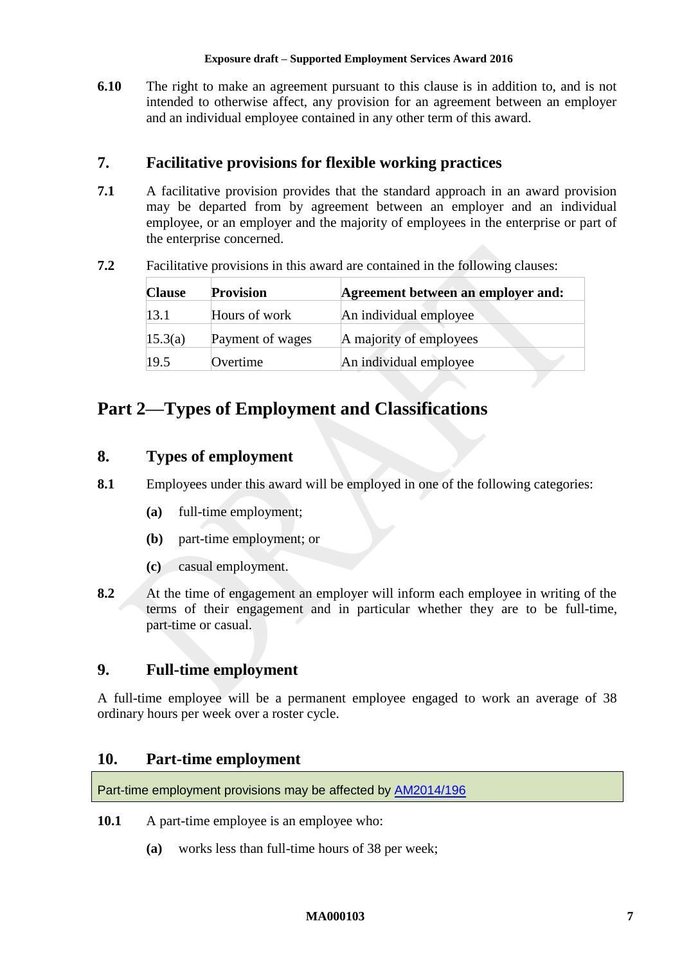**6.10** The right to make an agreement pursuant to this clause is in addition to, and is not intended to otherwise affect, any provision for an agreement between an employer and an individual employee contained in any other term of this award.

# <span id="page-6-0"></span>**7. Facilitative provisions for flexible working practices**

- **7.1** A facilitative provision provides that the standard approach in an award provision may be departed from by agreement between an employer and an individual employee, or an employer and the majority of employees in the enterprise or part of the enterprise concerned.
- **7.2** Facilitative provisions in this award are contained in the following clauses:

| <b>Clause</b> | <b>Provision</b> | Agreement between an employer and: |
|---------------|------------------|------------------------------------|
| 13.1          | Hours of work    | An individual employee             |
| 15.3(a)       | Payment of wages | A majority of employees            |
| 19.5          | Overtime         | An individual employee             |

# <span id="page-6-2"></span><span id="page-6-1"></span>**Part 2—Types of Employment and Classifications**

# **8. Types of employment**

- **8.1** Employees under this award will be employed in one of the following categories:
	- **(a)** full-time employment;
	- **(b)** part-time employment; or
	- **(c)** casual employment.
- **8.2** At the time of engagement an employer will inform each employee in writing of the terms of their engagement and in particular whether they are to be full-time, part-time or casual.

# <span id="page-6-3"></span>**9. Full-time employment**

A full-time employee will be a permanent employee engaged to work an average of 38 ordinary hours per week over a roster cycle.

# <span id="page-6-4"></span>**10. Part-time employment**

Part-time employment provisions may be affected by [AM2014/196](https://www.fwc.gov.au/awards-and-agreements/modern-award-reviews/4-yearly-review/common-issues/am2014196-part-time)

- **10.1** A part-time employee is an employee who:
	- **(a)** works less than full-time hours of 38 per week;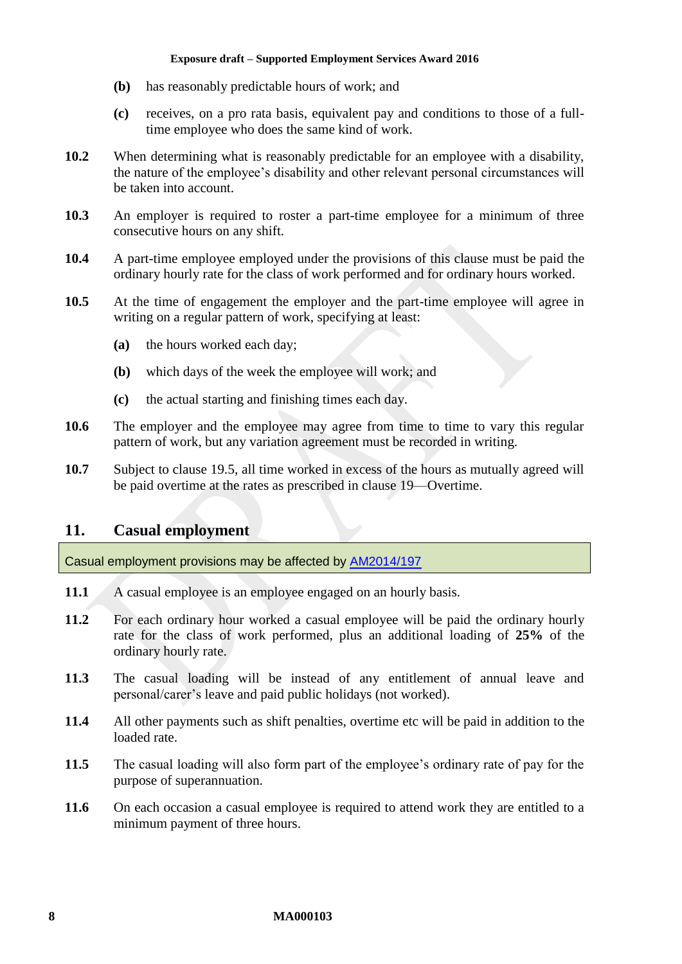- **(b)** has reasonably predictable hours of work; and
- **(c)** receives, on a pro rata basis, equivalent pay and conditions to those of a fulltime employee who does the same kind of work.
- **10.2** When determining what is reasonably predictable for an employee with a disability, the nature of the employee's disability and other relevant personal circumstances will be taken into account.
- **10.3** An employer is required to roster a part-time employee for a minimum of three consecutive hours on any shift.
- **10.4** A part-time employee employed under the provisions of this clause must be paid the ordinary hourly rate for the class of work performed and for ordinary hours worked.
- **10.5** At the time of engagement the employer and the part-time employee will agree in writing on a regular pattern of work, specifying at least:
	- **(a)** the hours worked each day;
	- **(b)** which days of the week the employee will work; and
	- **(c)** the actual starting and finishing times each day.
- **10.6** The employer and the employee may agree from time to time to vary this regular pattern of work, but any variation agreement must be recorded in writing.
- **10.7** Subject to clause [19.5,](#page-16-2) all time worked in excess of the hours as mutually agreed will be paid overtime at the rates as prescribed in clause [19—Overtime.](#page-16-1)

### <span id="page-7-0"></span>**11. Casual employment**

Casual employment provisions may be affected by [AM2014/197](https://www.fwc.gov.au/awards-and-agreements/modern-award-reviews/4-yearly-review/common-issues/am2014197-casual-employment)

- 11.1 A casual employee is an employee engaged on an hourly basis.
- **11.2** For each ordinary hour worked a casual employee will be paid the ordinary hourly rate for the class of work performed, plus an additional loading of **25%** of the ordinary hourly rate.
- **11.3** The casual loading will be instead of any entitlement of annual leave and personal/carer's leave and paid public holidays (not worked).
- **11.4** All other payments such as shift penalties, overtime etc will be paid in addition to the loaded rate.
- **11.5** The casual loading will also form part of the employee's ordinary rate of pay for the purpose of superannuation.
- 11.6 On each occasion a casual employee is required to attend work they are entitled to a minimum payment of three hours.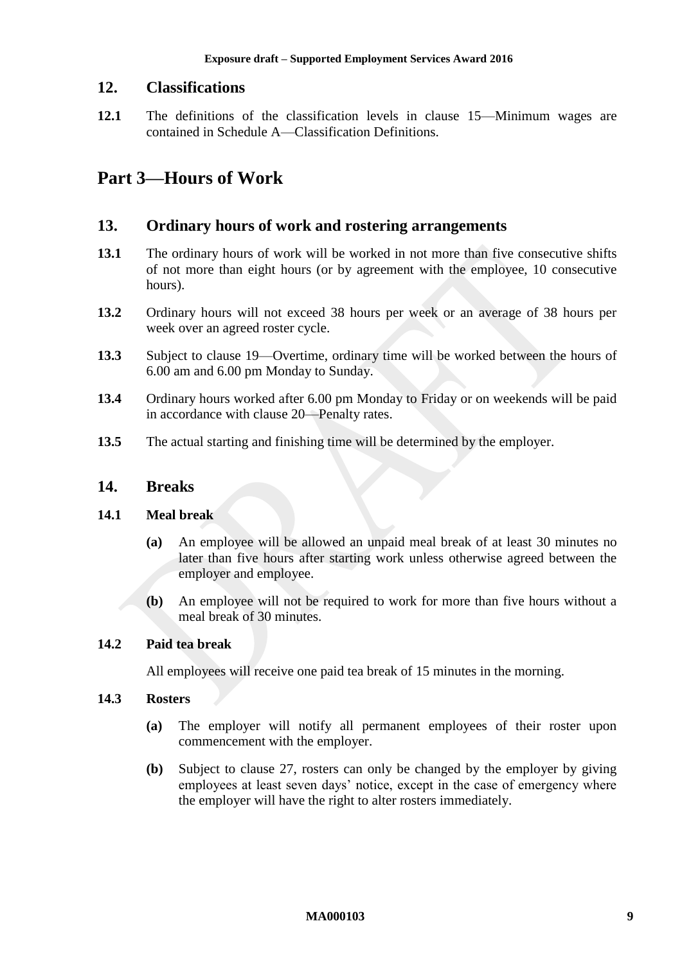# <span id="page-8-0"></span>**12. Classifications**

**12.1** The definitions of the classification levels in clause [15—Minimum wages](#page-9-1) are contained in [Schedule A—Classification Definitions.](#page-23-1)

# <span id="page-8-2"></span><span id="page-8-1"></span>**Part 3—Hours of Work**

### **13. Ordinary hours of work and rostering arrangements**

- <span id="page-8-4"></span>**13.1** The ordinary hours of work will be worked in not more than five consecutive shifts of not more than eight hours (or by agreement with the employee, 10 consecutive hours).
- **13.2** Ordinary hours will not exceed 38 hours per week or an average of 38 hours per week over an agreed roster cycle.
- **13.3** Subject to clause [19—Overtime,](#page-16-1) ordinary time will be worked between the hours of 6.00 am and 6.00 pm Monday to Sunday.
- **13.4** Ordinary hours worked after 6.00 pm Monday to Friday or on weekends will be paid in accordance with clause [20—Penalty rates.](#page-17-0)
- <span id="page-8-3"></span>**13.5** The actual starting and finishing time will be determined by the employer.

### **14. Breaks**

### **14.1 Meal break**

- **(a)** An employee will be allowed an unpaid meal break of at least 30 minutes no later than five hours after starting work unless otherwise agreed between the employer and employee.
- **(b)** An employee will not be required to work for more than five hours without a meal break of 30 minutes.

### **14.2 Paid tea break**

All employees will receive one paid tea break of 15 minutes in the morning.

### **14.3 Rosters**

- **(a)** The employer will notify all permanent employees of their roster upon commencement with the employer.
- **(b)** Subject to clause [27,](#page-20-0) rosters can only be changed by the employer by giving employees at least seven days' notice, except in the case of emergency where the employer will have the right to alter rosters immediately.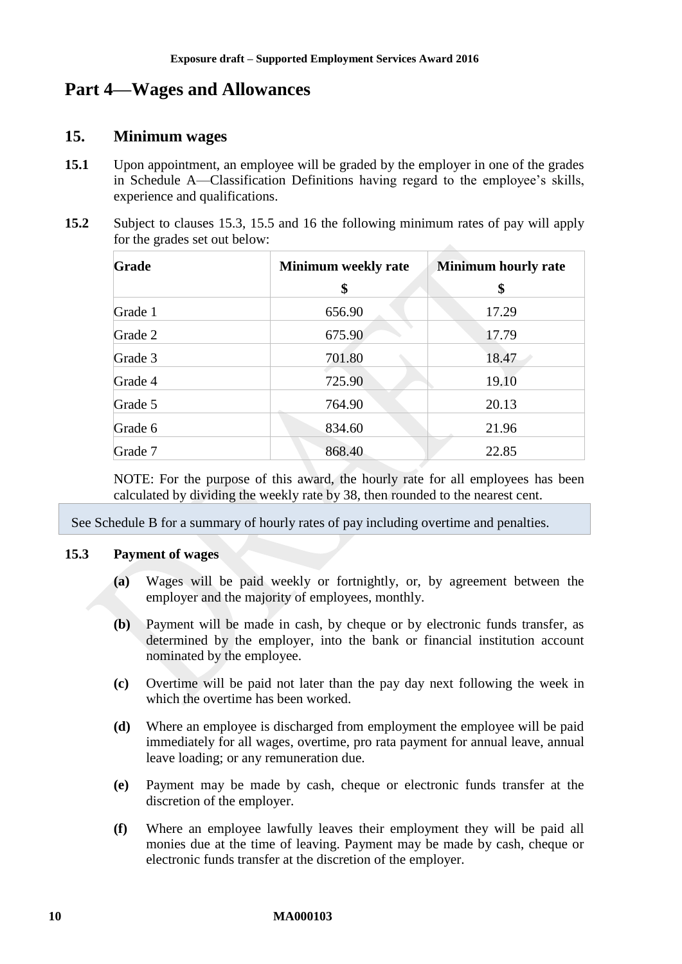# <span id="page-9-1"></span><span id="page-9-0"></span>**Part 4—Wages and Allowances**

### **15. Minimum wages**

- **15.1** Upon appointment, an employee will be graded by the employer in one of the grades in [Schedule A—Classification Definitions](#page-23-1) having regard to the employee's skills, experience and qualifications.
- <span id="page-9-2"></span>**15.2** Subject to clauses [15.3,](#page-9-4) [15.5](#page-10-0) and [16](#page-11-0) the following minimum rates of pay will apply for the grades set out below:

| Grade   | <b>Minimum weekly rate</b> | <b>Minimum hourly rate</b> |  |
|---------|----------------------------|----------------------------|--|
|         | \$                         | \$                         |  |
| Grade 1 | 656.90                     | 17.29                      |  |
| Grade 2 | 675.90                     | 17.79                      |  |
| Grade 3 | 701.80                     | 18.47                      |  |
| Grade 4 | 725.90                     | 19.10                      |  |
| Grade 5 | 764.90                     | 20.13                      |  |
| Grade 6 | 834.60                     | 21.96                      |  |
| Grade 7 | 868.40                     | 22.85                      |  |

NOTE: For the purpose of this award, the hourly rate for all employees has been calculated by dividing the weekly rate by 38, then rounded to the nearest cent.

See [Schedule B](#page-38-0) for a summary of hourly rates of pay including overtime and penalties.

#### <span id="page-9-4"></span><span id="page-9-3"></span>**15.3 Payment of wages**

- **(a)** Wages will be paid weekly or fortnightly, or, by agreement between the employer and the majority of employees, monthly.
- **(b)** Payment will be made in cash, by cheque or by electronic funds transfer, as determined by the employer, into the bank or financial institution account nominated by the employee.
- **(c)** Overtime will be paid not later than the pay day next following the week in which the overtime has been worked.
- **(d)** Where an employee is discharged from employment the employee will be paid immediately for all wages, overtime, pro rata payment for annual leave, annual leave loading; or any remuneration due.
- **(e)** Payment may be made by cash, cheque or electronic funds transfer at the discretion of the employer.
- **(f)** Where an employee lawfully leaves their employment they will be paid all monies due at the time of leaving. Payment may be made by cash, cheque or electronic funds transfer at the discretion of the employer.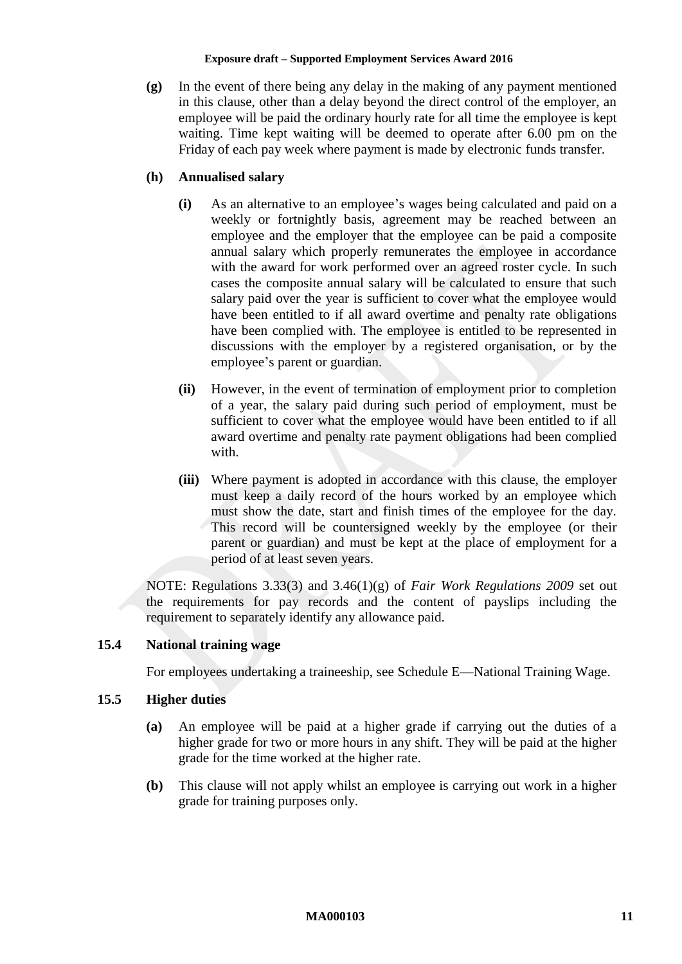**(g)** In the event of there being any delay in the making of any payment mentioned in this clause, other than a delay beyond the direct control of the employer, an employee will be paid the ordinary hourly rate for all time the employee is kept waiting. Time kept waiting will be deemed to operate after 6.00 pm on the Friday of each pay week where payment is made by electronic funds transfer.

### **(h) Annualised salary**

- **(i)** As an alternative to an employee's wages being calculated and paid on a weekly or fortnightly basis, agreement may be reached between an employee and the employer that the employee can be paid a composite annual salary which properly remunerates the employee in accordance with the award for work performed over an agreed roster cycle. In such cases the composite annual salary will be calculated to ensure that such salary paid over the year is sufficient to cover what the employee would have been entitled to if all award overtime and penalty rate obligations have been complied with. The employee is entitled to be represented in discussions with the employer by a registered organisation, or by the employee's parent or guardian.
- **(ii)** However, in the event of termination of employment prior to completion of a year, the salary paid during such period of employment, must be sufficient to cover what the employee would have been entitled to if all award overtime and penalty rate payment obligations had been complied with.
- **(iii)** Where payment is adopted in accordance with this clause, the employer must keep a daily record of the hours worked by an employee which must show the date, start and finish times of the employee for the day. This record will be countersigned weekly by the employee (or their parent or guardian) and must be kept at the place of employment for a period of at least seven years.

NOTE: Regulations 3.33(3) and 3.46(1)(g) of *Fair Work Regulations 2009* set out the requirements for pay records and the content of payslips including the requirement to separately identify any allowance paid.

### **15.4 National training wage**

For employees undertaking a traineeship, see [Schedule E—National Training Wage.](#page-46-0)

### <span id="page-10-0"></span>**15.5 Higher duties**

- **(a)** An employee will be paid at a higher grade if carrying out the duties of a higher grade for two or more hours in any shift. They will be paid at the higher grade for the time worked at the higher rate.
- **(b)** This clause will not apply whilst an employee is carrying out work in a higher grade for training purposes only.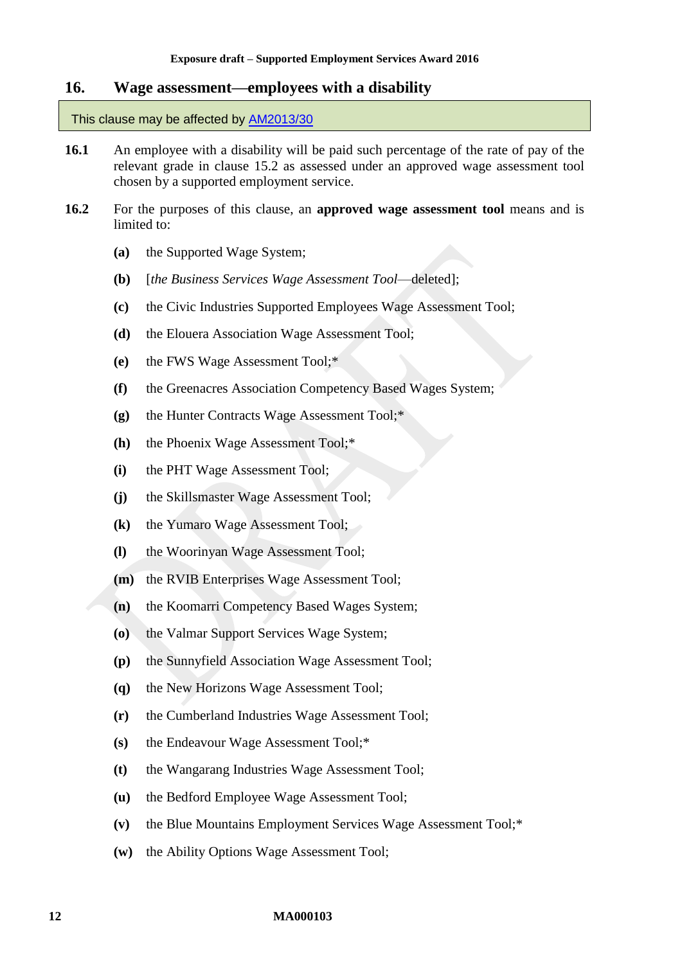### <span id="page-11-0"></span>**16. Wage assessment—employees with a disability**

#### This clause may be affected by [AM2013/30](https://www.fwc.gov.au/awards-and-agreements/awards/award-modernisation/variation-applications/AM2013/30)

- <span id="page-11-4"></span>**16.1** An employee with a disability will be paid such percentage of the rate of pay of the relevant grade in clause [15.2](#page-9-2) as assessed under an approved wage assessment tool chosen by a supported employment service.
- <span id="page-11-3"></span><span id="page-11-2"></span><span id="page-11-1"></span>**16.2** For the purposes of this clause, an **approved wage assessment tool** means and is limited to:
	- **(a)** the Supported Wage System;
	- **(b)** [*the Business Services Wage Assessment Tool*—deleted];
	- **(c)** the Civic Industries Supported Employees Wage Assessment Tool;
	- **(d)** the Elouera Association Wage Assessment Tool;
	- **(e)** the FWS Wage Assessment Tool;\*
	- **(f)** the Greenacres Association Competency Based Wages System;
	- **(g)** the Hunter Contracts Wage Assessment Tool;\*
	- **(h)** the Phoenix Wage Assessment Tool;\*
	- **(i)** the PHT Wage Assessment Tool;
	- **(j)** the Skillsmaster Wage Assessment Tool;
	- **(k)** the Yumaro Wage Assessment Tool;
	- **(l)** the Woorinyan Wage Assessment Tool;
	- **(m)** the RVIB Enterprises Wage Assessment Tool;
	- **(n)** the Koomarri Competency Based Wages System;
	- **(o)** the Valmar Support Services Wage System;
	- **(p)** the Sunnyfield Association Wage Assessment Tool;
	- **(q)** the New Horizons Wage Assessment Tool;
	- **(r)** the Cumberland Industries Wage Assessment Tool;
	- **(s)** the Endeavour Wage Assessment Tool;\*
	- **(t)** the Wangarang Industries Wage Assessment Tool;
	- **(u)** the Bedford Employee Wage Assessment Tool;
	- **(v)** the Blue Mountains Employment Services Wage Assessment Tool;\*
	- **(w)** the Ability Options Wage Assessment Tool;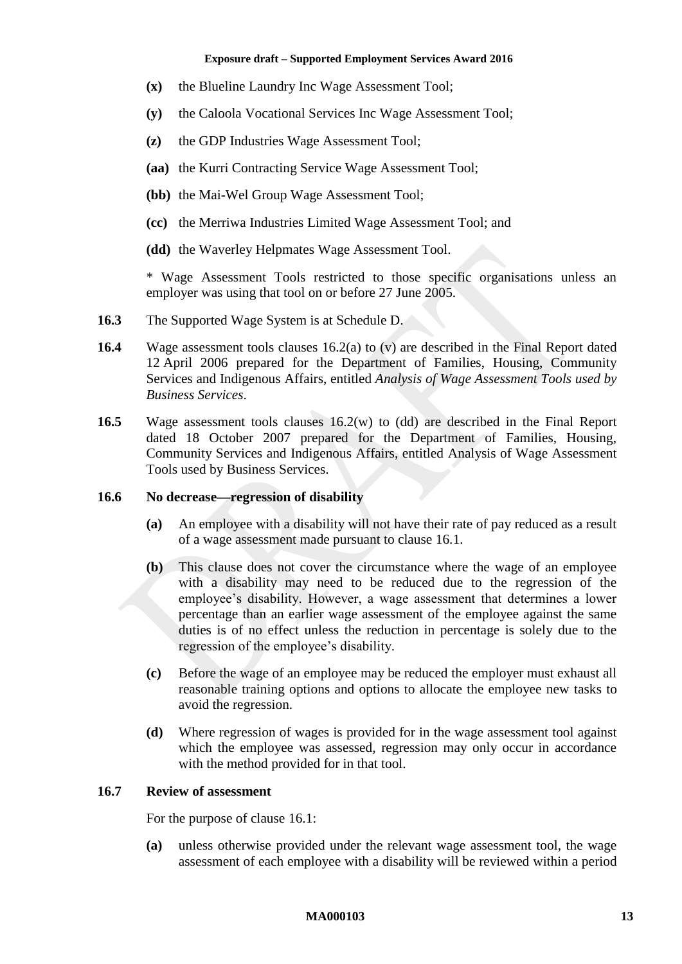- **(x)** the Blueline Laundry Inc Wage Assessment Tool;
- **(y)** the Caloola Vocational Services Inc Wage Assessment Tool;
- **(z)** the GDP Industries Wage Assessment Tool;
- **(aa)** the Kurri Contracting Service Wage Assessment Tool;
- **(bb)** the Mai-Wel Group Wage Assessment Tool;
- **(cc)** the Merriwa Industries Limited Wage Assessment Tool; and
- <span id="page-12-0"></span>**(dd)** the Waverley Helpmates Wage Assessment Tool.

\* Wage Assessment Tools restricted to those specific organisations unless an employer was using that tool on or before 27 June 2005.

- **16.3** The Supported Wage System is at [Schedule D.](#page-43-0)
- **16.4** Wage assessment tools clauses [16.2\(a\)](#page-11-1) to [\(v\)](#page-11-2) are described in the Final Report dated 12 April 2006 prepared for the Department of Families, Housing, Community Services and Indigenous Affairs, entitled *Analysis of Wage Assessment Tools used by Business Services*.
- **16.5** Wage assessment tools clauses [16.2\(w\)](#page-11-3) to [\(dd\)](#page-12-0) are described in the Final Report dated 18 October 2007 prepared for the Department of Families, Housing, Community Services and Indigenous Affairs, entitled Analysis of Wage Assessment Tools used by Business Services.

#### **16.6 No decrease—regression of disability**

- **(a)** An employee with a disability will not have their rate of pay reduced as a result of a wage assessment made pursuant to clause [16.1.](#page-11-4)
- **(b)** This clause does not cover the circumstance where the wage of an employee with a disability may need to be reduced due to the regression of the employee's disability. However, a wage assessment that determines a lower percentage than an earlier wage assessment of the employee against the same duties is of no effect unless the reduction in percentage is solely due to the regression of the employee's disability.
- **(c)** Before the wage of an employee may be reduced the employer must exhaust all reasonable training options and options to allocate the employee new tasks to avoid the regression.
- **(d)** Where regression of wages is provided for in the wage assessment tool against which the employee was assessed, regression may only occur in accordance with the method provided for in that tool.

### **16.7 Review of assessment**

For the purpose of clause [16.1:](#page-11-4)

**(a)** unless otherwise provided under the relevant wage assessment tool, the wage assessment of each employee with a disability will be reviewed within a period

#### **MA000103 13**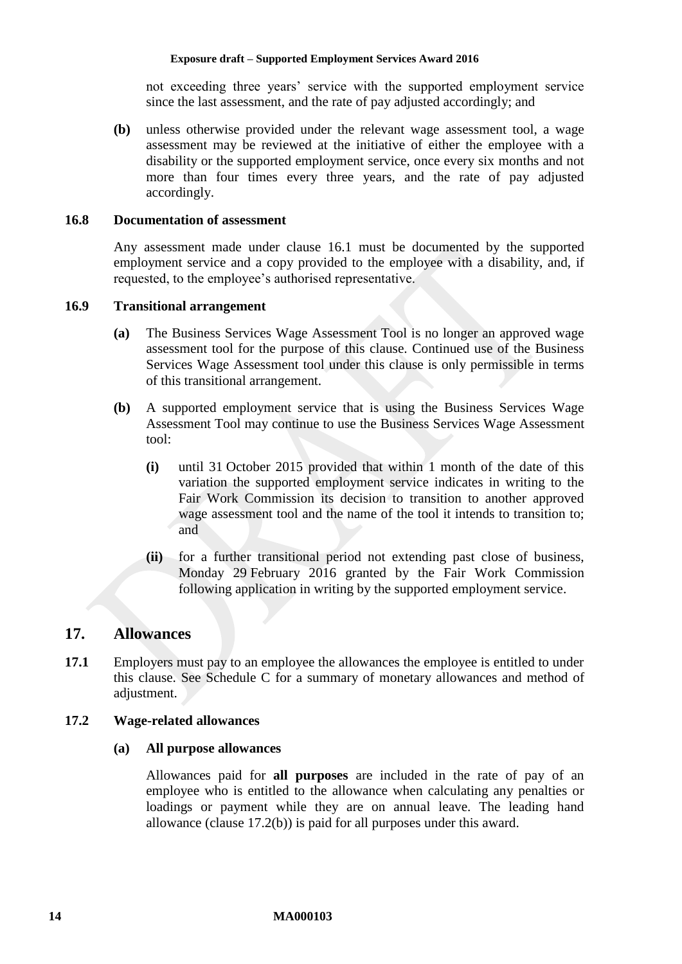not exceeding three years' service with the supported employment service since the last assessment, and the rate of pay adjusted accordingly; and

**(b)** unless otherwise provided under the relevant wage assessment tool, a wage assessment may be reviewed at the initiative of either the employee with a disability or the supported employment service, once every six months and not more than four times every three years, and the rate of pay adjusted accordingly.

#### **16.8 Documentation of assessment**

Any assessment made under clause [16.1](#page-11-4) must be documented by the supported employment service and a copy provided to the employee with a disability, and, if requested, to the employee's authorised representative.

### **16.9 Transitional arrangement**

- **(a)** The Business Services Wage Assessment Tool is no longer an approved wage assessment tool for the purpose of this clause. Continued use of the Business Services Wage Assessment tool under this clause is only permissible in terms of this transitional arrangement.
- **(b)** A supported employment service that is using the Business Services Wage Assessment Tool may continue to use the Business Services Wage Assessment tool:
	- **(i)** until 31 October 2015 provided that within 1 month of the date of this variation the supported employment service indicates in writing to the Fair Work Commission its decision to transition to another approved wage assessment tool and the name of the tool it intends to transition to; and
	- **(ii)** for a further transitional period not extending past close of business, Monday 29 February 2016 granted by the Fair Work Commission following application in writing by the supported employment service.

### <span id="page-13-0"></span>**17. Allowances**

**17.1** Employers must pay to an employee the allowances the employee is entitled to under this clause. See [Schedule C](#page-41-0) for a summary of monetary allowances and method of adjustment.

### <span id="page-13-1"></span>**17.2 Wage-related allowances**

#### **(a) All purpose allowances**

Allowances paid for **all purposes** are included in the rate of pay of an employee who is entitled to the allowance when calculating any penalties or loadings or payment while they are on annual leave. The leading hand allowance (clause [17.2\(b\)\)](#page-14-0) is paid for all purposes under this award.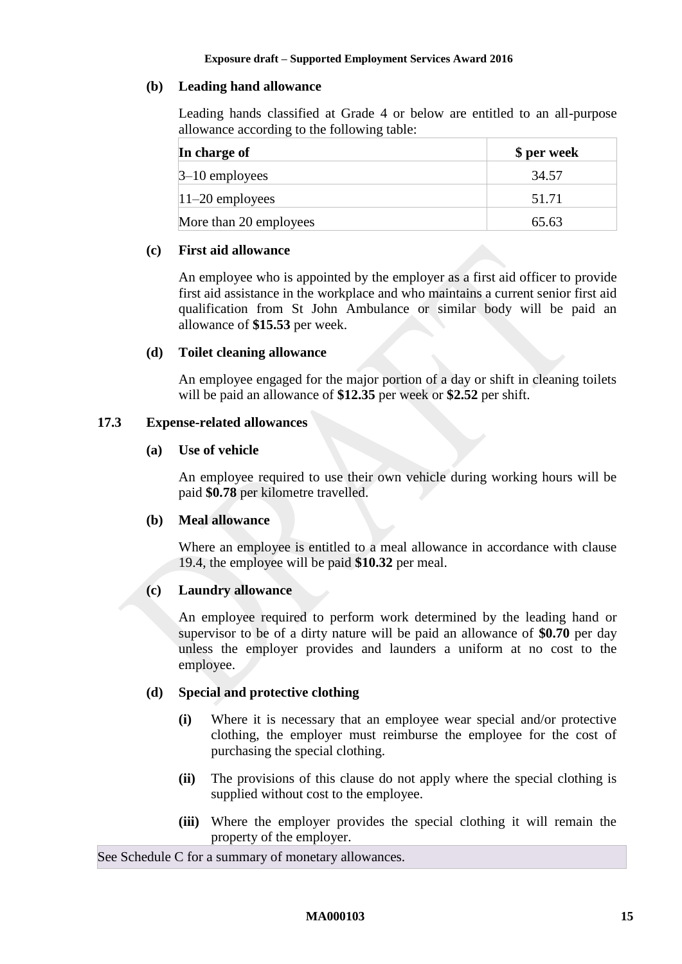### <span id="page-14-0"></span>**(b) Leading hand allowance**

Leading hands classified at Grade 4 or below are entitled to an all-purpose allowance according to the following table:

| In charge of           | \$ per week |
|------------------------|-------------|
| $3-10$ employees       | 34.57       |
| $ 11-20$ employees     | 51.71       |
| More than 20 employees | 65.63       |

#### <span id="page-14-2"></span>**(c) First aid allowance**

An employee who is appointed by the employer as a first aid officer to provide first aid assistance in the workplace and who maintains a current senior first aid qualification from St John Ambulance or similar body will be paid an allowance of **\$15.53** per week.

#### <span id="page-14-3"></span>**(d) Toilet cleaning allowance**

An employee engaged for the major portion of a day or shift in cleaning toilets will be paid an allowance of **\$12.35** per week or **\$2.52** per shift.

### <span id="page-14-5"></span><span id="page-14-4"></span>**17.3 Expense-related allowances**

#### **(a) Use of vehicle**

An employee required to use their own vehicle during working hours will be paid **\$0.78** per kilometre travelled.

#### <span id="page-14-1"></span>**(b) Meal allowance**

Where an employee is entitled to a meal allowance in accordance with clause [19.4,](#page-16-3) the employee will be paid **\$10.32** per meal.

### <span id="page-14-6"></span>**(c) Laundry allowance**

An employee required to perform work determined by the leading hand or supervisor to be of a dirty nature will be paid an allowance of **\$0.70** per day unless the employer provides and launders a uniform at no cost to the employee.

### **(d) Special and protective clothing**

- **(i)** Where it is necessary that an employee wear special and/or protective clothing, the employer must reimburse the employee for the cost of purchasing the special clothing.
- **(ii)** The provisions of this clause do not apply where the special clothing is supplied without cost to the employee.
- **(iii)** Where the employer provides the special clothing it will remain the property of the employer.

See [Schedule C](#page-41-0) for a summary of monetary allowances.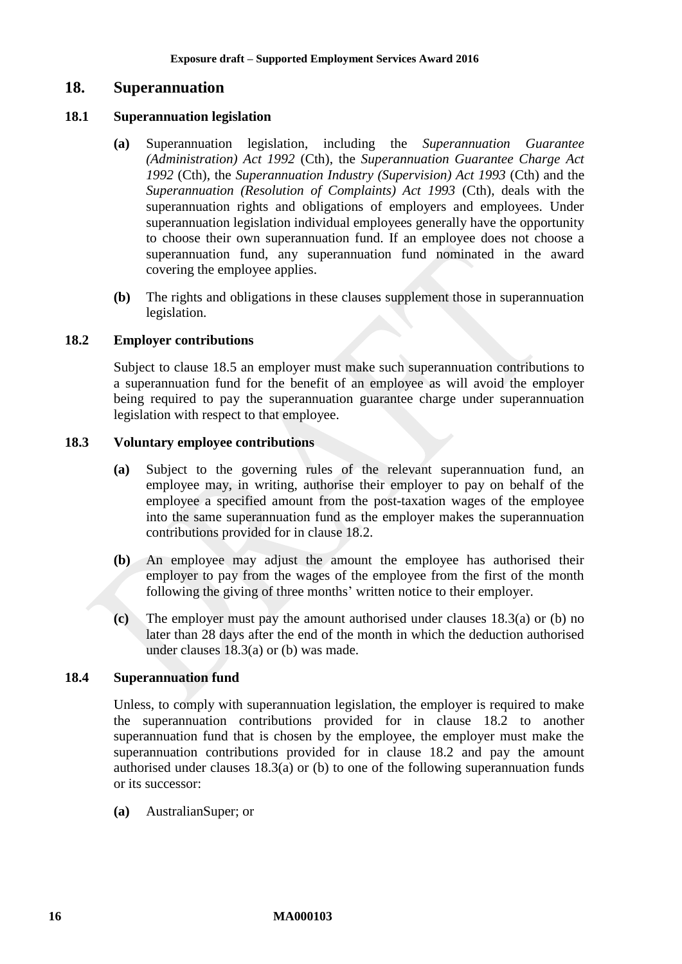### <span id="page-15-0"></span>**18. Superannuation**

#### **18.1 Superannuation legislation**

- **(a)** Superannuation legislation, including the *Superannuation Guarantee (Administration) Act 1992* (Cth), the *Superannuation Guarantee Charge Act 1992* (Cth), the *Superannuation Industry (Supervision) Act 1993* (Cth) and the *Superannuation (Resolution of Complaints) Act 1993* (Cth), deals with the superannuation rights and obligations of employers and employees. Under superannuation legislation individual employees generally have the opportunity to choose their own superannuation fund. If an employee does not choose a superannuation fund, any superannuation fund nominated in the award covering the employee applies.
- **(b)** The rights and obligations in these clauses supplement those in superannuation legislation.

#### <span id="page-15-1"></span>**18.2 Employer contributions**

Subject to clause [18.5](#page-16-4) an employer must make such superannuation contributions to a superannuation fund for the benefit of an employee as will avoid the employer being required to pay the superannuation guarantee charge under superannuation legislation with respect to that employee.

#### <span id="page-15-2"></span>**18.3 Voluntary employee contributions**

- **(a)** Subject to the governing rules of the relevant superannuation fund, an employee may, in writing, authorise their employer to pay on behalf of the employee a specified amount from the post-taxation wages of the employee into the same superannuation fund as the employer makes the superannuation contributions provided for in clause [18.2.](#page-15-1)
- <span id="page-15-3"></span>**(b)** An employee may adjust the amount the employee has authorised their employer to pay from the wages of the employee from the first of the month following the giving of three months' written notice to their employer.
- **(c)** The employer must pay the amount authorised under clauses [18.3\(a\)](#page-15-2) or [\(b\)](#page-15-3) no later than 28 days after the end of the month in which the deduction authorised under clauses [18.3\(a\)](#page-15-2) or [\(b\)](#page-15-3) was made.

#### **18.4 Superannuation fund**

Unless, to comply with superannuation legislation, the employer is required to make the superannuation contributions provided for in clause [18.2](#page-15-1) to another superannuation fund that is chosen by the employee, the employer must make the superannuation contributions provided for in clause [18.2](#page-15-1) and pay the amount authorised under clauses [18.3\(a\)](#page-15-2) or [\(b\)](#page-15-3) to one of the following superannuation funds or its successor:

**(a)** AustralianSuper; or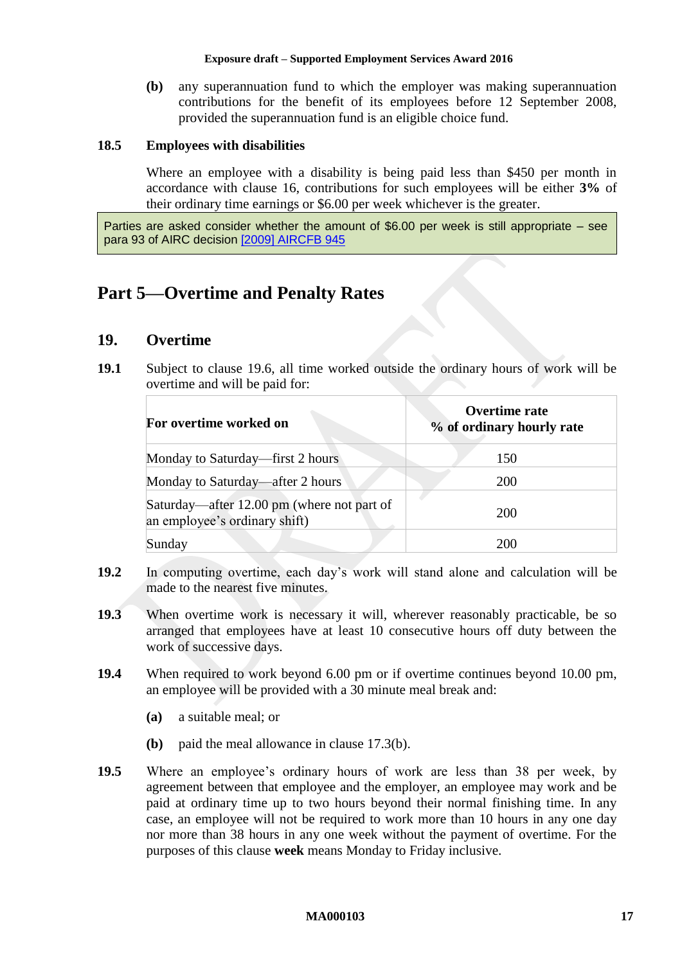**(b)** any superannuation fund to which the employer was making superannuation contributions for the benefit of its employees before 12 September 2008, provided the superannuation fund is an eligible choice fund.

### <span id="page-16-4"></span>**18.5 Employees with disabilities**

Where an employee with a disability is being paid less than \$450 per month in accordance with clause [16,](#page-11-0) contributions for such employees will be either **3%** of their ordinary time earnings or \$6.00 per week whichever is the greater.

Parties are asked consider whether the amount of \$6.00 per week is still appropriate – see para 93 of AIRC decision [\[2009\] AIRCFB 945](https://www.fwc.gov.au/decisionssigned/html/2009AIRCFB945.htm)

# <span id="page-16-1"></span><span id="page-16-0"></span>**Part 5—Overtime and Penalty Rates**

## **19. Overtime**

**19.1** Subject to clause [19.6,](#page-17-1) all time worked outside the ordinary hours of work will be overtime and will be paid for:

| For overtime worked on                                                      | Overtime rate<br>% of ordinary hourly rate |
|-----------------------------------------------------------------------------|--------------------------------------------|
| Monday to Saturday—first 2 hours                                            | 150                                        |
| Monday to Saturday—after 2 hours                                            | <b>200</b>                                 |
| Saturday—after 12.00 pm (where not part of<br>an employee's ordinary shift) | 200                                        |
| Sunday                                                                      | 200                                        |

- **19.2** In computing overtime, each day's work will stand alone and calculation will be made to the nearest five minutes.
- **19.3** When overtime work is necessary it will, wherever reasonably practicable, be so arranged that employees have at least 10 consecutive hours off duty between the work of successive days.
- <span id="page-16-3"></span>**19.4** When required to work beyond 6.00 pm or if overtime continues beyond 10.00 pm, an employee will be provided with a 30 minute meal break and:
	- **(a)** a suitable meal; or
	- **(b)** paid the meal allowance in clause [17.3\(b\).](#page-14-1)
- <span id="page-16-2"></span>**19.5** Where an employee's ordinary hours of work are less than 38 per week, by agreement between that employee and the employer, an employee may work and be paid at ordinary time up to two hours beyond their normal finishing time. In any case, an employee will not be required to work more than 10 hours in any one day nor more than 38 hours in any one week without the payment of overtime. For the purposes of this clause **week** means Monday to Friday inclusive.

#### **MA000103 17**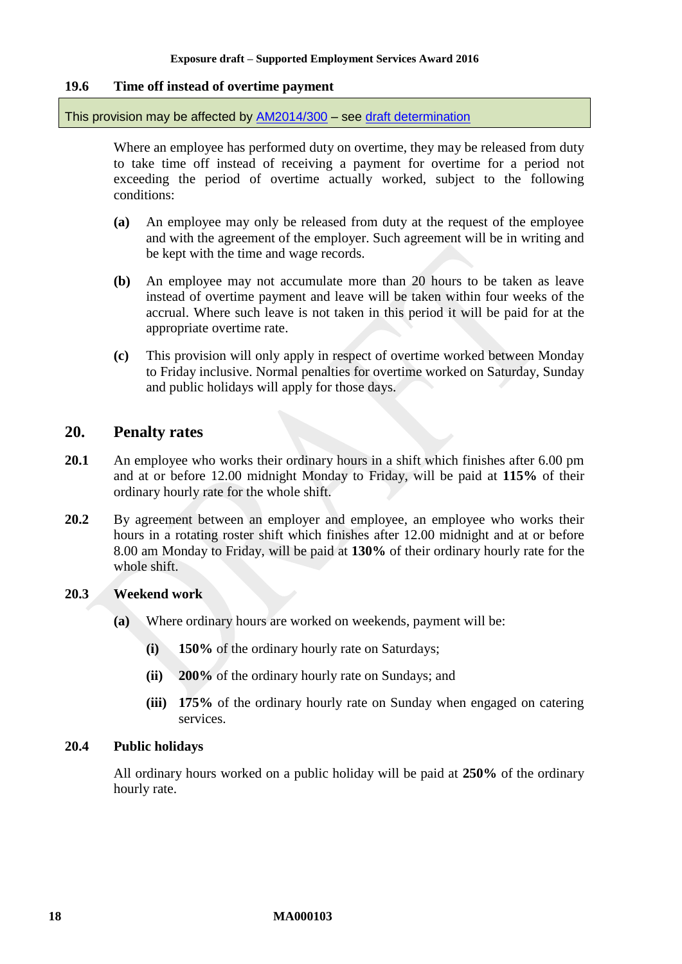### <span id="page-17-1"></span>**19.6 Time off instead of overtime payment**

This provision may be affected by [AM2014/300](https://www.fwc.gov.au/awards-and-agreements/modern-award-reviews/4-yearly-review/am2014300-award-flexibility) – see [draft determination](http://www.fwc.gov.au/documents/sites/awardsmodernfouryr/common/MA000103-flex-draft-det.pdf)

Where an employee has performed duty on overtime, they may be released from duty to take time off instead of receiving a payment for overtime for a period not exceeding the period of overtime actually worked, subject to the following conditions:

- **(a)** An employee may only be released from duty at the request of the employee and with the agreement of the employer. Such agreement will be in writing and be kept with the time and wage records.
- **(b)** An employee may not accumulate more than 20 hours to be taken as leave instead of overtime payment and leave will be taken within four weeks of the accrual. Where such leave is not taken in this period it will be paid for at the appropriate overtime rate.
- **(c)** This provision will only apply in respect of overtime worked between Monday to Friday inclusive. Normal penalties for overtime worked on Saturday, Sunday and public holidays will apply for those days.

### <span id="page-17-0"></span>**20. Penalty rates**

- <span id="page-17-3"></span>**20.1** An employee who works their ordinary hours in a shift which finishes after 6.00 pm and at or before 12.00 midnight Monday to Friday, will be paid at **115%** of their ordinary hourly rate for the whole shift.
- <span id="page-17-4"></span>**20.2** By agreement between an employer and employee, an employee who works their hours in a rotating roster shift which finishes after 12.00 midnight and at or before 8.00 am Monday to Friday, will be paid at **130%** of their ordinary hourly rate for the whole shift.

### **20.3 Weekend work**

- **(a)** Where ordinary hours are worked on weekends, payment will be:
	- **(i) 150%** of the ordinary hourly rate on Saturdays;
	- **(ii) 200%** of the ordinary hourly rate on Sundays; and
	- **(iii) 175%** of the ordinary hourly rate on Sunday when engaged on catering services.

### <span id="page-17-2"></span>**20.4 Public holidays**

All ordinary hours worked on a public holiday will be paid at **250%** of the ordinary hourly rate.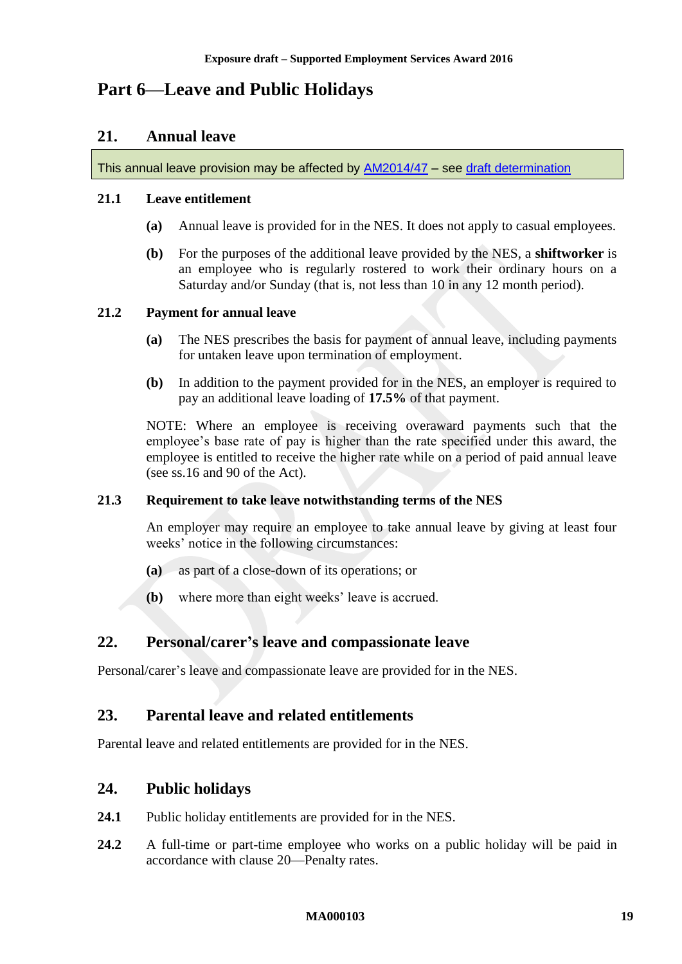# <span id="page-18-1"></span><span id="page-18-0"></span>**Part 6—Leave and Public Holidays**

### **21. Annual leave**

This annual leave provision may be affected by [AM2014/47](https://www.fwc.gov.au/awards-and-agreements/modern-award-reviews/4-yearly-review/common-issues/am201447-annual-leave) – see [draft determination](http://www.fwc.gov.au/documents/sites/awardsmodernfouryr/common/MA000103-AL2-draft-determination.pdf)

#### **21.1 Leave entitlement**

- **(a)** Annual leave is provided for in the NES. It does not apply to casual employees.
- **(b)** For the purposes of the additional leave provided by the NES, a **shiftworker** is an employee who is regularly rostered to work their ordinary hours on a Saturday and/or Sunday (that is, not less than 10 in any 12 month period).

#### **21.2 Payment for annual leave**

- **(a)** The NES prescribes the basis for payment of annual leave, including payments for untaken leave upon termination of employment.
- **(b)** In addition to the payment provided for in the NES, an employer is required to pay an additional leave loading of **17.5%** of that payment.

NOTE: Where an employee is receiving overaward payments such that the employee's base rate of pay is higher than the rate specified under this award, the employee is entitled to receive the higher rate while on a period of paid annual leave (see ss.16 and 90 of the Act).

### **21.3 Requirement to take leave notwithstanding terms of the NES**

An employer may require an employee to take annual leave by giving at least four weeks' notice in the following circumstances:

- **(a)** as part of a close-down of its operations; or
- **(b)** where more than eight weeks' leave is accrued.

### <span id="page-18-2"></span>**22. Personal/carer's leave and compassionate leave**

<span id="page-18-3"></span>Personal/carer's leave and compassionate leave are provided for in the NES.

### **23. Parental leave and related entitlements**

<span id="page-18-4"></span>Parental leave and related entitlements are provided for in the NES.

### **24. Public holidays**

- **24.1** Public holiday entitlements are provided for in the NES.
- **24.2** A full-time or part-time employee who works on a public holiday will be paid in accordance with clause [20—Penalty rates.](#page-17-0)

#### **MA000103 19**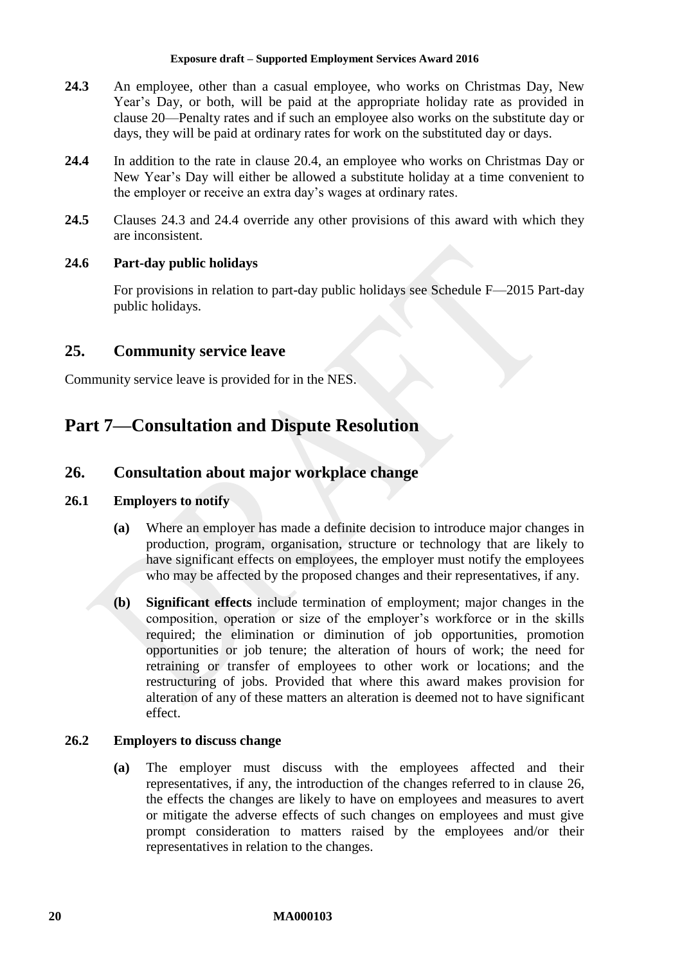- <span id="page-19-3"></span>**24.3** An employee, other than a casual employee, who works on Christmas Day, New Year's Day, or both, will be paid at the appropriate holiday rate as provided in clause [20—Penalty rates](#page-17-0) and if such an employee also works on the substitute day or days, they will be paid at ordinary rates for work on the substituted day or days.
- <span id="page-19-4"></span>**24.4** In addition to the rate in clause [20.4,](#page-17-2) an employee who works on Christmas Day or New Year's Day will either be allowed a substitute holiday at a time convenient to the employer or receive an extra day's wages at ordinary rates.
- **24.5** Clauses [24.3](#page-19-3) and [24.4](#page-19-4) override any other provisions of this award with which they are inconsistent.

### **24.6 Part-day public holidays**

For provisions in relation to part-day public holidays see [Schedule F—](#page-57-0)2015 Part-day public holidays.

# <span id="page-19-0"></span>**25. Community service leave**

<span id="page-19-1"></span>Community service leave is provided for in the NES.

# <span id="page-19-2"></span>**Part 7—Consultation and Dispute Resolution**

# **26. Consultation about major workplace change**

### **26.1 Employers to notify**

- **(a)** Where an employer has made a definite decision to introduce major changes in production, program, organisation, structure or technology that are likely to have significant effects on employees, the employer must notify the employees who may be affected by the proposed changes and their representatives, if any.
- **(b) Significant effects** include termination of employment; major changes in the composition, operation or size of the employer's workforce or in the skills required; the elimination or diminution of job opportunities, promotion opportunities or job tenure; the alteration of hours of work; the need for retraining or transfer of employees to other work or locations; and the restructuring of jobs. Provided that where this award makes provision for alteration of any of these matters an alteration is deemed not to have significant effect.

### **26.2 Employers to discuss change**

**(a)** The employer must discuss with the employees affected and their representatives, if any, the introduction of the changes referred to in clause [26,](#page-19-2) the effects the changes are likely to have on employees and measures to avert or mitigate the adverse effects of such changes on employees and must give prompt consideration to matters raised by the employees and/or their representatives in relation to the changes.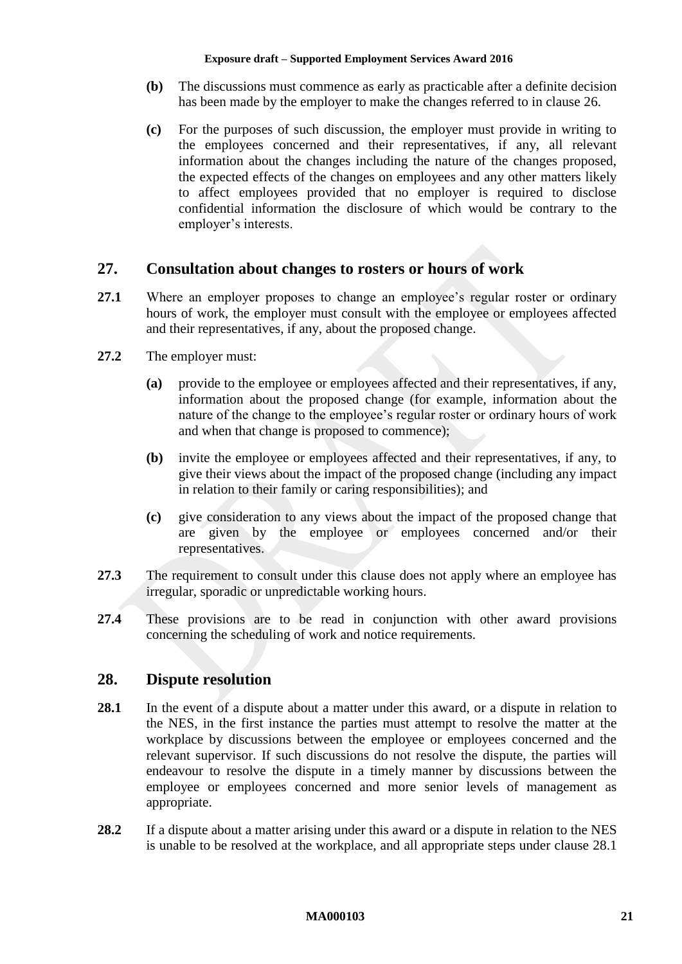- **(b)** The discussions must commence as early as practicable after a definite decision has been made by the employer to make the changes referred to in clause [26.](#page-19-2)
- **(c)** For the purposes of such discussion, the employer must provide in writing to the employees concerned and their representatives, if any, all relevant information about the changes including the nature of the changes proposed, the expected effects of the changes on employees and any other matters likely to affect employees provided that no employer is required to disclose confidential information the disclosure of which would be contrary to the employer's interests.

# <span id="page-20-0"></span>**27. Consultation about changes to rosters or hours of work**

- **27.1** Where an employer proposes to change an employee's regular roster or ordinary hours of work, the employer must consult with the employee or employees affected and their representatives, if any, about the proposed change.
- **27.2** The employer must:
	- **(a)** provide to the employee or employees affected and their representatives, if any, information about the proposed change (for example, information about the nature of the change to the employee's regular roster or ordinary hours of work and when that change is proposed to commence);
	- **(b)** invite the employee or employees affected and their representatives, if any, to give their views about the impact of the proposed change (including any impact in relation to their family or caring responsibilities); and
	- **(c)** give consideration to any views about the impact of the proposed change that are given by the employee or employees concerned and/or their representatives.
- **27.3** The requirement to consult under this clause does not apply where an employee has irregular, sporadic or unpredictable working hours.
- **27.4** These provisions are to be read in conjunction with other award provisions concerning the scheduling of work and notice requirements.

# <span id="page-20-1"></span>**28. Dispute resolution**

- <span id="page-20-2"></span>28.1 In the event of a dispute about a matter under this award, or a dispute in relation to the NES, in the first instance the parties must attempt to resolve the matter at the workplace by discussions between the employee or employees concerned and the relevant supervisor. If such discussions do not resolve the dispute, the parties will endeavour to resolve the dispute in a timely manner by discussions between the employee or employees concerned and more senior levels of management as appropriate.
- 28.2 If a dispute about a matter arising under this award or a dispute in relation to the NES is unable to be resolved at the workplace, and all appropriate steps under clause [28.1](#page-20-2)

#### **MA000103 21**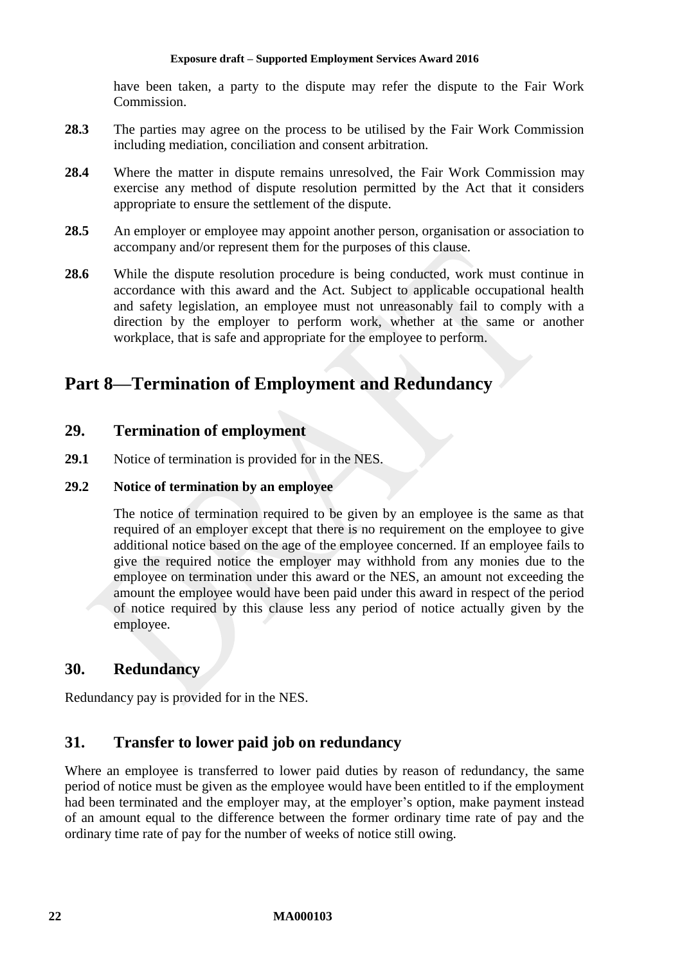have been taken, a party to the dispute may refer the dispute to the Fair Work Commission.

- **28.3** The parties may agree on the process to be utilised by the Fair Work Commission including mediation, conciliation and consent arbitration.
- **28.4** Where the matter in dispute remains unresolved, the Fair Work Commission may exercise any method of dispute resolution permitted by the Act that it considers appropriate to ensure the settlement of the dispute.
- 28.5 An employer or employee may appoint another person, organisation or association to accompany and/or represent them for the purposes of this clause.
- **28.6** While the dispute resolution procedure is being conducted, work must continue in accordance with this award and the Act. Subject to applicable occupational health and safety legislation, an employee must not unreasonably fail to comply with a direction by the employer to perform work, whether at the same or another workplace, that is safe and appropriate for the employee to perform.

# <span id="page-21-1"></span><span id="page-21-0"></span>**Part 8—Termination of Employment and Redundancy**

# **29. Termination of employment**

**29.1** Notice of termination is provided for in the NES.

### **29.2 Notice of termination by an employee**

The notice of termination required to be given by an employee is the same as that required of an employer except that there is no requirement on the employee to give additional notice based on the age of the employee concerned. If an employee fails to give the required notice the employer may withhold from any monies due to the employee on termination under this award or the NES, an amount not exceeding the amount the employee would have been paid under this award in respect of the period of notice required by this clause less any period of notice actually given by the employee.

# <span id="page-21-2"></span>**30. Redundancy**

<span id="page-21-3"></span>Redundancy pay is provided for in the NES.

# **31. Transfer to lower paid job on redundancy**

Where an employee is transferred to lower paid duties by reason of redundancy, the same period of notice must be given as the employee would have been entitled to if the employment had been terminated and the employer may, at the employer's option, make payment instead of an amount equal to the difference between the former ordinary time rate of pay and the ordinary time rate of pay for the number of weeks of notice still owing.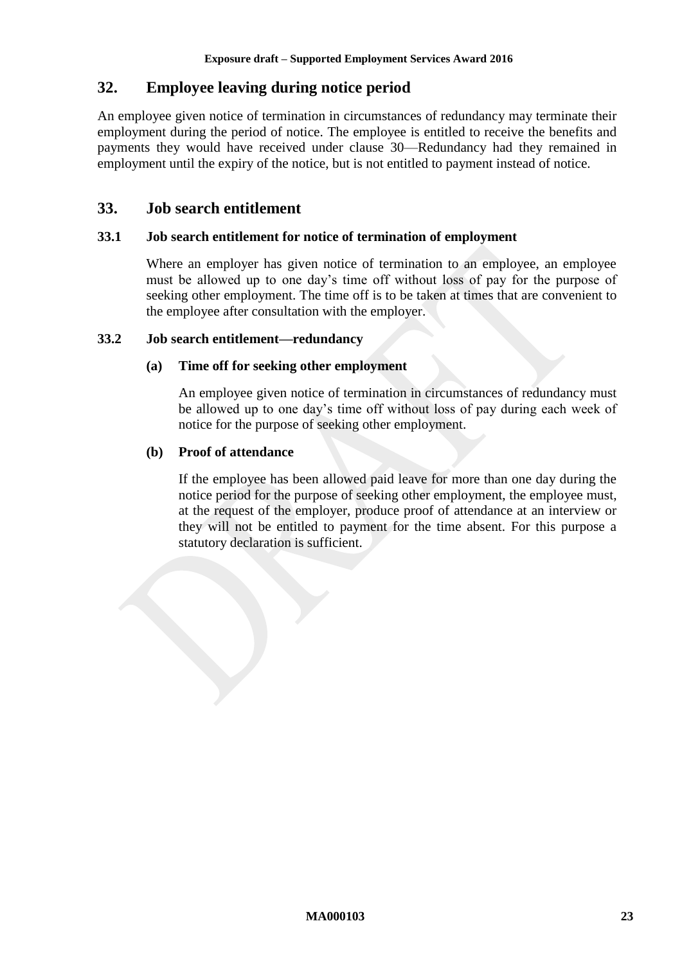# <span id="page-22-0"></span>**32. Employee leaving during notice period**

An employee given notice of termination in circumstances of redundancy may terminate their employment during the period of notice. The employee is entitled to receive the benefits and payments they would have received under clause [30—Redundancy](#page-21-2) had they remained in employment until the expiry of the notice, but is not entitled to payment instead of notice.

# <span id="page-22-1"></span>**33. Job search entitlement**

### **33.1 Job search entitlement for notice of termination of employment**

Where an employer has given notice of termination to an employee, an employee must be allowed up to one day's time off without loss of pay for the purpose of seeking other employment. The time off is to be taken at times that are convenient to the employee after consultation with the employer.

### **33.2 Job search entitlement—redundancy**

### **(a) Time off for seeking other employment**

An employee given notice of termination in circumstances of redundancy must be allowed up to one day's time off without loss of pay during each week of notice for the purpose of seeking other employment.

### **(b) Proof of attendance**

If the employee has been allowed paid leave for more than one day during the notice period for the purpose of seeking other employment, the employee must, at the request of the employer, produce proof of attendance at an interview or they will not be entitled to payment for the time absent. For this purpose a statutory declaration is sufficient.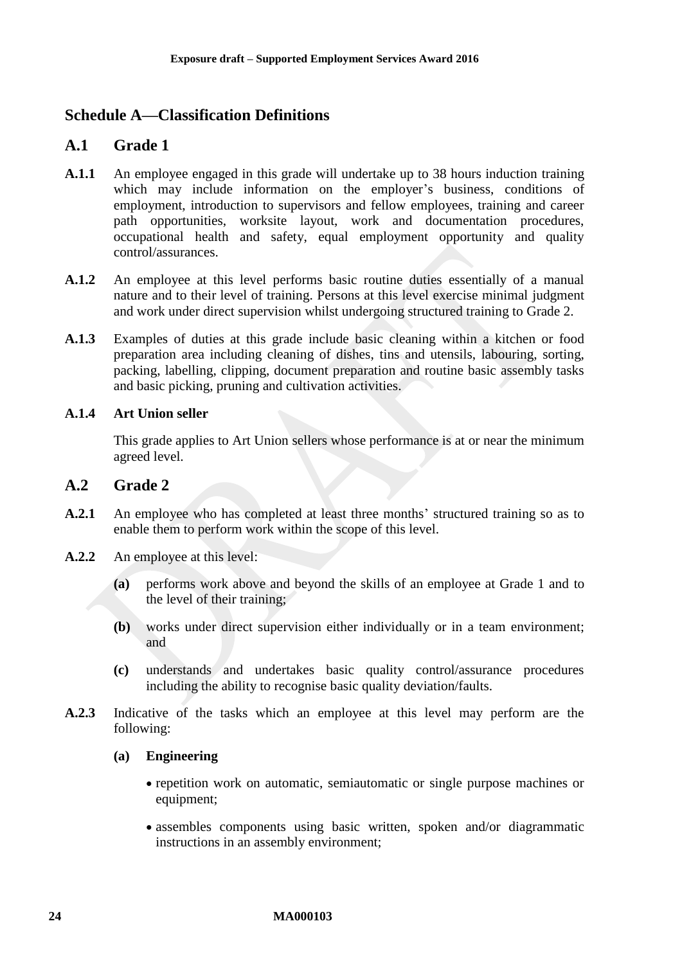# <span id="page-23-1"></span><span id="page-23-0"></span>**Schedule A—Classification Definitions**

# **A.1 Grade 1**

- **A.1.1** An employee engaged in this grade will undertake up to 38 hours induction training which may include information on the employer's business, conditions of employment, introduction to supervisors and fellow employees, training and career path opportunities, worksite layout, work and documentation procedures, occupational health and safety, equal employment opportunity and quality control/assurances.
- **A.1.2** An employee at this level performs basic routine duties essentially of a manual nature and to their level of training. Persons at this level exercise minimal judgment and work under direct supervision whilst undergoing structured training to Grade 2.
- **A.1.3** Examples of duties at this grade include basic cleaning within a kitchen or food preparation area including cleaning of dishes, tins and utensils, labouring, sorting, packing, labelling, clipping, document preparation and routine basic assembly tasks and basic picking, pruning and cultivation activities.

### **A.1.4 Art Union seller**

This grade applies to Art Union sellers whose performance is at or near the minimum agreed level.

# **A.2 Grade 2**

- **A.2.1** An employee who has completed at least three months' structured training so as to enable them to perform work within the scope of this level.
- **A.2.2** An employee at this level:
	- **(a)** performs work above and beyond the skills of an employee at Grade 1 and to the level of their training;
	- **(b)** works under direct supervision either individually or in a team environment; and
	- **(c)** understands and undertakes basic quality control/assurance procedures including the ability to recognise basic quality deviation/faults.
- **A.2.3** Indicative of the tasks which an employee at this level may perform are the following:

### **(a) Engineering**

- repetition work on automatic, semiautomatic or single purpose machines or equipment;
- assembles components using basic written, spoken and/or diagrammatic instructions in an assembly environment;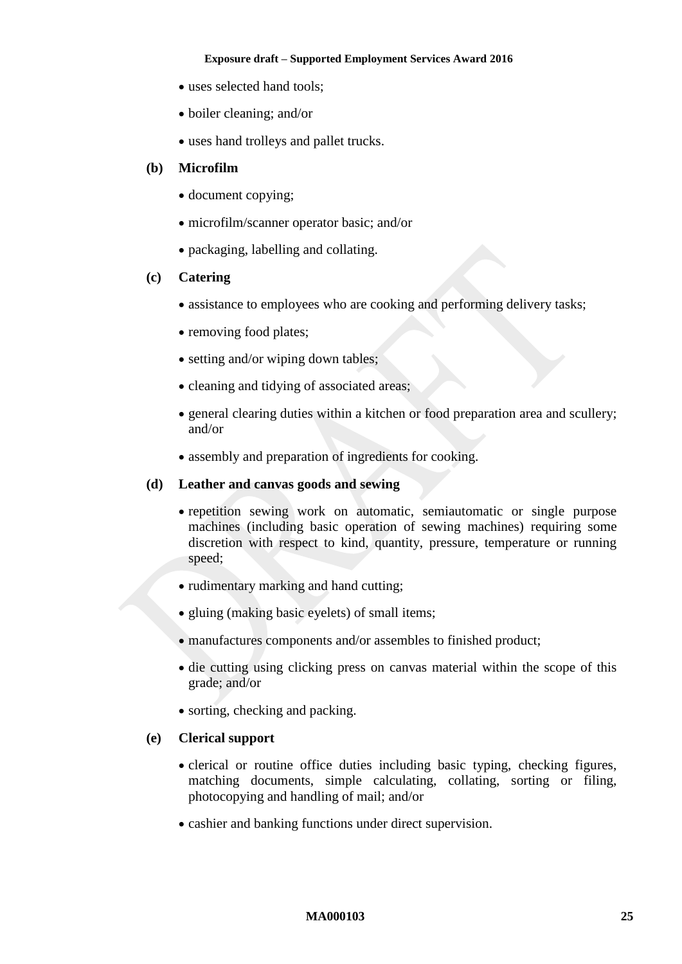- uses selected hand tools:
- boiler cleaning; and/or
- uses hand trolleys and pallet trucks.

### **(b) Microfilm**

- document copying;
- microfilm/scanner operator basic; and/or
- packaging, labelling and collating.

### **(c) Catering**

- assistance to employees who are cooking and performing delivery tasks;
- removing food plates;
- setting and/or wiping down tables:
- cleaning and tidying of associated areas;
- general clearing duties within a kitchen or food preparation area and scullery; and/or
- assembly and preparation of ingredients for cooking.

### **(d) Leather and canvas goods and sewing**

- repetition sewing work on automatic, semiautomatic or single purpose machines (including basic operation of sewing machines) requiring some discretion with respect to kind, quantity, pressure, temperature or running speed;
- rudimentary marking and hand cutting;
- gluing (making basic eyelets) of small items;
- manufactures components and/or assembles to finished product;
- die cutting using clicking press on canvas material within the scope of this grade; and/or
- sorting, checking and packing.

### **(e) Clerical support**

- clerical or routine office duties including basic typing, checking figures, matching documents, simple calculating, collating, sorting or filing, photocopying and handling of mail; and/or
- cashier and banking functions under direct supervision.

#### **MA000103 25**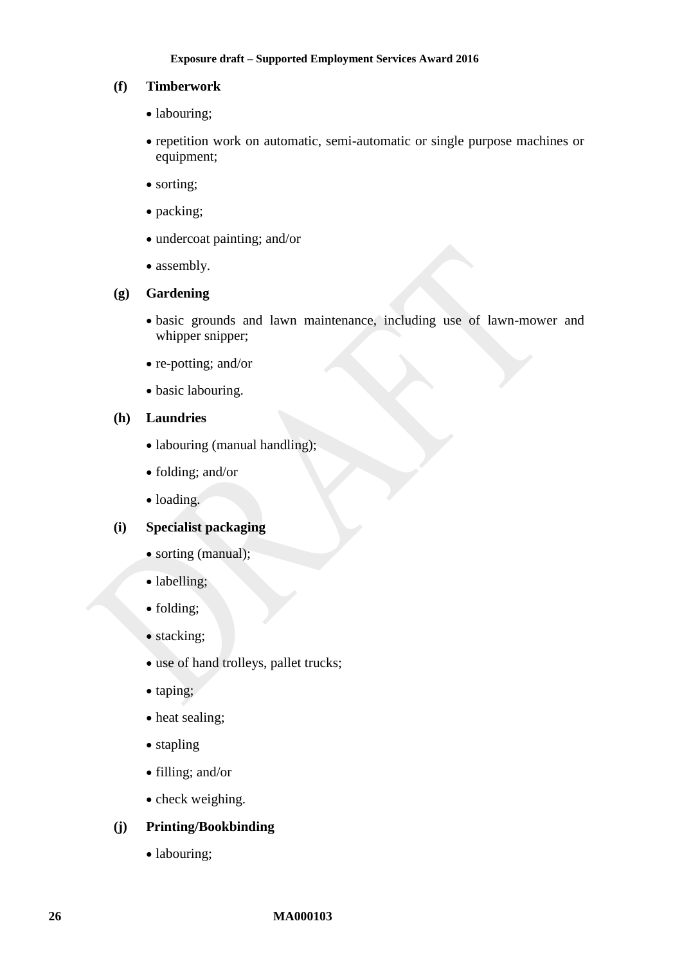### **(f) Timberwork**

- labouring;
- repetition work on automatic, semi-automatic or single purpose machines or equipment;
- sorting;
- packing;
- undercoat painting; and/or
- assembly.

#### **(g) Gardening**

- basic grounds and lawn maintenance, including use of lawn-mower and whipper snipper;
- re-potting; and/or
- basic labouring.

### **(h) Laundries**

- labouring (manual handling);
- folding; and/or
- loading.

### **(i) Specialist packaging**

- sorting (manual);
- labelling;
- folding;
- stacking;
- use of hand trolleys, pallet trucks;
- taping;
- heat sealing;
- stapling
- filling; and/or
- check weighing.

### **(j) Printing/Bookbinding**

• labouring;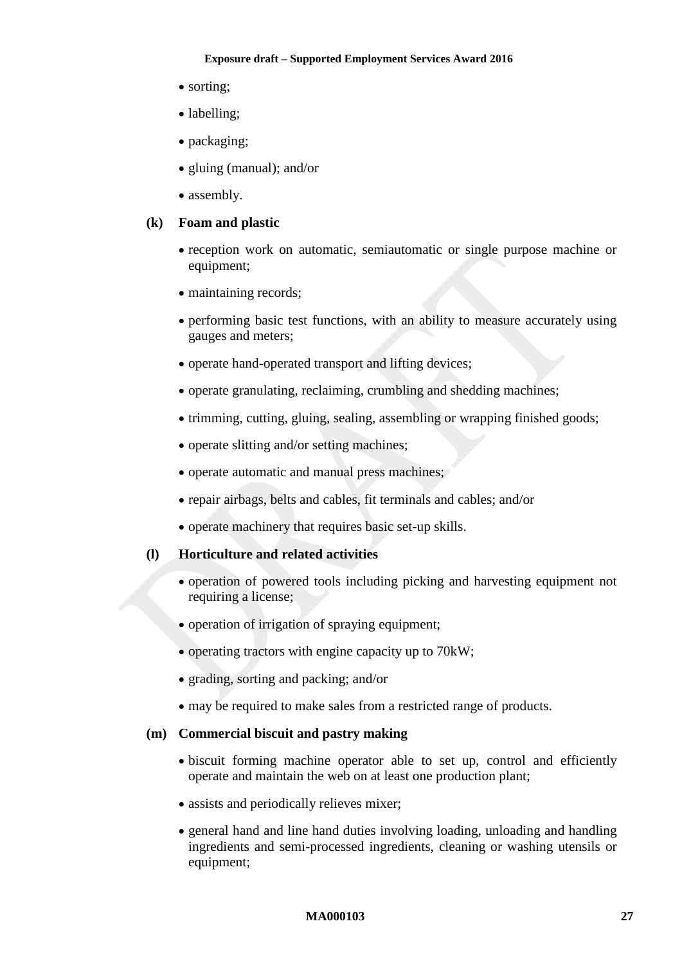- sorting:
- labelling;
- packaging;
- gluing (manual); and/or
- assembly.

### **(k) Foam and plastic**

- reception work on automatic, semiautomatic or single purpose machine or equipment;
- maintaining records;
- performing basic test functions, with an ability to measure accurately using gauges and meters;
- operate hand-operated transport and lifting devices;
- operate granulating, reclaiming, crumbling and shedding machines;
- trimming, cutting, gluing, sealing, assembling or wrapping finished goods;
- operate slitting and/or setting machines;
- operate automatic and manual press machines;
- repair airbags, belts and cables, fit terminals and cables; and/or
- operate machinery that requires basic set-up skills.

### **(l) Horticulture and related activities**

- operation of powered tools including picking and harvesting equipment not requiring a license;
- operation of irrigation of spraying equipment;
- operating tractors with engine capacity up to 70kW;
- grading, sorting and packing; and/or
- may be required to make sales from a restricted range of products.

### **(m) Commercial biscuit and pastry making**

- biscuit forming machine operator able to set up, control and efficiently operate and maintain the web on at least one production plant;
- assists and periodically relieves mixer;
- general hand and line hand duties involving loading, unloading and handling ingredients and semi-processed ingredients, cleaning or washing utensils or equipment;

#### **MA000103 27**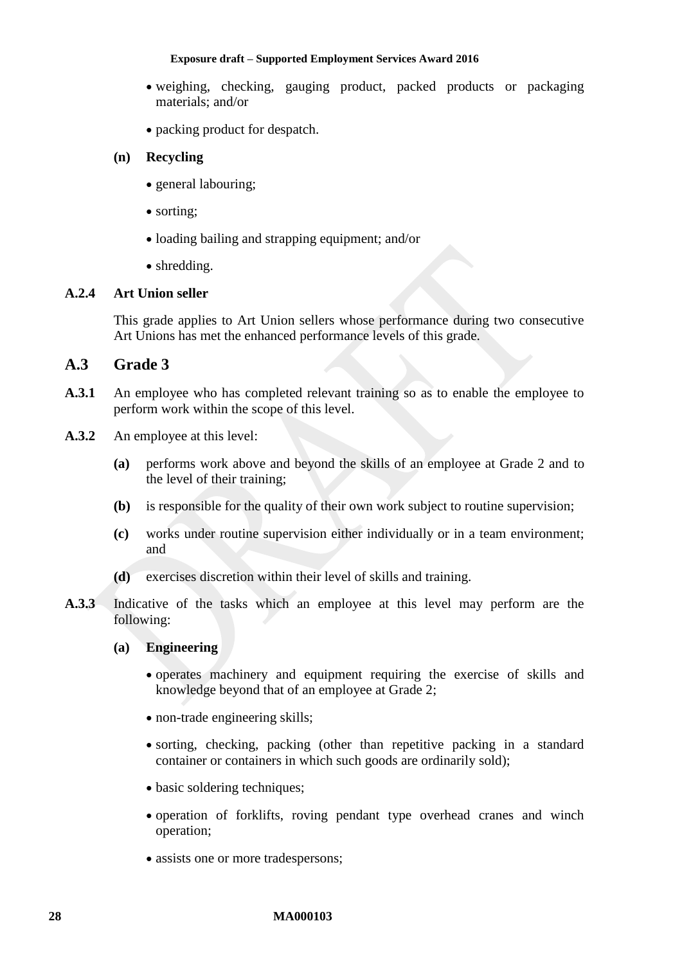- weighing, checking, gauging product, packed products or packaging materials; and/or
- packing product for despatch.

### **(n) Recycling**

- general labouring;
- sorting:
- loading bailing and strapping equipment; and/or
- shredding.

### **A.2.4 Art Union seller**

This grade applies to Art Union sellers whose performance during two consecutive Art Unions has met the enhanced performance levels of this grade.

### **A.3 Grade 3**

- A.3.1 An employee who has completed relevant training so as to enable the employee to perform work within the scope of this level.
- **A.3.2** An employee at this level:
	- **(a)** performs work above and beyond the skills of an employee at Grade 2 and to the level of their training;
	- **(b)** is responsible for the quality of their own work subject to routine supervision;
	- **(c)** works under routine supervision either individually or in a team environment; and
	- **(d)** exercises discretion within their level of skills and training.
- **A.3.3** Indicative of the tasks which an employee at this level may perform are the following:

### **(a) Engineering**

- operates machinery and equipment requiring the exercise of skills and knowledge beyond that of an employee at Grade 2;
- non-trade engineering skills;
- sorting, checking, packing (other than repetitive packing in a standard container or containers in which such goods are ordinarily sold);
- basic soldering techniques;
- operation of forklifts, roving pendant type overhead cranes and winch operation;
- assists one or more tradespersons;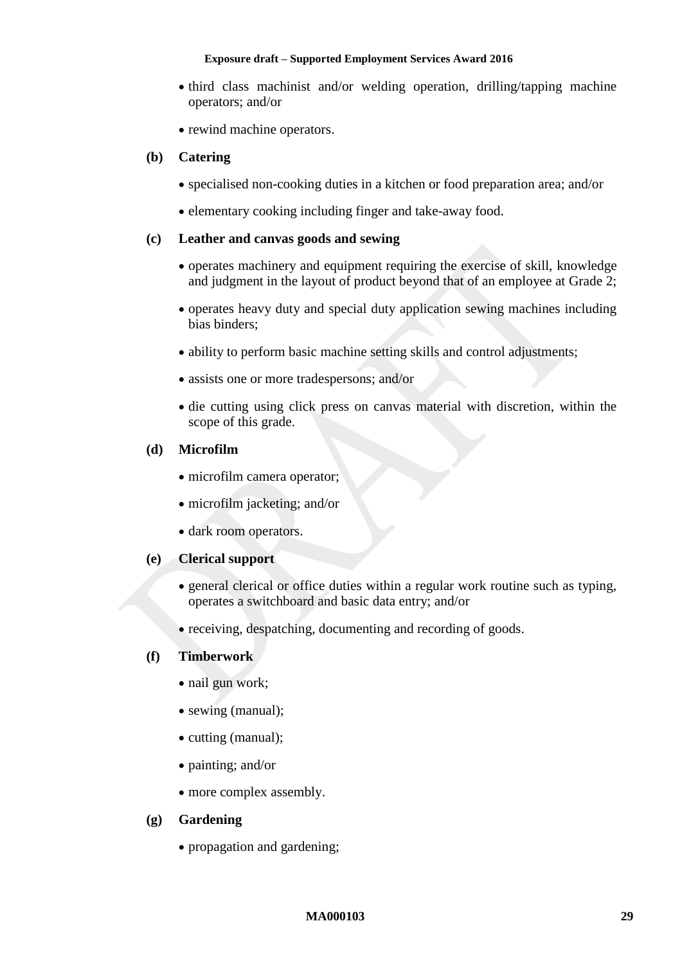- third class machinist and/or welding operation, drilling/tapping machine operators; and/or
- rewind machine operators.

### **(b) Catering**

- specialised non-cooking duties in a kitchen or food preparation area; and/or
- elementary cooking including finger and take-away food.

### **(c) Leather and canvas goods and sewing**

- operates machinery and equipment requiring the exercise of skill, knowledge and judgment in the layout of product beyond that of an employee at Grade 2;
- operates heavy duty and special duty application sewing machines including bias binders;
- ability to perform basic machine setting skills and control adjustments;
- assists one or more tradespersons; and/or
- die cutting using click press on canvas material with discretion, within the scope of this grade.

### **(d) Microfilm**

- microfilm camera operator:
- microfilm jacketing; and/or
- dark room operators.

### **(e) Clerical support**

- general clerical or office duties within a regular work routine such as typing, operates a switchboard and basic data entry; and/or
- receiving, despatching, documenting and recording of goods.

### **(f) Timberwork**

- nail gun work;
- sewing (manual);
- cutting (manual);
- painting; and/or
- more complex assembly.

### **(g) Gardening**

• propagation and gardening;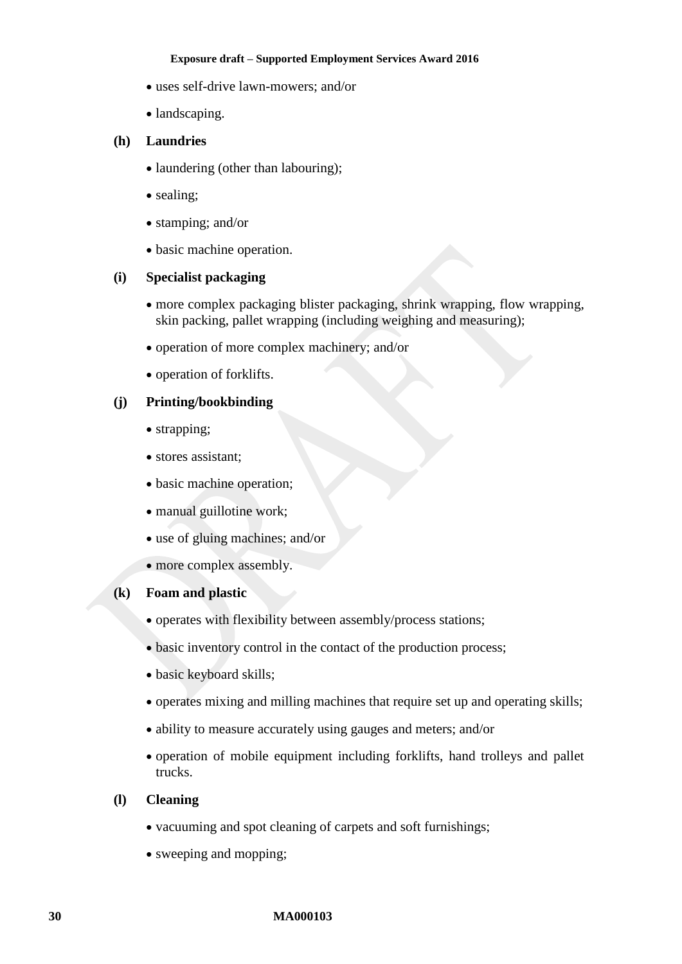- uses self-drive lawn-mowers; and/or
- landscaping.

### **(h) Laundries**

- laundering (other than labouring);
- sealing:
- stamping; and/or
- basic machine operation.

### **(i) Specialist packaging**

- more complex packaging blister packaging, shrink wrapping, flow wrapping, skin packing, pallet wrapping (including weighing and measuring);
- operation of more complex machinery; and/or
- operation of forklifts.

### **(j) Printing/bookbinding**

- strapping;
- stores assistant;
- basic machine operation;
- manual guillotine work;
- use of gluing machines; and/or
- more complex assembly.

### **(k) Foam and plastic**

- operates with flexibility between assembly/process stations;
- basic inventory control in the contact of the production process;
- basic keyboard skills;
- operates mixing and milling machines that require set up and operating skills;
- ability to measure accurately using gauges and meters; and/or
- operation of mobile equipment including forklifts, hand trolleys and pallet trucks.

### **(l) Cleaning**

- vacuuming and spot cleaning of carpets and soft furnishings;
- sweeping and mopping;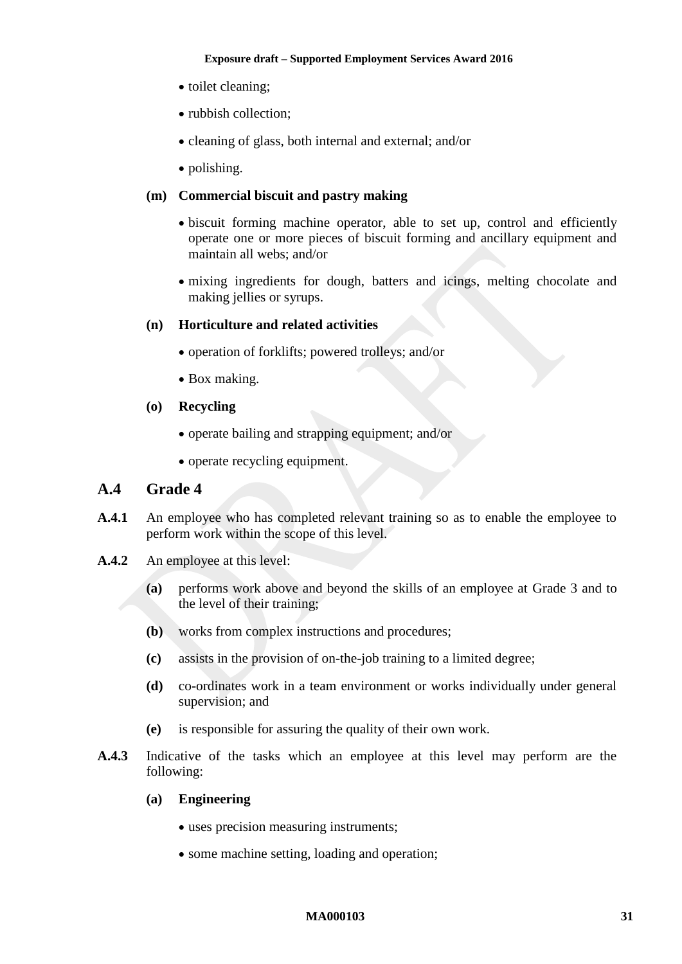- toilet cleaning;
- rubbish collection:
- cleaning of glass, both internal and external; and/or
- polishing.

### **(m) Commercial biscuit and pastry making**

- biscuit forming machine operator, able to set up, control and efficiently operate one or more pieces of biscuit forming and ancillary equipment and maintain all webs; and/or
- mixing ingredients for dough, batters and icings, melting chocolate and making jellies or syrups.

### **(n) Horticulture and related activities**

- operation of forklifts; powered trolleys; and/or
- Box making.
- **(o) Recycling**
	- operate bailing and strapping equipment; and/or
	- operate recycling equipment.

# **A.4 Grade 4**

- **A.4.1** An employee who has completed relevant training so as to enable the employee to perform work within the scope of this level.
- **A.4.2** An employee at this level:
	- **(a)** performs work above and beyond the skills of an employee at Grade 3 and to the level of their training;
	- **(b)** works from complex instructions and procedures;
	- **(c)** assists in the provision of on-the-job training to a limited degree;
	- **(d)** co-ordinates work in a team environment or works individually under general supervision; and
	- **(e)** is responsible for assuring the quality of their own work.
- **A.4.3** Indicative of the tasks which an employee at this level may perform are the following:
	- **(a) Engineering**
		- uses precision measuring instruments;
		- some machine setting, loading and operation;

#### **MA000103 31**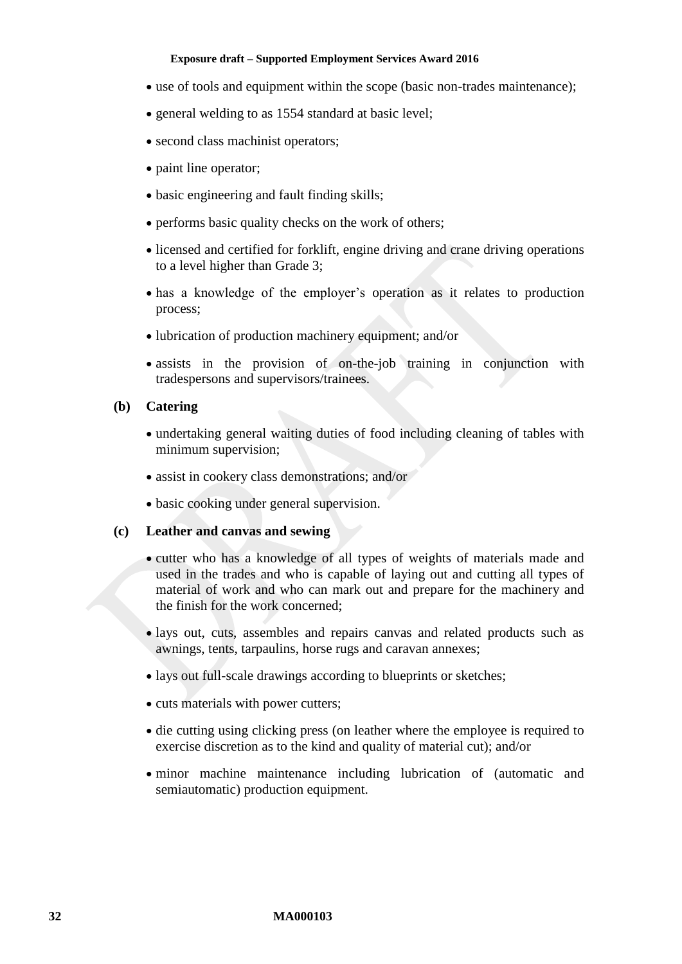- use of tools and equipment within the scope (basic non-trades maintenance);
- general welding to as 1554 standard at basic level;
- second class machinist operators;
- paint line operator;
- basic engineering and fault finding skills;
- performs basic quality checks on the work of others;
- licensed and certified for forklift, engine driving and crane driving operations to a level higher than Grade 3;
- has a knowledge of the employer's operation as it relates to production process;
- lubrication of production machinery equipment; and/or
- assists in the provision of on-the-job training in conjunction with tradespersons and supervisors/trainees.

#### **(b) Catering**

- undertaking general waiting duties of food including cleaning of tables with minimum supervision;
- assist in cookery class demonstrations; and/or
- basic cooking under general supervision.

#### **(c) Leather and canvas and sewing**

- cutter who has a knowledge of all types of weights of materials made and used in the trades and who is capable of laying out and cutting all types of material of work and who can mark out and prepare for the machinery and the finish for the work concerned;
- lays out, cuts, assembles and repairs canvas and related products such as awnings, tents, tarpaulins, horse rugs and caravan annexes;
- lays out full-scale drawings according to blueprints or sketches;
- cuts materials with power cutters;
- die cutting using clicking press (on leather where the employee is required to exercise discretion as to the kind and quality of material cut); and/or
- minor machine maintenance including lubrication of (automatic and semiautomatic) production equipment.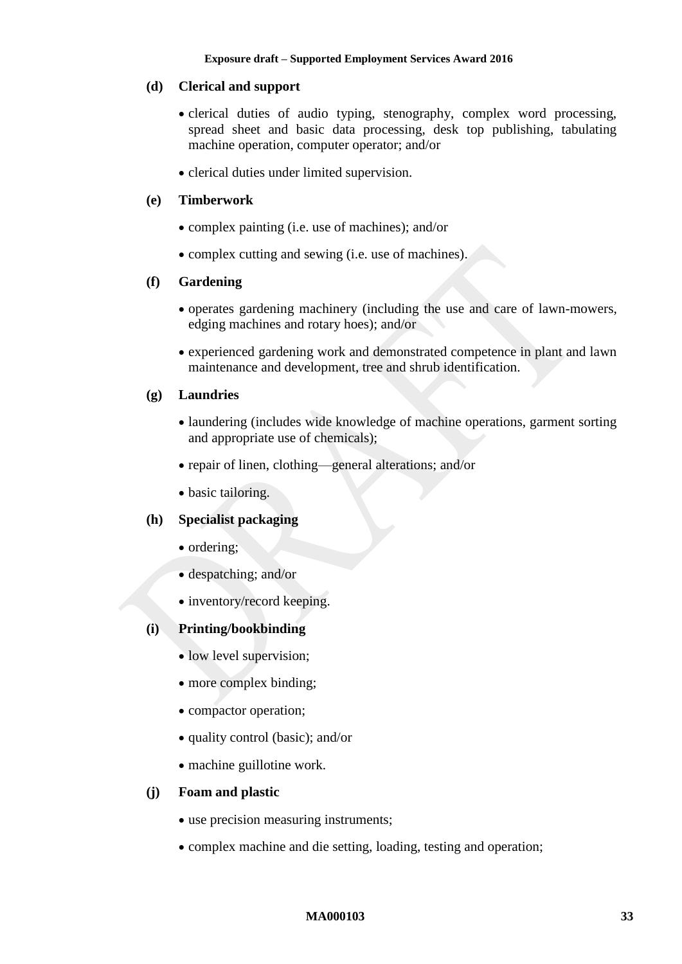### **(d) Clerical and support**

- clerical duties of audio typing, stenography, complex word processing, spread sheet and basic data processing, desk top publishing, tabulating machine operation, computer operator; and/or
- clerical duties under limited supervision.

### **(e) Timberwork**

- complex painting (i.e. use of machines); and/or
- complex cutting and sewing (i.e. use of machines).

### **(f) Gardening**

- operates gardening machinery (including the use and care of lawn-mowers, edging machines and rotary hoes); and/or
- experienced gardening work and demonstrated competence in plant and lawn maintenance and development, tree and shrub identification.

### **(g) Laundries**

- laundering (includes wide knowledge of machine operations, garment sorting and appropriate use of chemicals);
- repair of linen, clothing—general alterations; and/or
- basic tailoring.

### **(h) Specialist packaging**

- ordering;
- despatching; and/or
- inventory/record keeping.

### **(i) Printing/bookbinding**

- low level supervision;
- more complex binding;
- compactor operation;
- quality control (basic); and/or
- machine guillotine work.

### **(j) Foam and plastic**

- use precision measuring instruments;
- complex machine and die setting, loading, testing and operation;

#### **MA000103 33**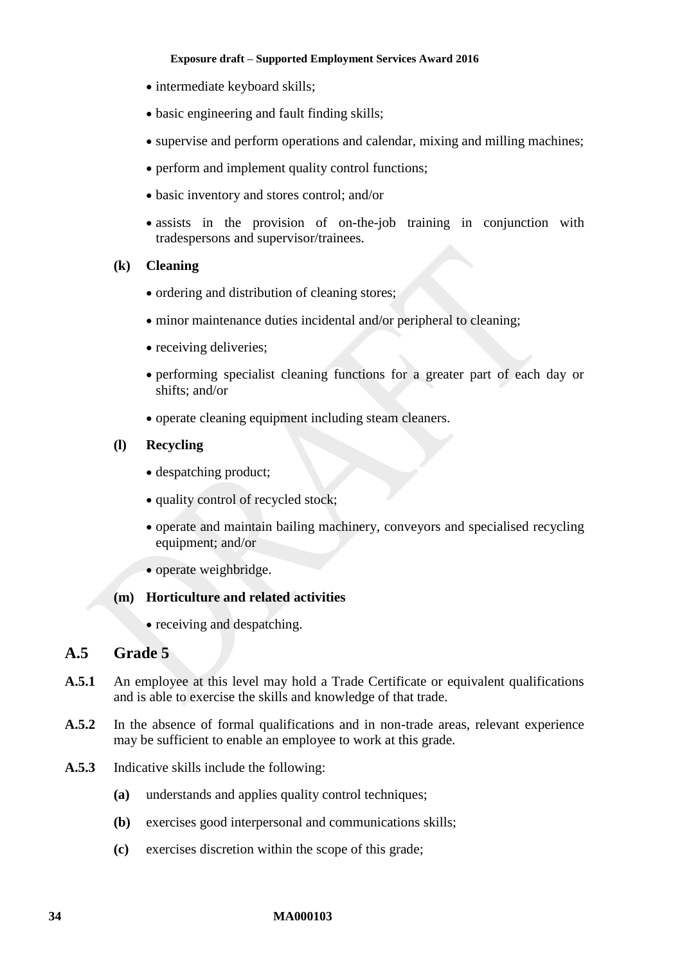- intermediate keyboard skills;
- basic engineering and fault finding skills;
- supervise and perform operations and calendar, mixing and milling machines;
- perform and implement quality control functions;
- basic inventory and stores control; and/or
- assists in the provision of on-the-job training in conjunction with tradespersons and supervisor/trainees.
- **(k) Cleaning**
	- ordering and distribution of cleaning stores;
	- minor maintenance duties incidental and/or peripheral to cleaning;
	- receiving deliveries;
	- performing specialist cleaning functions for a greater part of each day or shifts; and/or
	- operate cleaning equipment including steam cleaners.

### **(l) Recycling**

- despatching product:
- quality control of recycled stock;
- operate and maintain bailing machinery, conveyors and specialised recycling equipment; and/or
- operate weighbridge.

### **(m) Horticulture and related activities**

• receiving and despatching.

# **A.5 Grade 5**

- **A.5.1** An employee at this level may hold a Trade Certificate or equivalent qualifications and is able to exercise the skills and knowledge of that trade.
- **A.5.2** In the absence of formal qualifications and in non-trade areas, relevant experience may be sufficient to enable an employee to work at this grade.
- **A.5.3** Indicative skills include the following:
	- **(a)** understands and applies quality control techniques;
	- **(b)** exercises good interpersonal and communications skills;
	- **(c)** exercises discretion within the scope of this grade;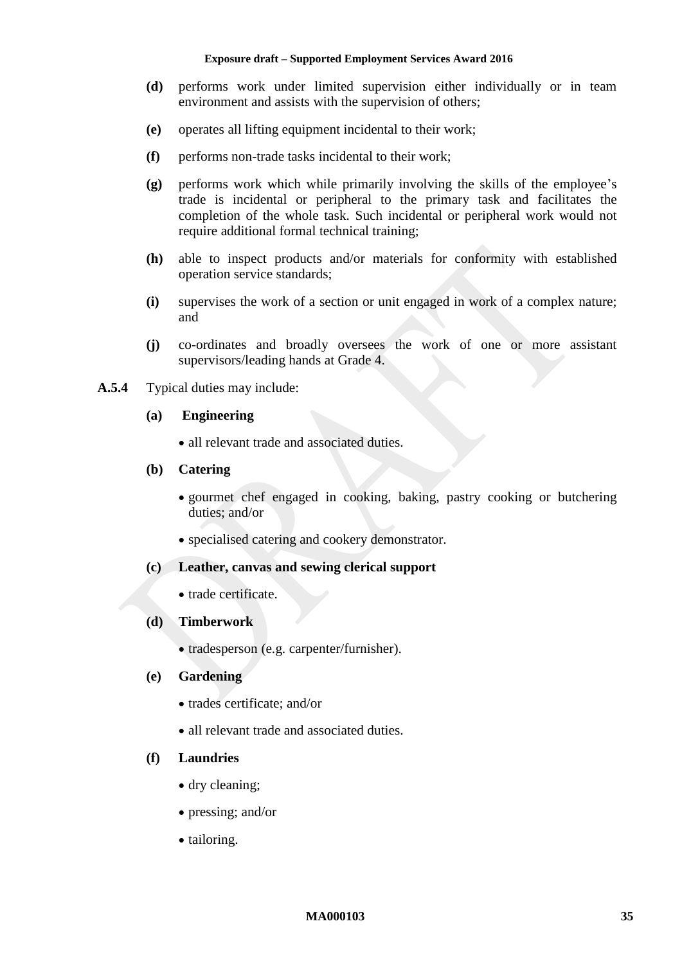- **(d)** performs work under limited supervision either individually or in team environment and assists with the supervision of others;
- **(e)** operates all lifting equipment incidental to their work;
- **(f)** performs non-trade tasks incidental to their work;
- **(g)** performs work which while primarily involving the skills of the employee's trade is incidental or peripheral to the primary task and facilitates the completion of the whole task. Such incidental or peripheral work would not require additional formal technical training;
- **(h)** able to inspect products and/or materials for conformity with established operation service standards;
- **(i)** supervises the work of a section or unit engaged in work of a complex nature; and
- **(j)** co-ordinates and broadly oversees the work of one or more assistant supervisors/leading hands at Grade 4.
- **A.5.4** Typical duties may include:
	- **(a) Engineering**
		- all relevant trade and associated duties.

#### **(b) Catering**

- gourmet chef engaged in cooking, baking, pastry cooking or butchering duties; and/or
- specialised catering and cookery demonstrator.

### **(c) Leather, canvas and sewing clerical support**

• trade certificate.

#### **(d) Timberwork**

• tradesperson (e.g. carpenter/furnisher).

#### **(e) Gardening**

- trades certificate: and/or
- all relevant trade and associated duties.

#### **(f) Laundries**

- dry cleaning;
- pressing; and/or
- tailoring.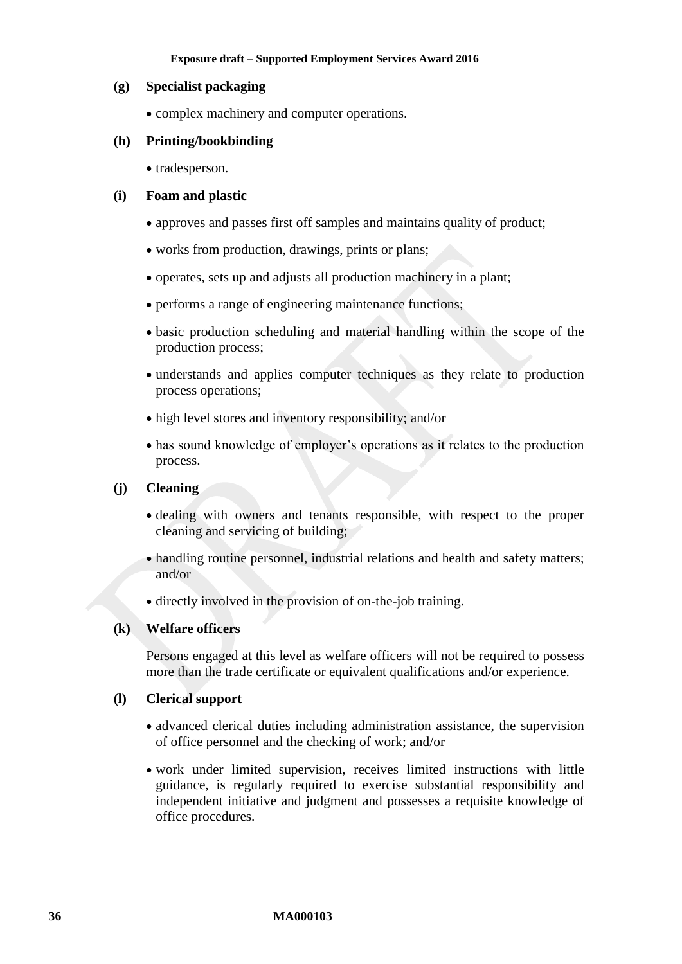#### **(g) Specialist packaging**

• complex machinery and computer operations.

### **(h) Printing/bookbinding**

• tradesperson.

### **(i) Foam and plastic**

- approves and passes first off samples and maintains quality of product;
- works from production, drawings, prints or plans;
- operates, sets up and adjusts all production machinery in a plant;
- performs a range of engineering maintenance functions;
- basic production scheduling and material handling within the scope of the production process;
- understands and applies computer techniques as they relate to production process operations;
- high level stores and inventory responsibility; and/or
- has sound knowledge of employer's operations as it relates to the production process.

### **(j) Cleaning**

- dealing with owners and tenants responsible, with respect to the proper cleaning and servicing of building;
- handling routine personnel, industrial relations and health and safety matters; and/or
- directly involved in the provision of on-the-job training.

### **(k) Welfare officers**

Persons engaged at this level as welfare officers will not be required to possess more than the trade certificate or equivalent qualifications and/or experience.

### **(l) Clerical support**

- advanced clerical duties including administration assistance, the supervision of office personnel and the checking of work; and/or
- work under limited supervision, receives limited instructions with little guidance, is regularly required to exercise substantial responsibility and independent initiative and judgment and possesses a requisite knowledge of office procedures.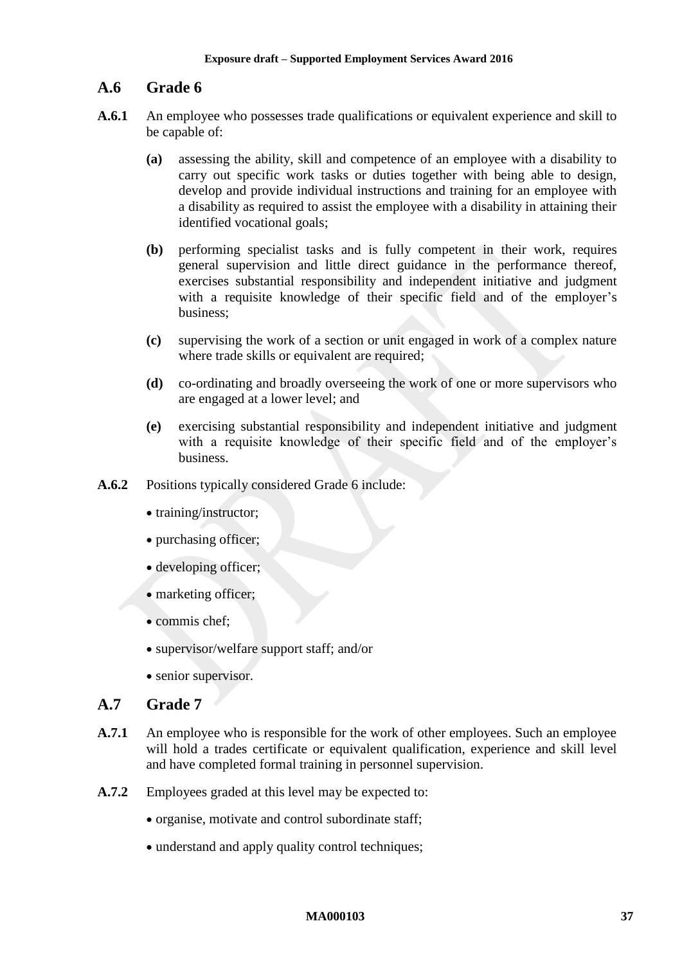# **A.6 Grade 6**

- **A.6.1** An employee who possesses trade qualifications or equivalent experience and skill to be capable of:
	- **(a)** assessing the ability, skill and competence of an employee with a disability to carry out specific work tasks or duties together with being able to design, develop and provide individual instructions and training for an employee with a disability as required to assist the employee with a disability in attaining their identified vocational goals;
	- **(b)** performing specialist tasks and is fully competent in their work, requires general supervision and little direct guidance in the performance thereof, exercises substantial responsibility and independent initiative and judgment with a requisite knowledge of their specific field and of the employer's business;
	- **(c)** supervising the work of a section or unit engaged in work of a complex nature where trade skills or equivalent are required;
	- **(d)** co-ordinating and broadly overseeing the work of one or more supervisors who are engaged at a lower level; and
	- **(e)** exercising substantial responsibility and independent initiative and judgment with a requisite knowledge of their specific field and of the employer's business.
- **A.6.2** Positions typically considered Grade 6 include:
	- training/instructor;
	- purchasing officer;
	- developing officer;
	- marketing officer;
	- commis chef:
	- supervisor/welfare support staff; and/or
	- senior supervisor.

### **A.7 Grade 7**

- **A.7.1** An employee who is responsible for the work of other employees. Such an employee will hold a trades certificate or equivalent qualification, experience and skill level and have completed formal training in personnel supervision.
- **A.7.2** Employees graded at this level may be expected to:
	- organise, motivate and control subordinate staff;
	- understand and apply quality control techniques;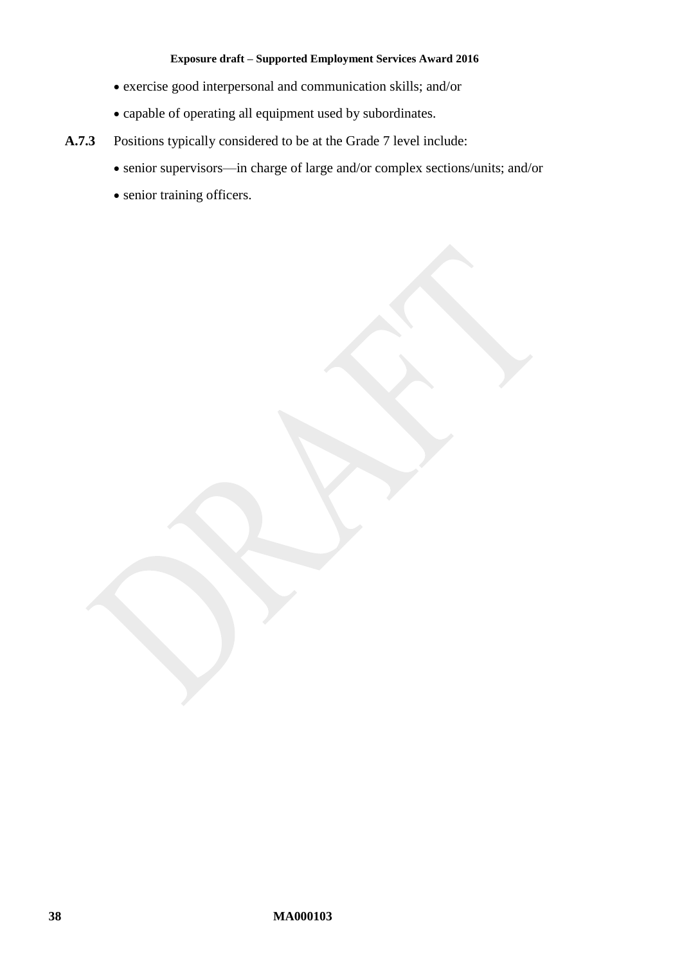- exercise good interpersonal and communication skills; and/or
- capable of operating all equipment used by subordinates.
- **A.7.3** Positions typically considered to be at the Grade 7 level include:
	- senior supervisors—in charge of large and/or complex sections/units; and/or
	- senior training officers.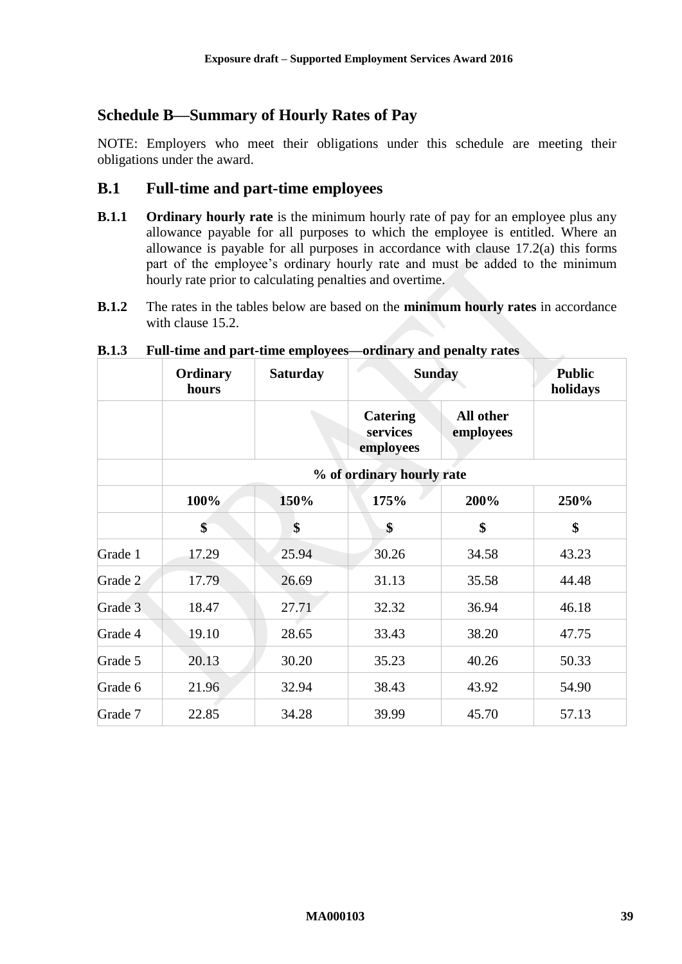# <span id="page-38-0"></span>**Schedule B—Summary of Hourly Rates of Pay**

NOTE: Employers who meet their obligations under this schedule are meeting their obligations under the award.

## **B.1 Full-time and part-time employees**

- **B.1.1 Ordinary hourly rate** is the minimum hourly rate of pay for an employee plus any allowance payable for all purposes to which the employee is entitled. Where an allowance is payable for all purposes in accordance with clause [17.2\(a\)](#page-13-1) this forms part of the employee's ordinary hourly rate and must be added to the minimum hourly rate prior to calculating penalties and overtime.
- **B.1.2** The rates in the tables below are based on the **minimum hourly rates** in accordance with clause [15.2.](#page-9-2)

|         | Ordinary<br>hours         | <b>Saturday</b> |                                          | <b>Sunday</b>          | <b>Public</b><br>holidays |
|---------|---------------------------|-----------------|------------------------------------------|------------------------|---------------------------|
|         |                           |                 | <b>Catering</b><br>services<br>employees | All other<br>employees |                           |
|         | % of ordinary hourly rate |                 |                                          |                        |                           |
|         | 100%                      | 150%            | 175%                                     | 200%                   | 250%                      |
|         | \$                        | \$              | \$                                       | \$                     | \$                        |
| Grade 1 | 17.29                     | 25.94           | 30.26                                    | 34.58                  | 43.23                     |
| Grade 2 | 17.79                     | 26.69           | 31.13                                    | 35.58                  | 44.48                     |
| Grade 3 | 18.47                     | 27.71           | 32.32                                    | 36.94                  | 46.18                     |
| Grade 4 | 19.10                     | 28.65           | 33.43                                    | 38.20                  | 47.75                     |
| Grade 5 | 20.13                     | 30.20           | 35.23                                    | 40.26                  | 50.33                     |
| Grade 6 | 21.96                     | 32.94           | 38.43                                    | 43.92                  | 54.90                     |
| Grade 7 | 22.85                     | 34.28           | 39.99                                    | 45.70                  | 57.13                     |

#### **B.1.3 Full-time and part-time employees—ordinary and penalty rates**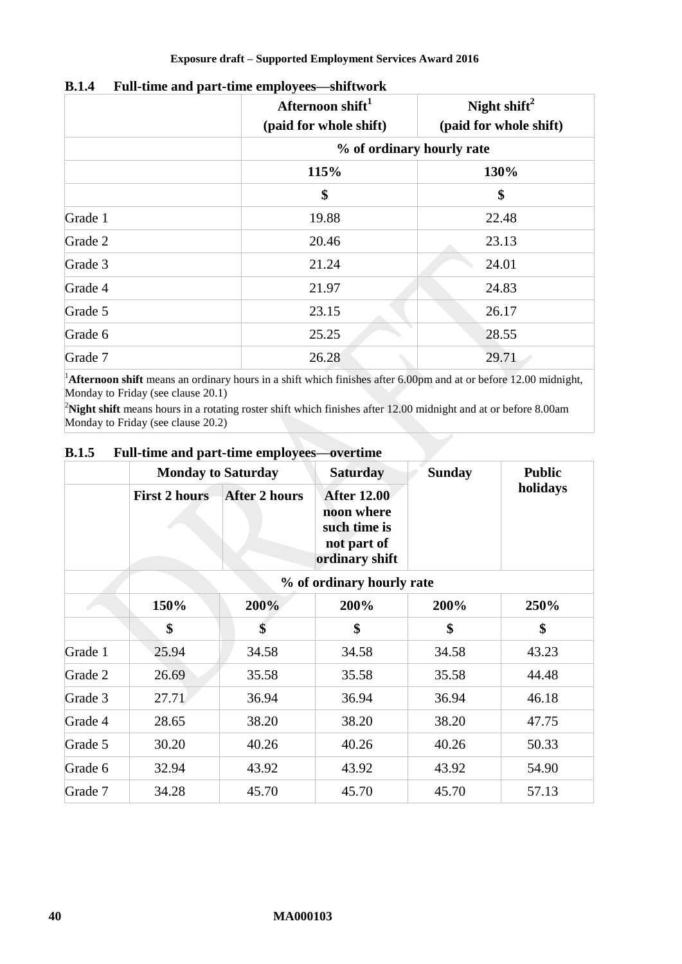|         | Afternoon shift <sup>1</sup><br>(paid for whole shift) | Night shift <sup>2</sup><br>(paid for whole shift) |  |  |
|---------|--------------------------------------------------------|----------------------------------------------------|--|--|
|         |                                                        | % of ordinary hourly rate                          |  |  |
|         | 115%                                                   | 130%                                               |  |  |
|         | \$                                                     | \$                                                 |  |  |
| Grade 1 | 19.88                                                  | 22.48                                              |  |  |
| Grade 2 | 20.46                                                  | 23.13                                              |  |  |
| Grade 3 | 21.24                                                  | 24.01                                              |  |  |
| Grade 4 | 21.97                                                  | 24.83                                              |  |  |
| Grade 5 | 23.15                                                  | 26.17                                              |  |  |
| Grade 6 | 25.25                                                  | 28.55                                              |  |  |
| Grade 7 | 26.28                                                  | 29.71                                              |  |  |

### **B.1.4 Full-time and part-time employees—shiftwork**

<sup>1</sup>Afternoon shift means an ordinary hours in a shift which finishes after 6.00pm and at or before 12.00 midnight, Monday to Friday (see clause [20.1\)](#page-17-3)

<sup>2</sup>Night shift means hours in a rotating roster shift which finishes after 12.00 midnight and at or before 8.00am Monday to Friday (see clause [20.2\)](#page-17-4)

|         | <b>Monday to Saturday</b> |                      | <b>Saturday</b>                                                                   | <b>Sunday</b> | <b>Public</b> |  |
|---------|---------------------------|----------------------|-----------------------------------------------------------------------------------|---------------|---------------|--|
|         | <b>First 2 hours</b>      | <b>After 2 hours</b> | <b>After 12.00</b><br>noon where<br>such time is<br>not part of<br>ordinary shift |               | holidays      |  |
|         | % of ordinary hourly rate |                      |                                                                                   |               |               |  |
|         | 150%                      | 200%                 | 200%                                                                              | 200%          | 250%          |  |
|         | \$                        | \$                   | \$                                                                                | \$            | \$            |  |
| Grade 1 | 25.94                     | 34.58                | 34.58                                                                             | 34.58         | 43.23         |  |
| Grade 2 | 26.69                     | 35.58                | 35.58                                                                             | 35.58         | 44.48         |  |
| Grade 3 | 27.71                     | 36.94                | 36.94                                                                             | 36.94         | 46.18         |  |
| Grade 4 | 28.65                     | 38.20                | 38.20                                                                             | 38.20         | 47.75         |  |
| Grade 5 | 30.20                     | 40.26                | 40.26                                                                             | 40.26         | 50.33         |  |
| Grade 6 | 32.94                     | 43.92                | 43.92                                                                             | 43.92         | 54.90         |  |
| Grade 7 | 34.28                     | 45.70                | 45.70                                                                             | 45.70         | 57.13         |  |

### **B.1.5 Full-time and part-time employees—overtime**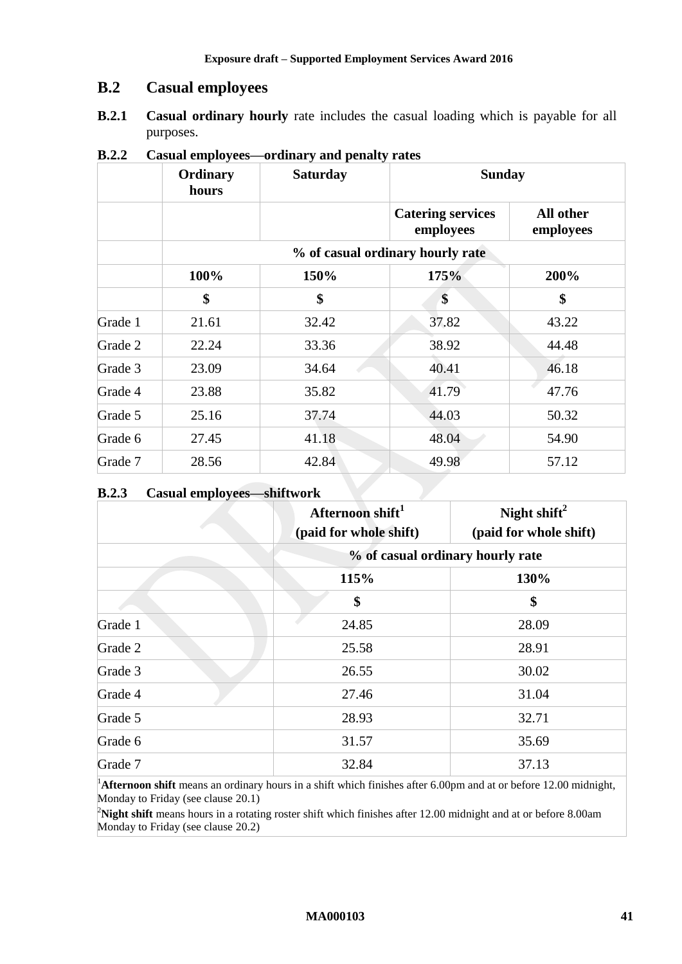# **B.2 Casual employees**

**B.2.1 Casual ordinary hourly** rate includes the casual loading which is payable for all purposes.

|         | Ordinary<br>hours | <b>Saturday</b>                  | <b>Sunday</b>                         |                        |  |  |
|---------|-------------------|----------------------------------|---------------------------------------|------------------------|--|--|
|         |                   |                                  | <b>Catering services</b><br>employees | All other<br>employees |  |  |
|         |                   | % of casual ordinary hourly rate |                                       |                        |  |  |
|         | 100%              | 150%                             | 175%                                  | 200%                   |  |  |
|         | \$                | \$                               | \$                                    | \$                     |  |  |
| Grade 1 | 21.61             | 32.42                            | 37.82                                 | 43.22                  |  |  |
| Grade 2 | 22.24             | 33.36                            | 38.92                                 | 44.48                  |  |  |
| Grade 3 | 23.09             | 34.64                            | 40.41                                 | 46.18                  |  |  |
| Grade 4 | 23.88             | 35.82                            | 41.79                                 | 47.76                  |  |  |
| Grade 5 | 25.16             | 37.74                            | 44.03                                 | 50.32                  |  |  |
| Grade 6 | 27.45             | 41.18                            | 48.04                                 | 54.90                  |  |  |
| Grade 7 | 28.56             | 42.84                            | 49.98                                 | 57.12                  |  |  |

**B.2.2 Casual employees—ordinary and penalty rates**

### **B.2.3 Casual employees—shiftwork**

|         | Afternoon shift <sup>1</sup><br>(paid for whole shift) | Night shift $^2$<br>(paid for whole shift) |
|---------|--------------------------------------------------------|--------------------------------------------|
|         |                                                        | % of casual ordinary hourly rate           |
|         | 115%                                                   | 130%                                       |
|         | \$                                                     | \$                                         |
| Grade 1 | 24.85                                                  | 28.09                                      |
| Grade 2 | 25.58                                                  | 28.91                                      |
| Grade 3 | 26.55                                                  | 30.02                                      |
| Grade 4 | 27.46                                                  | 31.04                                      |
| Grade 5 | 28.93                                                  | 32.71                                      |
| Grade 6 | 31.57                                                  | 35.69                                      |
| Grade 7 | 32.84                                                  | 37.13                                      |

<sup>1</sup>Afternoon shift means an ordinary hours in a shift which finishes after 6.00pm and at or before 12.00 midnight, Monday to Friday (see clause [20.1\)](#page-17-3)

<sup>2</sup>Night shift means hours in a rotating roster shift which finishes after 12.00 midnight and at or before 8.00am Monday to Friday (see clause [20.2\)](#page-17-4)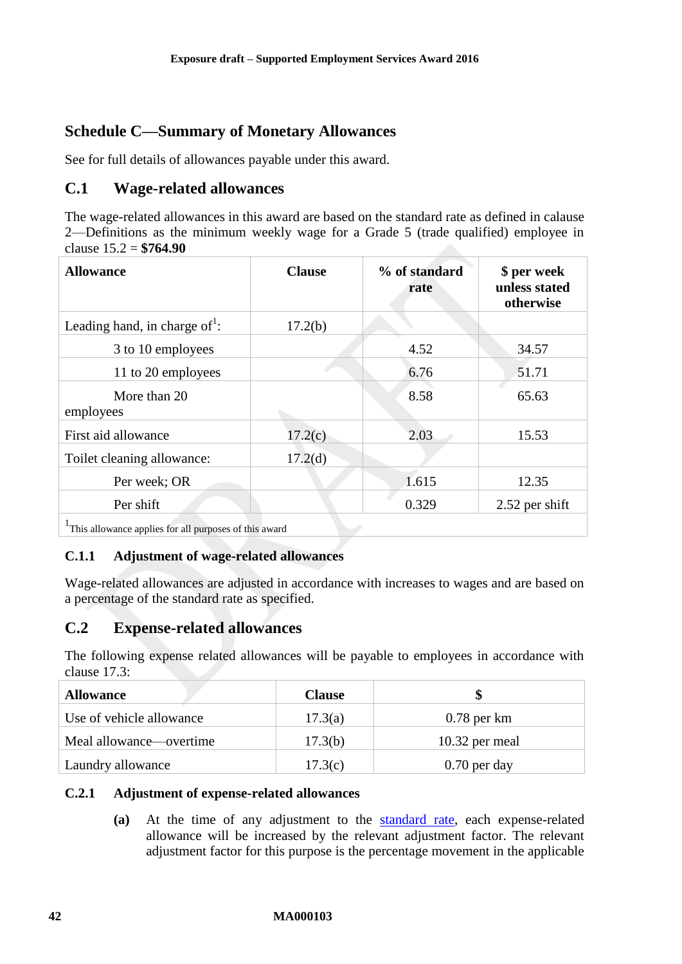# <span id="page-41-0"></span>**Schedule C—Summary of Monetary Allowances**

See for full details of allowances payable under this award.

# **C.1 Wage-related allowances**

The wage-related allowances in this award are based on the standard rate as defined in calause [2—Definitions](#page-2-2) as the minimum weekly wage for a Grade 5 (trade qualified) employee in clause [15.2](#page-9-2) = **\$764.90**

| <b>Allowance</b>                                      | <b>Clause</b>       | % of standard<br>rate | \$ per week<br>unless stated<br>otherwise |
|-------------------------------------------------------|---------------------|-----------------------|-------------------------------------------|
| Leading hand, in charge of <sup>1</sup> :             | 17.2(b)             |                       |                                           |
| 3 to 10 employees                                     |                     | 4.52                  | 34.57                                     |
| 11 to 20 employees                                    |                     | 6.76                  | 51.71                                     |
| More than 20<br>employees                             |                     | 8.58                  | 65.63                                     |
| First aid allowance                                   | 17.2(c)             | 2.03                  | 15.53                                     |
| Toilet cleaning allowance:                            | 17.2 <sub>(d)</sub> |                       |                                           |
| Per week; OR                                          |                     | 1.615                 | 12.35                                     |
| Per shift                                             |                     | 0.329                 | 2.52 per shift                            |
| This allowance applies for all purposes of this award |                     |                       |                                           |

### **C.1.1 Adjustment of wage-related allowances**

Wage-related allowances are adjusted in accordance with increases to wages and are based on a percentage of the standard rate as specified.

# **C.2 Expense-related allowances**

The following expense related allowances will be payable to employees in accordance with clause [17.3:](#page-14-4)

| <b>Allowance</b>         | <b>Clause</b> |                  |
|--------------------------|---------------|------------------|
| Use of vehicle allowance | 17.3(a)       | $0.78$ per km    |
| Meal allowance—overtime  | 17.3(b)       | $10.32$ per meal |
| Laundry allowance        | 17.3(c)       | $0.70$ per day   |

### **C.2.1 Adjustment of expense-related allowances**

**(a)** At the time of any adjustment to the [standard rate,](#page-3-4) each expense-related allowance will be increased by the relevant adjustment factor. The relevant adjustment factor for this purpose is the percentage movement in the applicable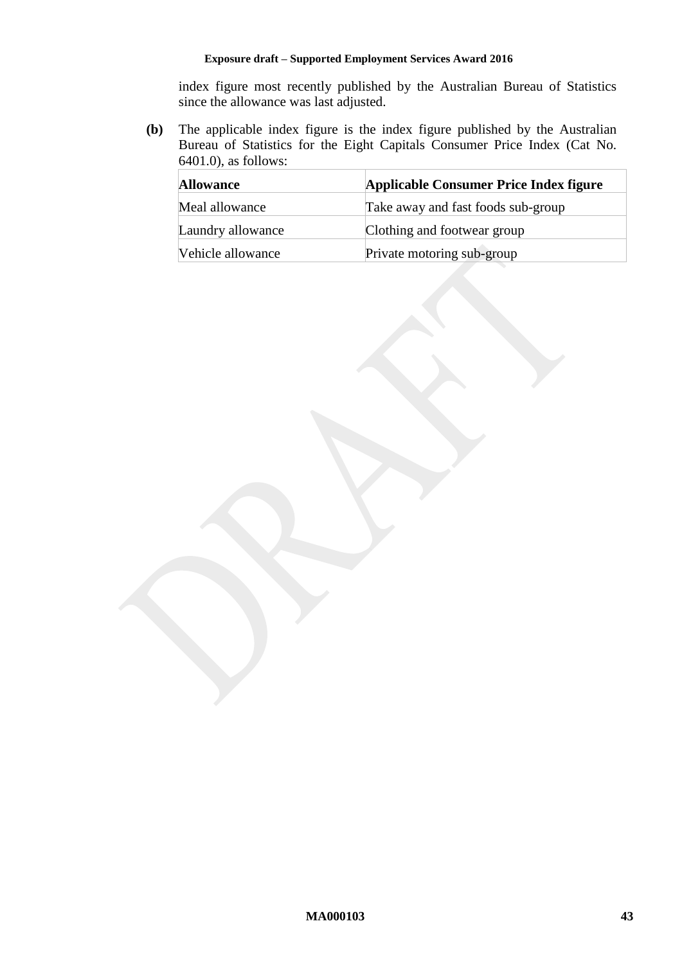index figure most recently published by the Australian Bureau of Statistics since the allowance was last adjusted.

**(b)** The applicable index figure is the index figure published by the Australian Bureau of Statistics for the Eight Capitals Consumer Price Index (Cat No. 6401.0), as follows:

| Applicable Consumer Price Index figure<br><b>Allowance</b> |                                    |
|------------------------------------------------------------|------------------------------------|
| Meal allowance                                             | Take away and fast foods sub-group |
| Laundry allowance                                          | Clothing and footwear group        |
| Vehicle allowance                                          | Private motoring sub-group         |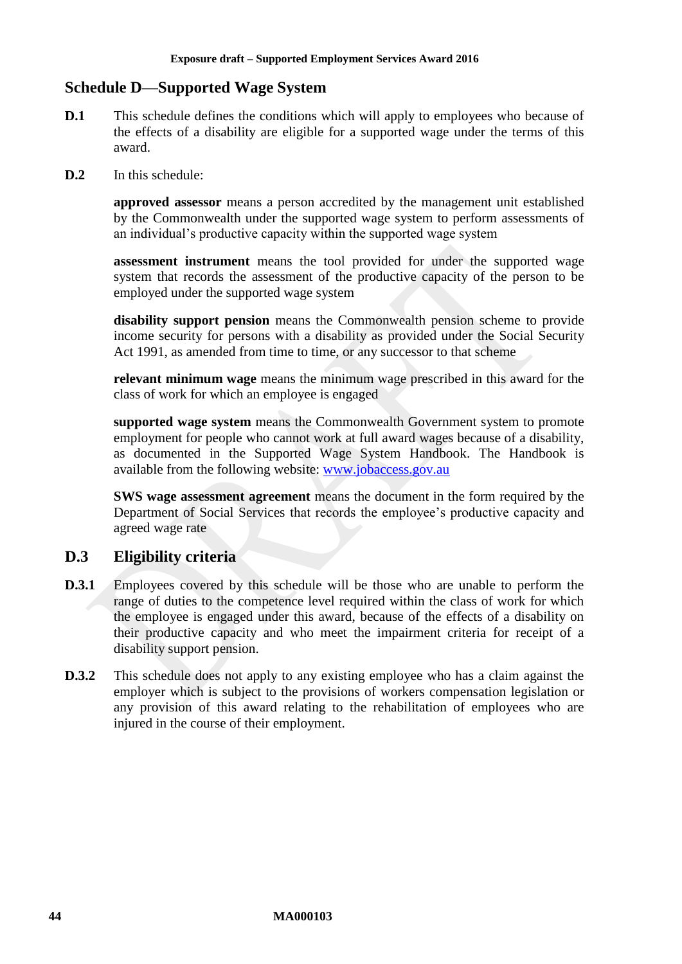# <span id="page-43-0"></span>**Schedule D—Supported Wage System**

- **D.1** This schedule defines the conditions which will apply to employees who because of the effects of a disability are eligible for a supported wage under the terms of this award.
- **D.2** In this schedule:

**approved assessor** means a person accredited by the management unit established by the Commonwealth under the supported wage system to perform assessments of an individual's productive capacity within the supported wage system

**assessment instrument** means the tool provided for under the supported wage system that records the assessment of the productive capacity of the person to be employed under the supported wage system

**disability support pension** means the Commonwealth pension scheme to provide income security for persons with a disability as provided under the Social Security Act 1991, as amended from time to time, or any successor to that scheme

**relevant minimum wage** means the minimum wage prescribed in this award for the class of work for which an employee is engaged

**supported wage system** means the Commonwealth Government system to promote employment for people who cannot work at full award wages because of a disability, as documented in the Supported Wage System Handbook. The Handbook is available from the following website: [www.jobaccess.gov.au](http://www.jobaccess.gov.au/)

**SWS wage assessment agreement** means the document in the form required by the Department of Social Services that records the employee's productive capacity and agreed wage rate

# **D.3 Eligibility criteria**

- **D.3.1** Employees covered by this schedule will be those who are unable to perform the range of duties to the competence level required within the class of work for which the employee is engaged under this award, because of the effects of a disability on their productive capacity and who meet the impairment criteria for receipt of a disability support pension.
- **D.3.2** This schedule does not apply to any existing employee who has a claim against the employer which is subject to the provisions of workers compensation legislation or any provision of this award relating to the rehabilitation of employees who are injured in the course of their employment.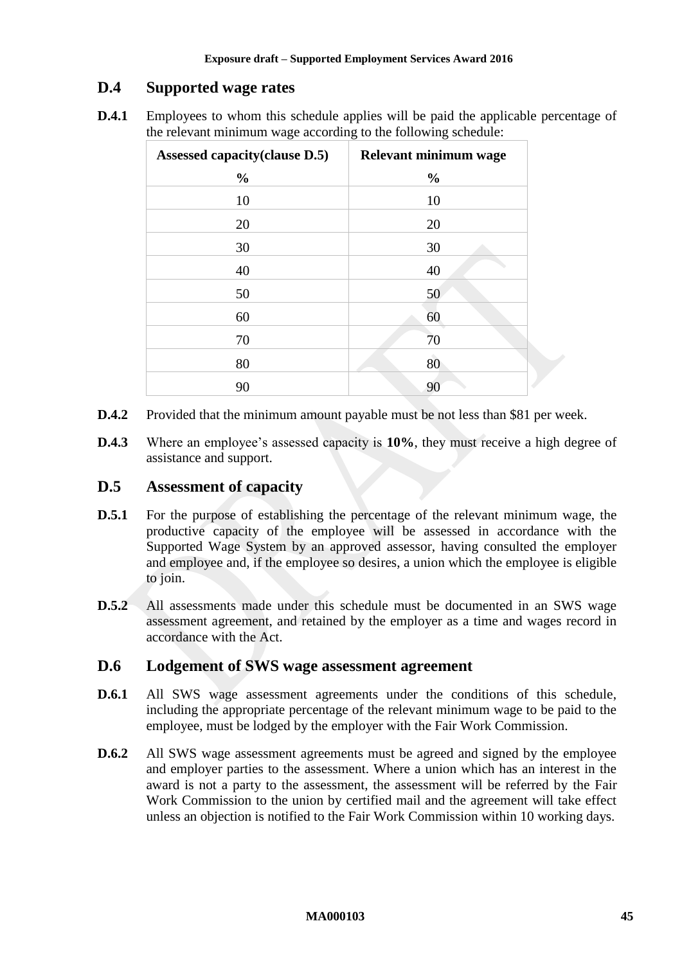# **D.4 Supported wage rates**

**D.4.1** Employees to whom this schedule applies will be paid the applicable percentage of the relevant minimum wage according to the following schedule:

| Assessed capacity (clause D.5) | Relevant minimum wage |
|--------------------------------|-----------------------|
| $\frac{0}{0}$                  | $\frac{0}{0}$         |
| 10                             | 10                    |
| 20                             | 20                    |
| 30                             | 30                    |
| 40                             | 40                    |
| 50                             | 50                    |
| 60                             | 60                    |
| 70                             | 70                    |
| 80                             | 80                    |
| 90                             | 90                    |

- **D.4.2** Provided that the minimum amount payable must be not less than \$81 per week.
- **D.4.3** Where an employee's assessed capacity is **10%**, they must receive a high degree of assistance and support.

# <span id="page-44-0"></span>**D.5 Assessment of capacity**

- **D.5.1** For the purpose of establishing the percentage of the relevant minimum wage, the productive capacity of the employee will be assessed in accordance with the Supported Wage System by an approved assessor, having consulted the employer and employee and, if the employee so desires, a union which the employee is eligible to join.
- **D.5.2** All assessments made under this schedule must be documented in an SWS wage assessment agreement, and retained by the employer as a time and wages record in accordance with the Act.

### **D.6 Lodgement of SWS wage assessment agreement**

- **D.6.1** All SWS wage assessment agreements under the conditions of this schedule, including the appropriate percentage of the relevant minimum wage to be paid to the employee, must be lodged by the employer with the Fair Work Commission.
- **D.6.2** All SWS wage assessment agreements must be agreed and signed by the employee and employer parties to the assessment. Where a union which has an interest in the award is not a party to the assessment, the assessment will be referred by the Fair Work Commission to the union by certified mail and the agreement will take effect unless an objection is notified to the Fair Work Commission within 10 working days.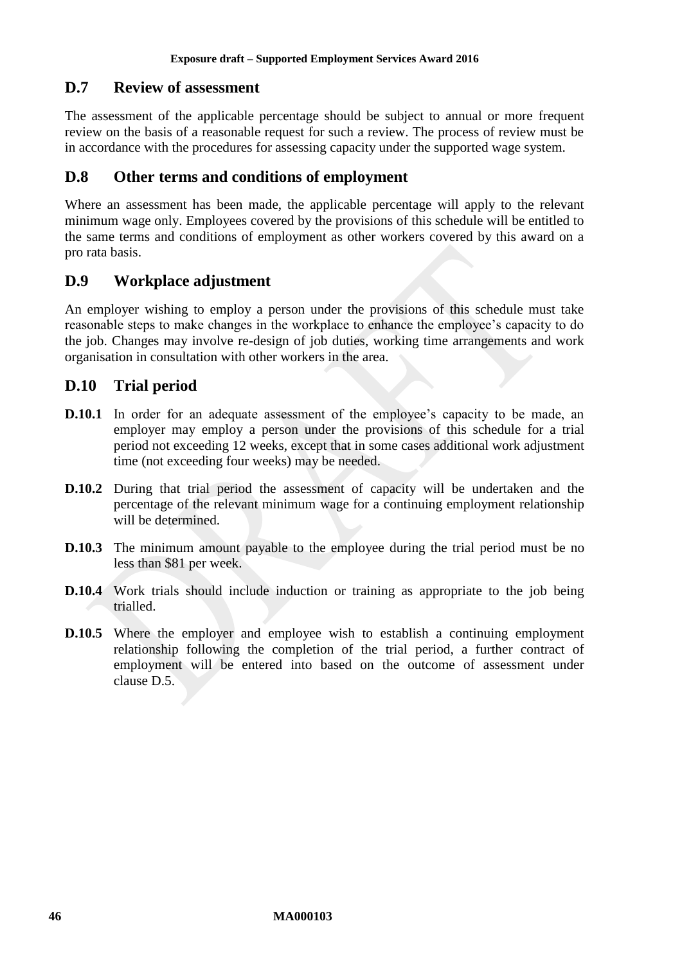# **D.7 Review of assessment**

The assessment of the applicable percentage should be subject to annual or more frequent review on the basis of a reasonable request for such a review. The process of review must be in accordance with the procedures for assessing capacity under the supported wage system.

## **D.8 Other terms and conditions of employment**

Where an assessment has been made, the applicable percentage will apply to the relevant minimum wage only. Employees covered by the provisions of this schedule will be entitled to the same terms and conditions of employment as other workers covered by this award on a pro rata basis.

# **D.9 Workplace adjustment**

An employer wishing to employ a person under the provisions of this schedule must take reasonable steps to make changes in the workplace to enhance the employee's capacity to do the job. Changes may involve re-design of job duties, working time arrangements and work organisation in consultation with other workers in the area.

# **D.10 Trial period**

- **D.10.1** In order for an adequate assessment of the employee's capacity to be made, an employer may employ a person under the provisions of this schedule for a trial period not exceeding 12 weeks, except that in some cases additional work adjustment time (not exceeding four weeks) may be needed.
- **D.10.2** During that trial period the assessment of capacity will be undertaken and the percentage of the relevant minimum wage for a continuing employment relationship will be determined.
- **D.10.3** The minimum amount payable to the employee during the trial period must be no less than \$81 per week.
- **D.10.4** Work trials should include induction or training as appropriate to the job being trialled.
- **D.10.5** Where the employer and employee wish to establish a continuing employment relationship following the completion of the trial period, a further contract of employment will be entered into based on the outcome of assessment under clause [D.5.](#page-44-0)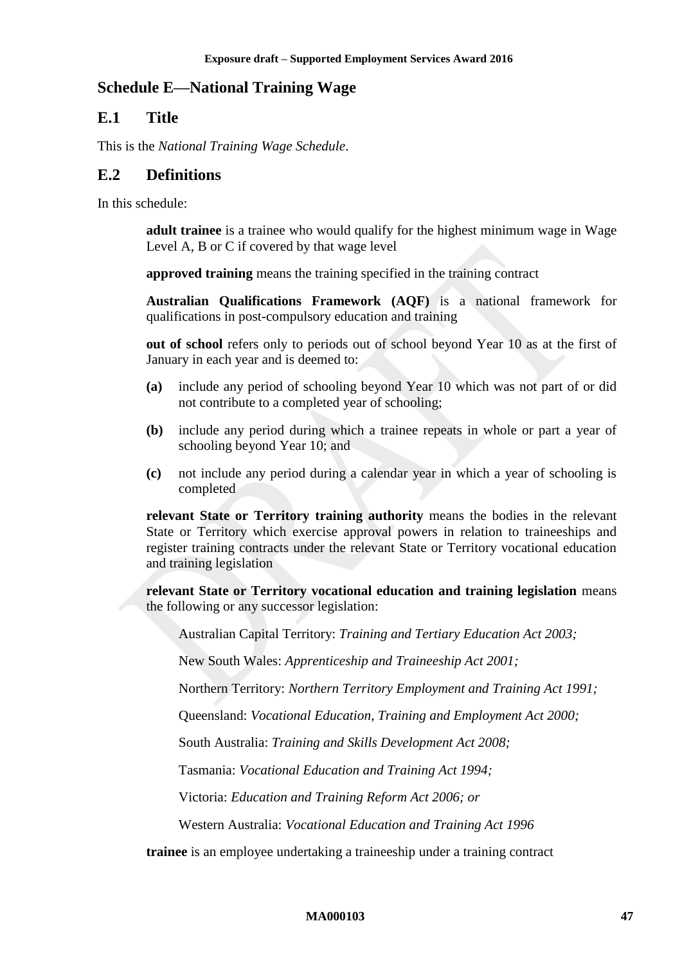# <span id="page-46-0"></span>**Schedule E—National Training Wage**

# **E.1 Title**

This is the *National Training Wage Schedule*.

### **E.2 Definitions**

In this schedule:

**adult trainee** is a trainee who would qualify for the highest minimum wage in Wage Level A, B or C if covered by that wage level

**approved training** means the training specified in the training contract

**Australian Qualifications Framework (AQF)** is a national framework for qualifications in post-compulsory education and training

**out of school** refers only to periods out of school beyond Year 10 as at the first of January in each year and is deemed to:

- **(a)** include any period of schooling beyond Year 10 which was not part of or did not contribute to a completed year of schooling;
- **(b)** include any period during which a trainee repeats in whole or part a year of schooling beyond Year 10; and
- **(c)** not include any period during a calendar year in which a year of schooling is completed

**relevant State or Territory training authority** means the bodies in the relevant State or Territory which exercise approval powers in relation to traineeships and register training contracts under the relevant State or Territory vocational education and training legislation

**relevant State or Territory vocational education and training legislation** means the following or any successor legislation:

Australian Capital Territory: *Training and Tertiary Education Act 2003;*

New South Wales: *Apprenticeship and Traineeship Act 2001;*

Northern Territory: *Northern Territory Employment and Training Act 1991;*

Queensland: *Vocational Education, Training and Employment Act 2000;*

South Australia: *Training and Skills Development Act 2008;*

Tasmania: *Vocational Education and Training Act 1994;*

Victoria: *Education and Training Reform Act 2006; or*

Western Australia: *Vocational Education and Training Act 1996*

**trainee** is an employee undertaking a traineeship under a training contract

#### **MA000103 47**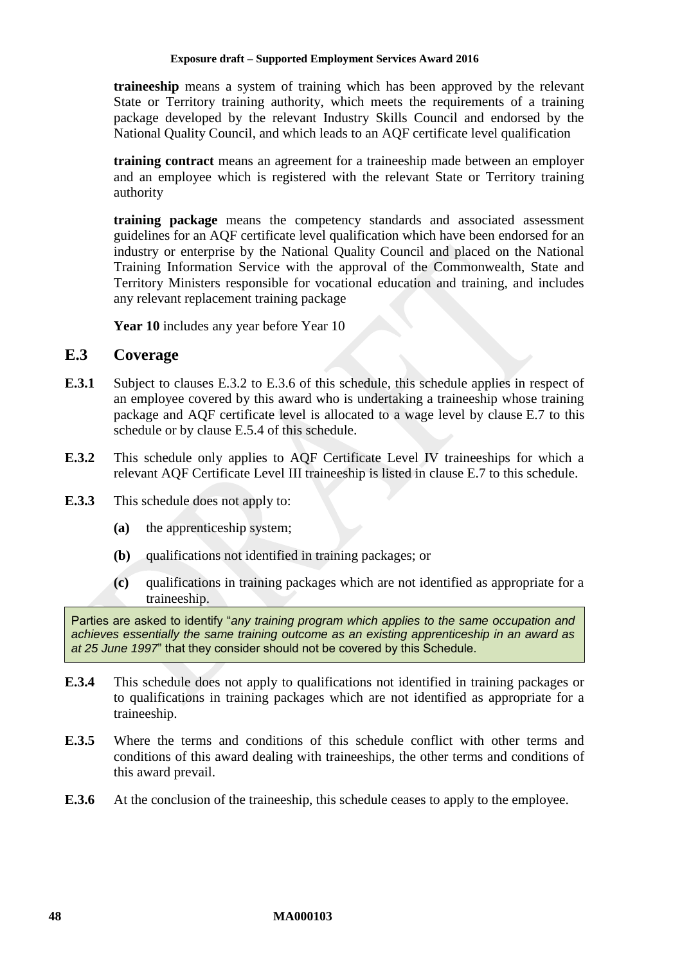**traineeship** means a system of training which has been approved by the relevant State or Territory training authority, which meets the requirements of a training package developed by the relevant Industry Skills Council and endorsed by the National Quality Council, and which leads to an AQF certificate level qualification

**training contract** means an agreement for a traineeship made between an employer and an employee which is registered with the relevant State or Territory training authority

**training package** means the competency standards and associated assessment guidelines for an AQF certificate level qualification which have been endorsed for an industry or enterprise by the National Quality Council and placed on the National Training Information Service with the approval of the Commonwealth, State and Territory Ministers responsible for vocational education and training, and includes any relevant replacement training package

Year 10 includes any year before Year 10

### **E.3 Coverage**

- **E.3.1** Subject to clauses [E.3.2](#page-47-0) to [E.3.6](#page-47-1) of this schedule, this schedule applies in respect of an employee covered by this award who is undertaking a traineeship whose training package and AQF certificate level is allocated to a wage level by clause [E.7](#page-53-0) to this schedule or by clause [E.5.4](#page-53-1) of this schedule.
- <span id="page-47-0"></span>**E.3.2** This schedule only applies to AQF Certificate Level IV traineeships for which a relevant AQF Certificate Level III traineeship is listed in clause [E.7](#page-53-0) to this schedule.
- **E.3.3** This schedule does not apply to:
	- **(a)** the apprenticeship system;
	- **(b)** qualifications not identified in training packages; or
	- **(c)** qualifications in training packages which are not identified as appropriate for a traineeship.

Parties are asked to identify "*any training program which applies to the same occupation and achieves essentially the same training outcome as an existing apprenticeship in an award as at 25 June 1997*" that they consider should not be covered by this Schedule.

- **E.3.4** This schedule does not apply to qualifications not identified in training packages or to qualifications in training packages which are not identified as appropriate for a traineeship.
- <span id="page-47-2"></span>**E.3.5** Where the terms and conditions of this schedule conflict with other terms and conditions of this award dealing with traineeships, the other terms and conditions of this award prevail.
- <span id="page-47-1"></span>**E.3.6** At the conclusion of the traineeship, this schedule ceases to apply to the employee.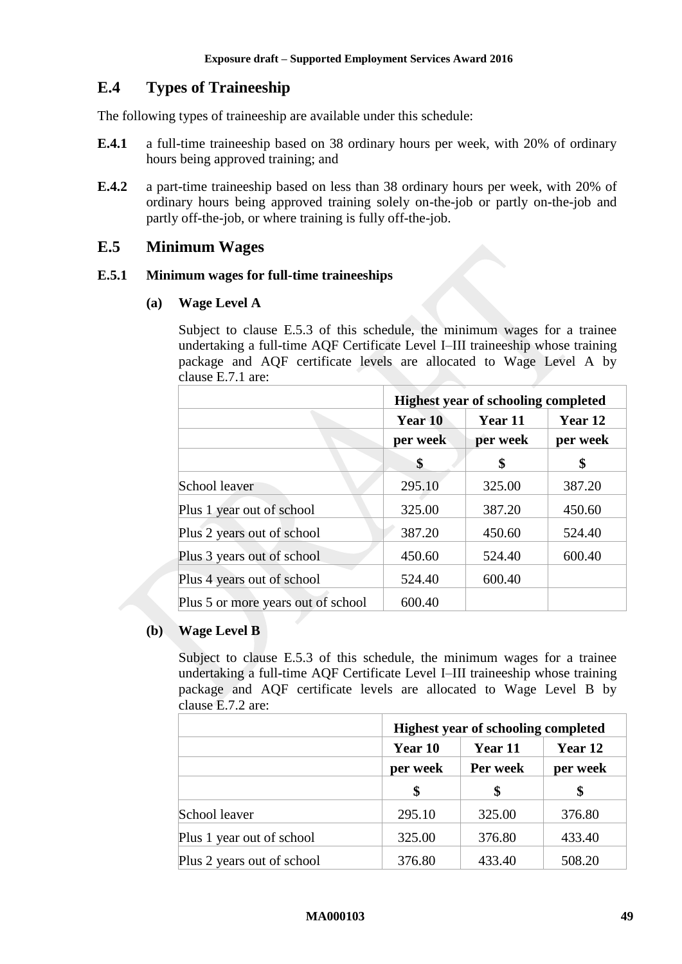# **E.4 Types of Traineeship**

The following types of traineeship are available under this schedule:

- **E.4.1** a full-time traineeship based on 38 ordinary hours per week, with 20% of ordinary hours being approved training; and
- **E.4.2** a part-time traineeship based on less than 38 ordinary hours per week, with 20% of ordinary hours being approved training solely on-the-job or partly on-the-job and partly off-the-job, or where training is fully off-the-job.

# **E.5 Minimum Wages**

### **E.5.1 Minimum wages for full-time traineeships**

### **(a) Wage Level A**

Subject to clause [E.5.3](#page-52-0) of this schedule, the minimum wages for a trainee undertaking a full-time AQF Certificate Level I–III traineeship whose training package and AQF certificate levels are allocated to Wage Level A by clause [E.7.1](#page-53-2) are:

|                                    | <b>Highest year of schooling completed</b> |          |                     |
|------------------------------------|--------------------------------------------|----------|---------------------|
|                                    | Year 10                                    | Year 11  | Year 12<br>per week |
|                                    | per week                                   | per week |                     |
|                                    | \$                                         | \$       | \$                  |
| School leaver                      | 295.10                                     | 325.00   | 387.20              |
| Plus 1 year out of school          | 325.00                                     | 387.20   | 450.60              |
| Plus 2 years out of school         | 387.20                                     | 450.60   | 524.40              |
| Plus 3 years out of school         | 450.60                                     | 524.40   | 600.40              |
| Plus 4 years out of school         | 524.40                                     | 600.40   |                     |
| Plus 5 or more years out of school | 600.40                                     |          |                     |

### **(b) Wage Level B**

Subject to clause [E.5.3](#page-52-0) of this schedule, the minimum wages for a trainee undertaking a full-time AQF Certificate Level I–III traineeship whose training package and AQF certificate levels are allocated to Wage Level B by clause [E.7.2](#page-55-0) are:

|                            | <b>Highest year of schooling completed</b> |          |          |
|----------------------------|--------------------------------------------|----------|----------|
|                            | Year 10                                    | Year 11  | Year 12  |
|                            | per week                                   | Per week | per week |
|                            | \$                                         |          | S        |
| School leaver              | 295.10                                     | 325.00   | 376.80   |
| Plus 1 year out of school  | 325.00                                     | 376.80   | 433.40   |
| Plus 2 years out of school | 376.80                                     | 433.40   | 508.20   |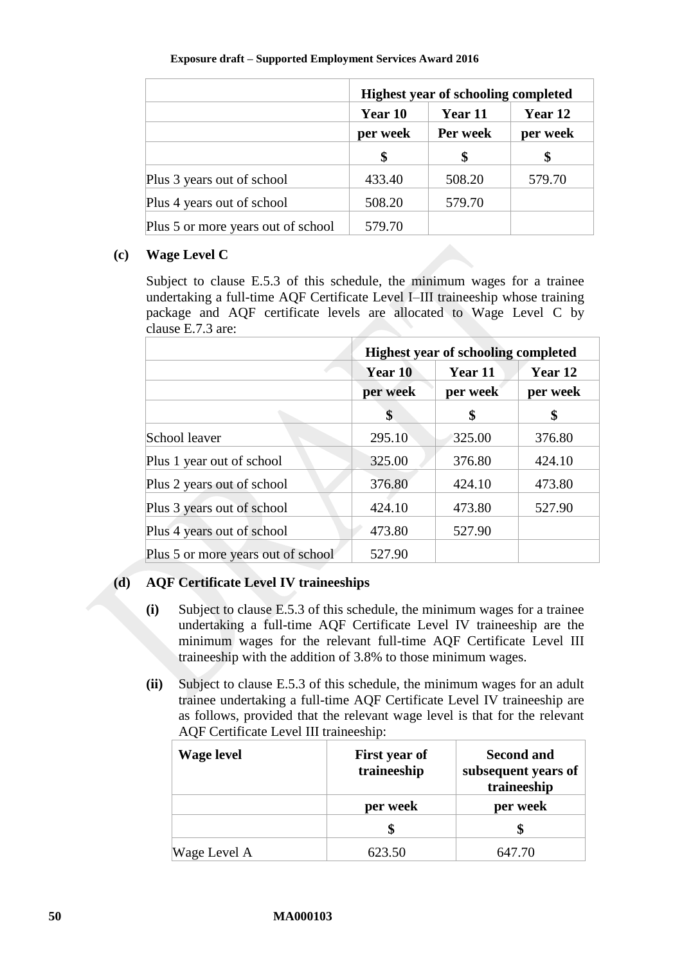|                                    | <b>Highest year of schooling completed</b> |                     |                     |
|------------------------------------|--------------------------------------------|---------------------|---------------------|
|                                    | Year 10<br>per week                        | Year 11<br>Per week | Year 12<br>per week |
|                                    |                                            |                     |                     |
|                                    | \$                                         |                     |                     |
| Plus 3 years out of school         | 433.40                                     | 508.20              | 579.70              |
| Plus 4 years out of school         | 508.20                                     | 579.70              |                     |
| Plus 5 or more years out of school | 579.70                                     |                     |                     |

### **(c) Wage Level C**

Subject to clause [E.5.3](#page-52-0) of this schedule, the minimum wages for a trainee undertaking a full-time AQF Certificate Level I–III traineeship whose training package and AQF certificate levels are allocated to Wage Level C by clause [E.7.3](#page-56-0) are:

|                                    | <b>Highest year of schooling completed</b> |          |          |
|------------------------------------|--------------------------------------------|----------|----------|
|                                    | Year 10                                    | Year 11  | Year 12  |
|                                    | per week                                   | per week | per week |
|                                    | \$                                         | \$       | S        |
| School leaver                      | 295.10                                     | 325.00   | 376.80   |
| Plus 1 year out of school          | 325.00                                     | 376.80   | 424.10   |
| Plus 2 years out of school         | 376.80                                     | 424.10   | 473.80   |
| Plus 3 years out of school         | 424.10                                     | 473.80   | 527.90   |
| Plus 4 years out of school         | 473.80                                     | 527.90   |          |
| Plus 5 or more years out of school | 527.90                                     |          |          |

# **(d) AQF Certificate Level IV traineeships**

- **(i)** Subject to clause [E.5.3](#page-52-0) of this schedule, the minimum wages for a trainee undertaking a full-time AQF Certificate Level IV traineeship are the minimum wages for the relevant full-time AQF Certificate Level III traineeship with the addition of 3.8% to those minimum wages.
- **(ii)** Subject to clause [E.5.3](#page-52-0) of this schedule, the minimum wages for an adult trainee undertaking a full-time AQF Certificate Level IV traineeship are as follows, provided that the relevant wage level is that for the relevant AQF Certificate Level III traineeship:

| <b>Wage level</b> | <b>First year of</b><br>traineeship | <b>Second and</b><br>subsequent years of<br>traineeship |
|-------------------|-------------------------------------|---------------------------------------------------------|
|                   | per week                            | per week                                                |
|                   |                                     |                                                         |
| Wage Level A      | 623.50                              | 647.70                                                  |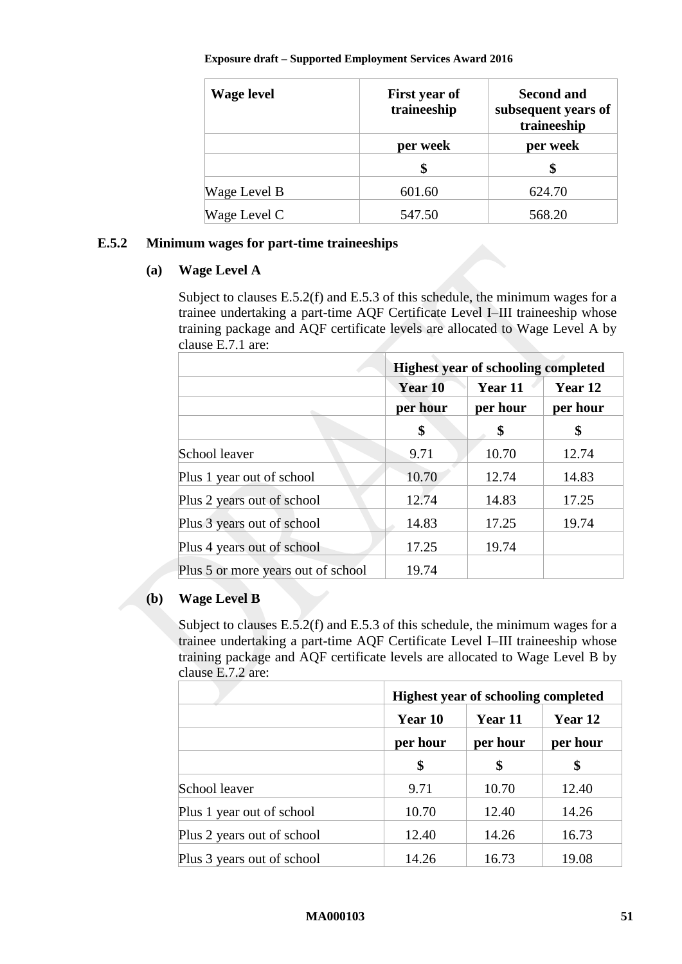| <b>Wage level</b> | First year of<br>traineeship | <b>Second and</b><br>subsequent years of<br>traineeship |
|-------------------|------------------------------|---------------------------------------------------------|
|                   | per week                     | per week                                                |
|                   |                              |                                                         |
| Wage Level B      | 601.60                       | 624.70                                                  |
| Wage Level C      | 547.50                       | 568.20                                                  |

### <span id="page-50-0"></span>**E.5.2 Minimum wages for part-time traineeships**

### **(a) Wage Level A**

Subject to clauses [E.5.2\(f\)](#page-52-1) and [E.5.3](#page-52-0) of this schedule, the minimum wages for a trainee undertaking a part-time AQF Certificate Level I–III traineeship whose training package and AQF certificate levels are allocated to Wage Level A by clause [E.7.1](#page-53-2) are:

|                                    | <b>Highest year of schooling completed</b> |          |                     |
|------------------------------------|--------------------------------------------|----------|---------------------|
|                                    | Year 10                                    | Year 11  | Year 12<br>per hour |
|                                    | per hour                                   | per hour |                     |
|                                    | \$                                         | \$       | \$                  |
| School leaver                      | 9.71                                       | 10.70    | 12.74               |
| Plus 1 year out of school          | 10.70                                      | 12.74    | 14.83               |
| Plus 2 years out of school         | 12.74                                      | 14.83    | 17.25               |
| Plus 3 years out of school         | 14.83                                      | 17.25    | 19.74               |
| Plus 4 years out of school         | 17.25                                      | 19.74    |                     |
| Plus 5 or more years out of school | 19.74                                      |          |                     |

### **(b) Wage Level B**

Subject to clauses [E.5.2\(f\)](#page-52-1) and [E.5.3](#page-52-0) of this schedule, the minimum wages for a trainee undertaking a part-time AQF Certificate Level I–III traineeship whose training package and AQF certificate levels are allocated to Wage Level B by clause [E.7.2](#page-55-0) are:

|                            | <b>Highest year of schooling completed</b> |          |          |
|----------------------------|--------------------------------------------|----------|----------|
|                            | Year 10                                    | Year 11  |          |
|                            | per hour                                   | per hour | per hour |
|                            | \$                                         | \$       | S        |
| School leaver              | 9.71                                       | 10.70    | 12.40    |
| Plus 1 year out of school  | 10.70                                      | 12.40    | 14.26    |
| Plus 2 years out of school | 12.40                                      | 14.26    | 16.73    |
| Plus 3 years out of school | 14.26                                      | 16.73    | 19.08    |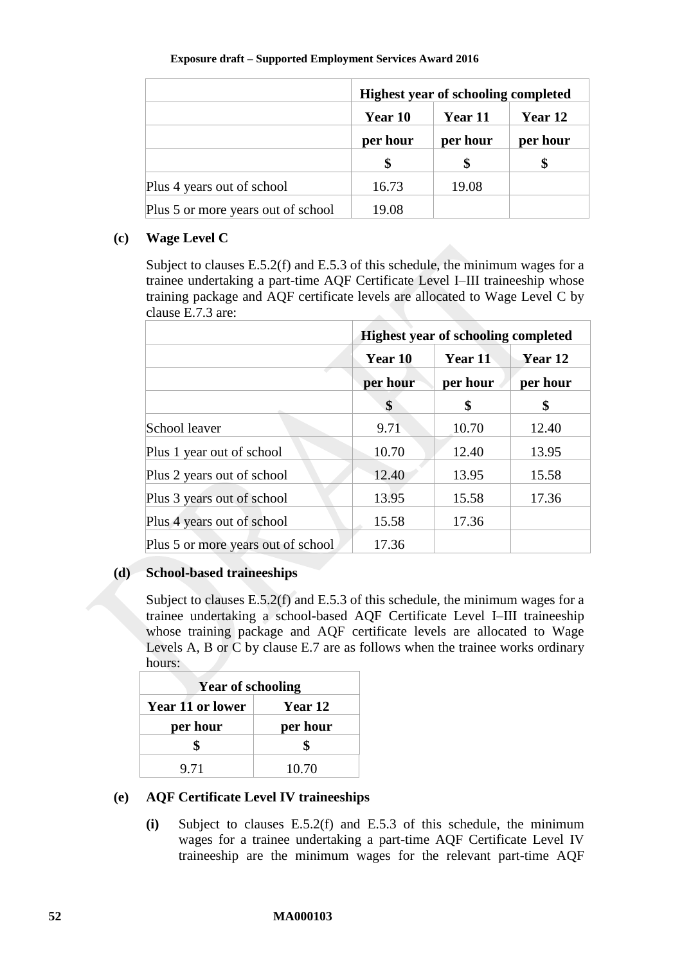|                                    | <b>Highest year of schooling completed</b> |          |          |
|------------------------------------|--------------------------------------------|----------|----------|
|                                    | Year 10                                    | Year 11  | Year 12  |
|                                    | per hour                                   | per hour | per hour |
|                                    |                                            |          |          |
| Plus 4 years out of school         | 16.73                                      | 19.08    |          |
| Plus 5 or more years out of school | 19.08                                      |          |          |

### **(c) Wage Level C**

Subject to clauses [E.5.2\(f\)](#page-52-1) and [E.5.3](#page-52-0) of this schedule, the minimum wages for a trainee undertaking a part-time AQF Certificate Level I–III traineeship whose training package and AQF certificate levels are allocated to Wage Level C by clause [E.7.3](#page-56-0) are:

|                                    | <b>Highest year of schooling completed</b> |          |          |
|------------------------------------|--------------------------------------------|----------|----------|
|                                    | Year 10                                    | Year 11  | Year 12  |
|                                    | per hour                                   | per hour | per hour |
|                                    | \$                                         | \$       | \$       |
| School leaver                      | 9.71                                       | 10.70    | 12.40    |
| Plus 1 year out of school          | 10.70                                      | 12.40    | 13.95    |
| Plus 2 years out of school         | 12.40                                      | 13.95    | 15.58    |
| Plus 3 years out of school         | 13.95                                      | 15.58    | 17.36    |
| Plus 4 years out of school         | 15.58                                      | 17.36    |          |
| Plus 5 or more years out of school | 17.36                                      |          |          |

### **(d) School-based traineeships**

Subject to clauses [E.5.2\(f\)](#page-52-1) and [E.5.3](#page-52-0) of this schedule, the minimum wages for a trainee undertaking a school-based AQF Certificate Level I–III traineeship whose training package and AQF certificate levels are allocated to Wage Levels A, B or C by clause [E.7](#page-53-0) are as follows when the trainee works ordinary hours:

| <b>Year of schooling</b> |          |  |
|--------------------------|----------|--|
| <b>Year 11 or lower</b>  | Year 12  |  |
| per hour                 | per hour |  |
|                          |          |  |
| 9.71                     | 10.70    |  |

### <span id="page-51-0"></span>**(e) AQF Certificate Level IV traineeships**

**(i)** Subject to clauses [E.5.2\(f\)](#page-52-1) and [E.5.3](#page-52-0) of this schedule, the minimum wages for a trainee undertaking a part-time AQF Certificate Level IV traineeship are the minimum wages for the relevant part-time AQF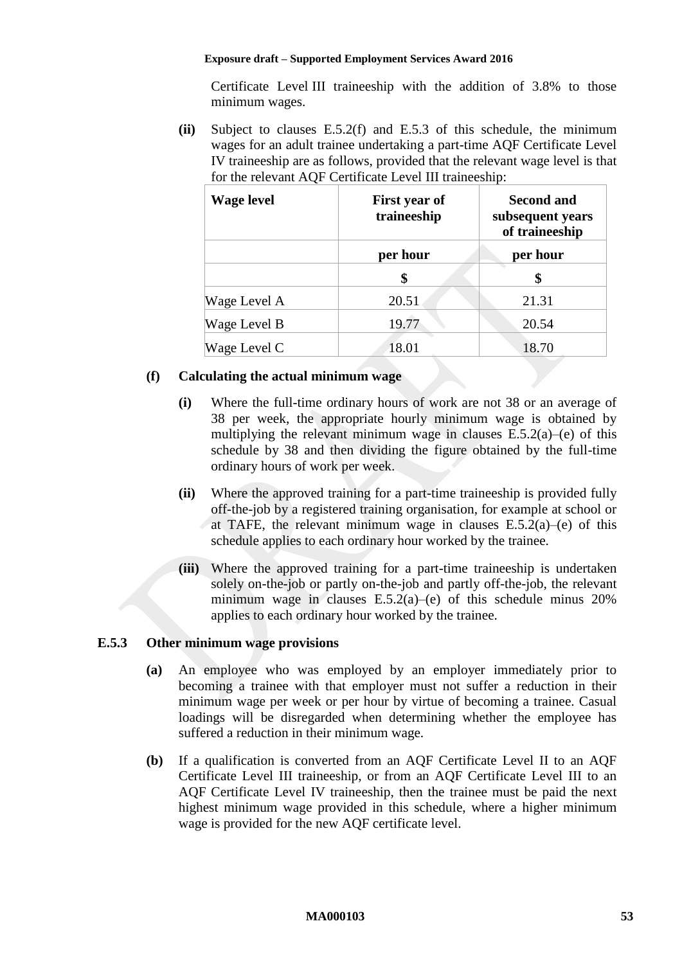Certificate Level III traineeship with the addition of 3.8% to those minimum wages.

**(ii)** Subject to clauses [E.5.2\(f\)](#page-52-1) and [E.5.3](#page-52-0) of this schedule, the minimum wages for an adult trainee undertaking a part-time AQF Certificate Level IV traineeship are as follows, provided that the relevant wage level is that for the relevant AQF Certificate Level III traineeship:

| <b>Wage level</b> | First year of<br>traineeship | <b>Second and</b><br>subsequent years<br>of traineeship |
|-------------------|------------------------------|---------------------------------------------------------|
|                   | per hour                     | per hour                                                |
|                   | \$                           | \$                                                      |
| Wage Level A      | 20.51                        | 21.31                                                   |
| Wage Level B      | 19.77                        | 20.54                                                   |
| Wage Level C      | 18.01                        | 18.70                                                   |

### <span id="page-52-1"></span>**(f) Calculating the actual minimum wage**

- **(i)** Where the full-time ordinary hours of work are not 38 or an average of 38 per week, the appropriate hourly minimum wage is obtained by multiplying the relevant minimum wage in clauses  $E.5.2(a)$ [–\(e\)](#page-51-0) of this schedule by 38 and then dividing the figure obtained by the full-time ordinary hours of work per week.
- <span id="page-52-2"></span>**(ii)** Where the approved training for a part-time traineeship is provided fully off-the-job by a registered training organisation, for example at school or at TAFE, the relevant minimum wage in clauses  $E.5.2(a)$ –[\(e\)](#page-51-0) of this schedule applies to each ordinary hour worked by the trainee.
- **(iii)** Where the approved training for a part-time traineeship is undertaken solely on-the-job or partly on-the-job and partly off-the-job, the relevant minimum wage in clauses [E.5.2\(a\)–](#page-50-0)[\(e\)](#page-51-0) of this schedule minus 20% applies to each ordinary hour worked by the trainee.

### <span id="page-52-0"></span>**E.5.3 Other minimum wage provisions**

- **(a)** An employee who was employed by an employer immediately prior to becoming a trainee with that employer must not suffer a reduction in their minimum wage per week or per hour by virtue of becoming a trainee. Casual loadings will be disregarded when determining whether the employee has suffered a reduction in their minimum wage.
- **(b)** If a qualification is converted from an AQF Certificate Level II to an AQF Certificate Level III traineeship, or from an AQF Certificate Level III to an AQF Certificate Level IV traineeship, then the trainee must be paid the next highest minimum wage provided in this schedule, where a higher minimum wage is provided for the new AQF certificate level.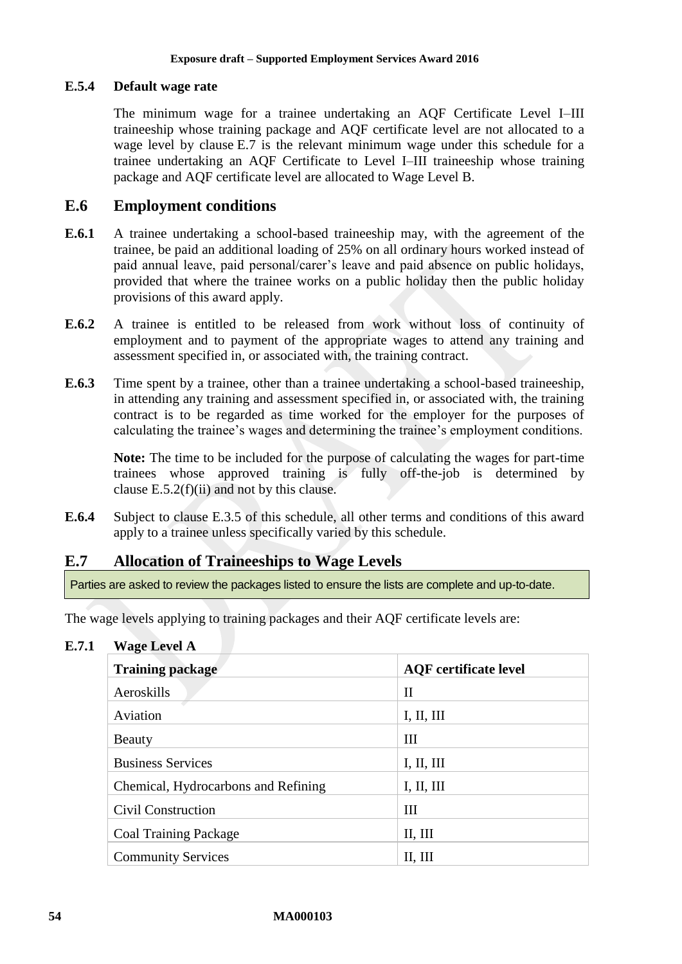### <span id="page-53-1"></span>**E.5.4 Default wage rate**

The minimum wage for a trainee undertaking an AQF Certificate Level I–III traineeship whose training package and AQF certificate level are not allocated to a wage level by clause [E.7](#page-53-0) is the relevant minimum wage under this schedule for a trainee undertaking an AQF Certificate to Level I–III traineeship whose training package and AQF certificate level are allocated to Wage Level B.

# **E.6 Employment conditions**

- **E.6.1** A trainee undertaking a school-based traineeship may, with the agreement of the trainee, be paid an additional loading of 25% on all ordinary hours worked instead of paid annual leave, paid personal/carer's leave and paid absence on public holidays, provided that where the trainee works on a public holiday then the public holiday provisions of this award apply.
- **E.6.2** A trainee is entitled to be released from work without loss of continuity of employment and to payment of the appropriate wages to attend any training and assessment specified in, or associated with, the training contract.
- **E.6.3** Time spent by a trainee, other than a trainee undertaking a school-based traineeship, in attending any training and assessment specified in, or associated with, the training contract is to be regarded as time worked for the employer for the purposes of calculating the trainee's wages and determining the trainee's employment conditions.

**Note:** The time to be included for the purpose of calculating the wages for part-time trainees whose approved training is fully off-the-job is determined by clause [E.5.2\(f\)\(ii\)](#page-52-2) and not by this clause.

**E.6.4** Subject to clause [E.3.5](#page-47-2) of this schedule, all other terms and conditions of this award apply to a trainee unless specifically varied by this schedule.

# <span id="page-53-0"></span>**E.7 Allocation of Traineeships to Wage Levels**

Parties are asked to review the packages listed to ensure the lists are complete and up-to-date.

The wage levels applying to training packages and their AQF certificate levels are:

<span id="page-53-2"></span>**E.7.1 Wage Level A**

| <b>Training package</b>             | <b>AQF</b> certificate level |
|-------------------------------------|------------------------------|
| Aeroskills                          | $\rm II$                     |
| Aviation                            | I, II, III                   |
| Beauty                              | III                          |
| <b>Business Services</b>            | I, II, III                   |
| Chemical, Hydrocarbons and Refining | I, II, III                   |
| Civil Construction                  | III                          |
| <b>Coal Training Package</b>        | II, III                      |
| <b>Community Services</b>           | II, III                      |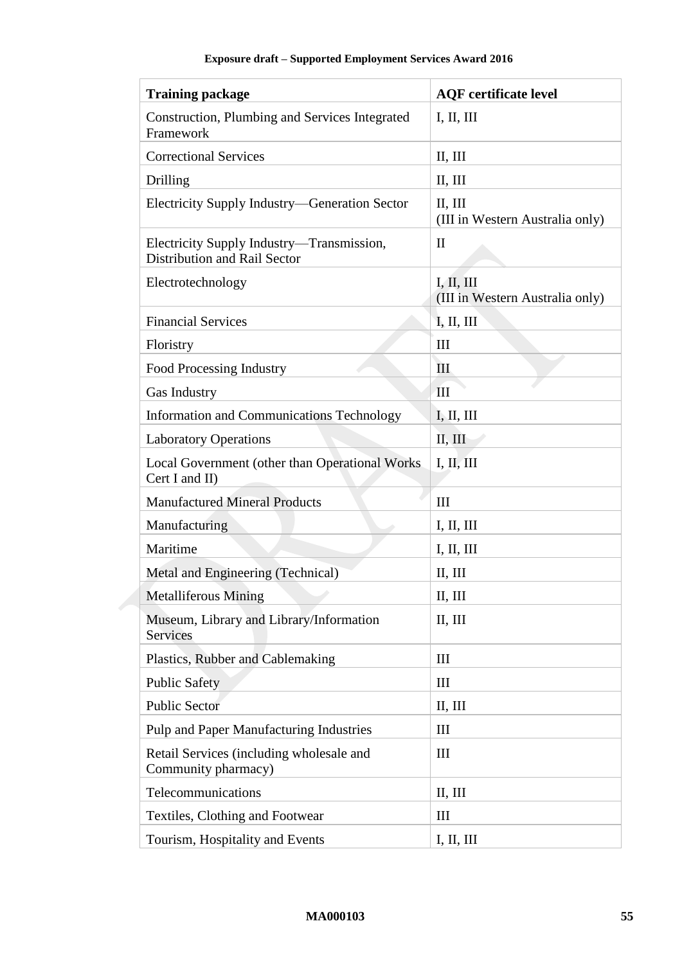| <b>Training package</b>                                                   | <b>AQF</b> certificate level                  |
|---------------------------------------------------------------------------|-----------------------------------------------|
| Construction, Plumbing and Services Integrated<br>Framework               | I, II, III                                    |
| <b>Correctional Services</b>                                              | II, III                                       |
| Drilling                                                                  | II, III                                       |
| Electricity Supply Industry-Generation Sector                             | II, III<br>(III in Western Australia only)    |
| Electricity Supply Industry—Transmission,<br>Distribution and Rail Sector | $\mathbf{I}$                                  |
| Electrotechnology                                                         | I, II, III<br>(III in Western Australia only) |
| <b>Financial Services</b>                                                 | I, II, III                                    |
| Floristry                                                                 | Ш                                             |
| Food Processing Industry                                                  | $\mathop{\rm III}$                            |
| Gas Industry                                                              | $\mathbf{III}$                                |
| <b>Information and Communications Technology</b>                          | I, II, III                                    |
| <b>Laboratory Operations</b>                                              | II, III                                       |
| Local Government (other than Operational Works<br>Cert I and II)          | I, II, III                                    |
| <b>Manufactured Mineral Products</b>                                      | Ш                                             |
| Manufacturing                                                             | I, II, III                                    |
| Maritime                                                                  | I, II, III                                    |
| Metal and Engineering (Technical)                                         | II, III                                       |
| Metalliferous Mining                                                      | II, III                                       |
| Museum, Library and Library/Information<br>Services                       | II, III                                       |
| Plastics, Rubber and Cablemaking                                          | III                                           |
| <b>Public Safety</b>                                                      | III                                           |
| <b>Public Sector</b>                                                      | II, III                                       |
| Pulp and Paper Manufacturing Industries                                   | Ш                                             |
| Retail Services (including wholesale and<br>Community pharmacy)           | III                                           |
| Telecommunications                                                        | II, III                                       |
| Textiles, Clothing and Footwear                                           | $\mathop{\rm III}$                            |
| Tourism, Hospitality and Events                                           | I, II, III                                    |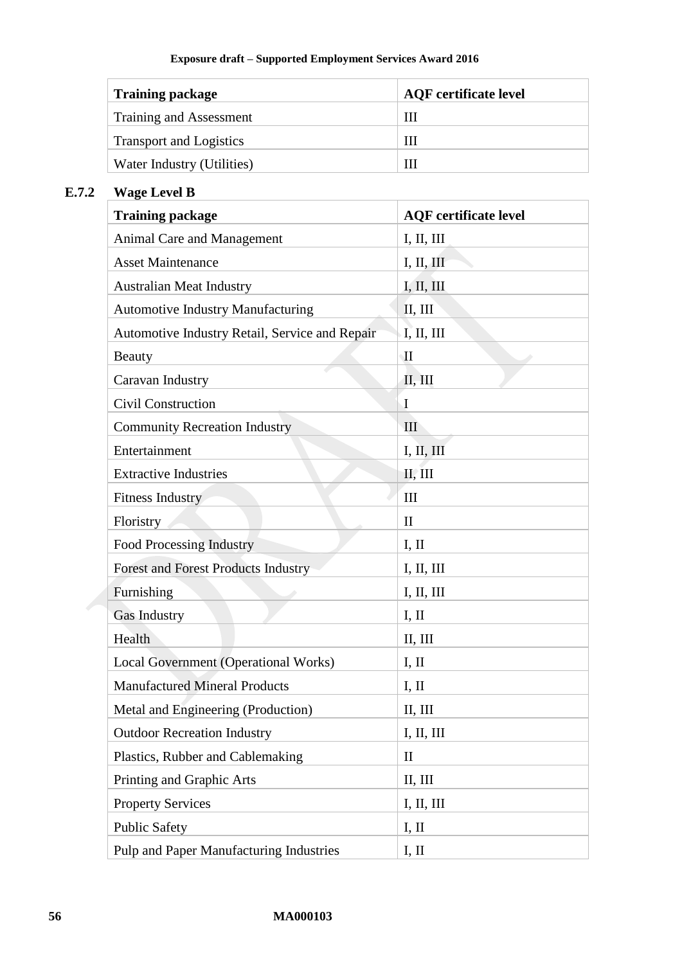| <b>Training package</b>        | <b>AQF</b> certificate level |
|--------------------------------|------------------------------|
| Training and Assessment        | Ш                            |
| <b>Transport and Logistics</b> | Ш                            |
| Water Industry (Utilities)     |                              |

# <span id="page-55-0"></span>**E.7.2 Wage Level B**

| <b>Training package</b>                        | <b>AQF</b> certificate level |
|------------------------------------------------|------------------------------|
| Animal Care and Management                     | I, II, III                   |
| <b>Asset Maintenance</b>                       | I, II, III                   |
| <b>Australian Meat Industry</b>                | I, II, III                   |
| <b>Automotive Industry Manufacturing</b>       | II, III                      |
| Automotive Industry Retail, Service and Repair | I, II, III                   |
| Beauty                                         | $\mathbf{I}$                 |
| Caravan Industry                               | II, III                      |
| <b>Civil Construction</b>                      | $\mathbf I$                  |
| <b>Community Recreation Industry</b>           | III                          |
| Entertainment                                  | I, II, III                   |
| <b>Extractive Industries</b>                   | II, III                      |
| <b>Fitness Industry</b>                        | Ш                            |
| Floristry                                      | $\mathbf{I}$                 |
| Food Processing Industry                       | I, II                        |
| <b>Forest and Forest Products Industry</b>     | I, II, III                   |
| Furnishing                                     | I, II, III                   |
| Gas Industry                                   | I, II                        |
| Health                                         | II, III                      |
| Local Government (Operational Works)           | I, II                        |
| <b>Manufactured Mineral Products</b>           | I, II                        |
| Metal and Engineering (Production)             | II, III                      |
| <b>Outdoor Recreation Industry</b>             | I, II, III                   |
| Plastics, Rubber and Cablemaking               | $\mathbf{I}$                 |
| Printing and Graphic Arts                      | II, III                      |
| <b>Property Services</b>                       | I, II, III                   |
| <b>Public Safety</b>                           | I, II                        |
| Pulp and Paper Manufacturing Industries        | I, II                        |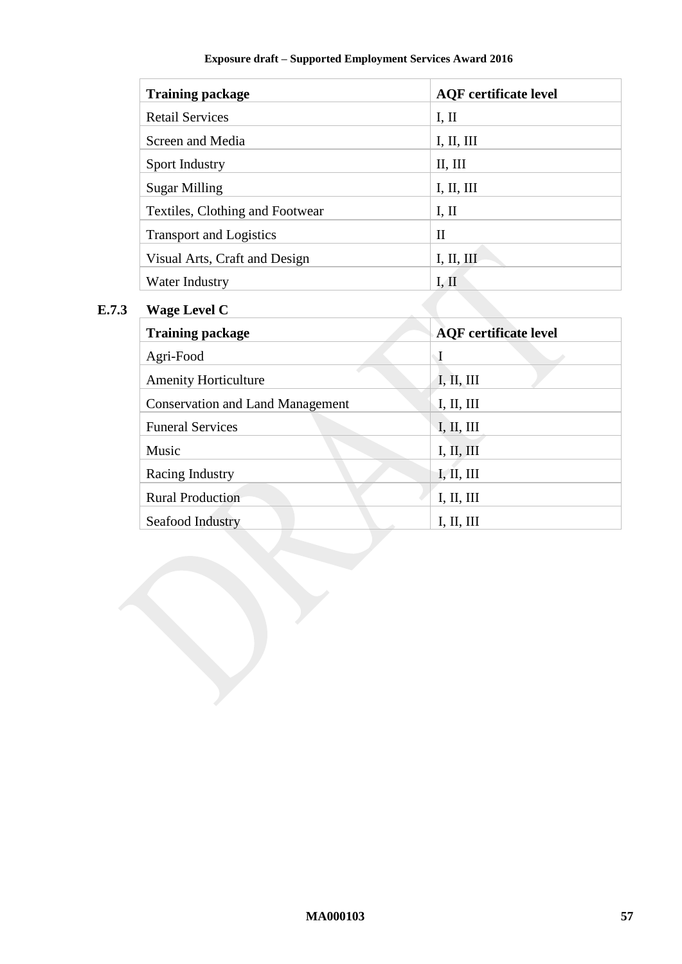| <b>Training package</b>         | <b>AQF</b> certificate level |
|---------------------------------|------------------------------|
| <b>Retail Services</b>          | I, II                        |
| Screen and Media                | I, II, III                   |
| Sport Industry                  | II, III                      |
| Sugar Milling                   | I, II, III                   |
| Textiles, Clothing and Footwear | I, II                        |
| <b>Transport and Logistics</b>  | $\mathbf{I}$                 |
| Visual Arts, Craft and Design   | I, II, III                   |
| Water Industry                  | I, II                        |

# <span id="page-56-0"></span>**E.7.3 Wage Level C**

| <b>Training package</b>                 | <b>AQF</b> certificate level |
|-----------------------------------------|------------------------------|
| Agri-Food                               | $\mathbf I$                  |
| <b>Amenity Horticulture</b>             | I, II, III                   |
| <b>Conservation and Land Management</b> | I, II, III                   |
| <b>Funeral Services</b>                 | I, II, III                   |
| Music                                   | I, II, III                   |
| Racing Industry                         | I, II, III                   |
| <b>Rural Production</b>                 | I, II, III                   |
| Seafood Industry                        | I, II, III                   |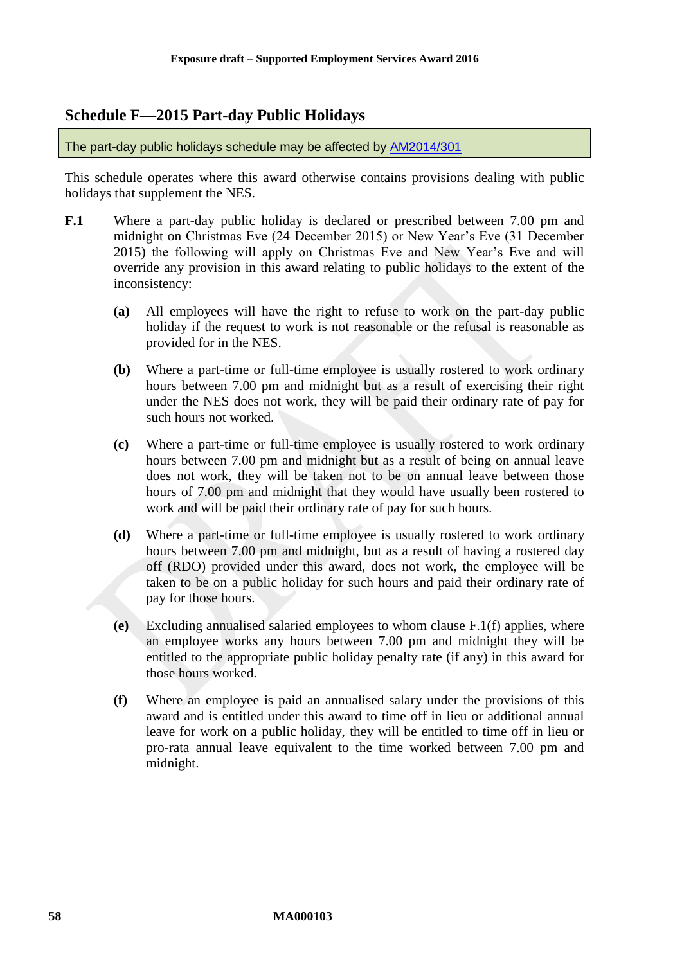# <span id="page-57-0"></span>**Schedule F—2015 Part-day Public Holidays**

The part-day public holidays schedule may be affected by [AM2014/301](https://www.fwc.gov.au/awards-and-agreements/modern-award-reviews/4-yearly-review/common-issues/am2014301-public-holidays)

This schedule operates where this award otherwise contains provisions dealing with public holidays that supplement the NES.

- <span id="page-57-2"></span><span id="page-57-1"></span>**F.1** Where a part-day public holiday is declared or prescribed between 7.00 pm and midnight on Christmas Eve (24 December 2015) or New Year's Eve (31 December 2015) the following will apply on Christmas Eve and New Year's Eve and will override any provision in this award relating to public holidays to the extent of the inconsistency:
	- **(a)** All employees will have the right to refuse to work on the part-day public holiday if the request to work is not reasonable or the refusal is reasonable as provided for in the NES.
	- **(b)** Where a part-time or full-time employee is usually rostered to work ordinary hours between 7.00 pm and midnight but as a result of exercising their right under the NES does not work, they will be paid their ordinary rate of pay for such hours not worked.
	- **(c)** Where a part-time or full-time employee is usually rostered to work ordinary hours between 7.00 pm and midnight but as a result of being on annual leave does not work, they will be taken not to be on annual leave between those hours of 7.00 pm and midnight that they would have usually been rostered to work and will be paid their ordinary rate of pay for such hours.
	- **(d)** Where a part-time or full-time employee is usually rostered to work ordinary hours between 7.00 pm and midnight, but as a result of having a rostered day off (RDO) provided under this award, does not work, the employee will be taken to be on a public holiday for such hours and paid their ordinary rate of pay for those hours.
	- **(e)** Excluding annualised salaried employees to whom clause [F.1\(f\)](#page-57-1) applies, where an employee works any hours between 7.00 pm and midnight they will be entitled to the appropriate public holiday penalty rate (if any) in this award for those hours worked.
	- **(f)** Where an employee is paid an annualised salary under the provisions of this award and is entitled under this award to time off in lieu or additional annual leave for work on a public holiday, they will be entitled to time off in lieu or pro-rata annual leave equivalent to the time worked between 7.00 pm and midnight.